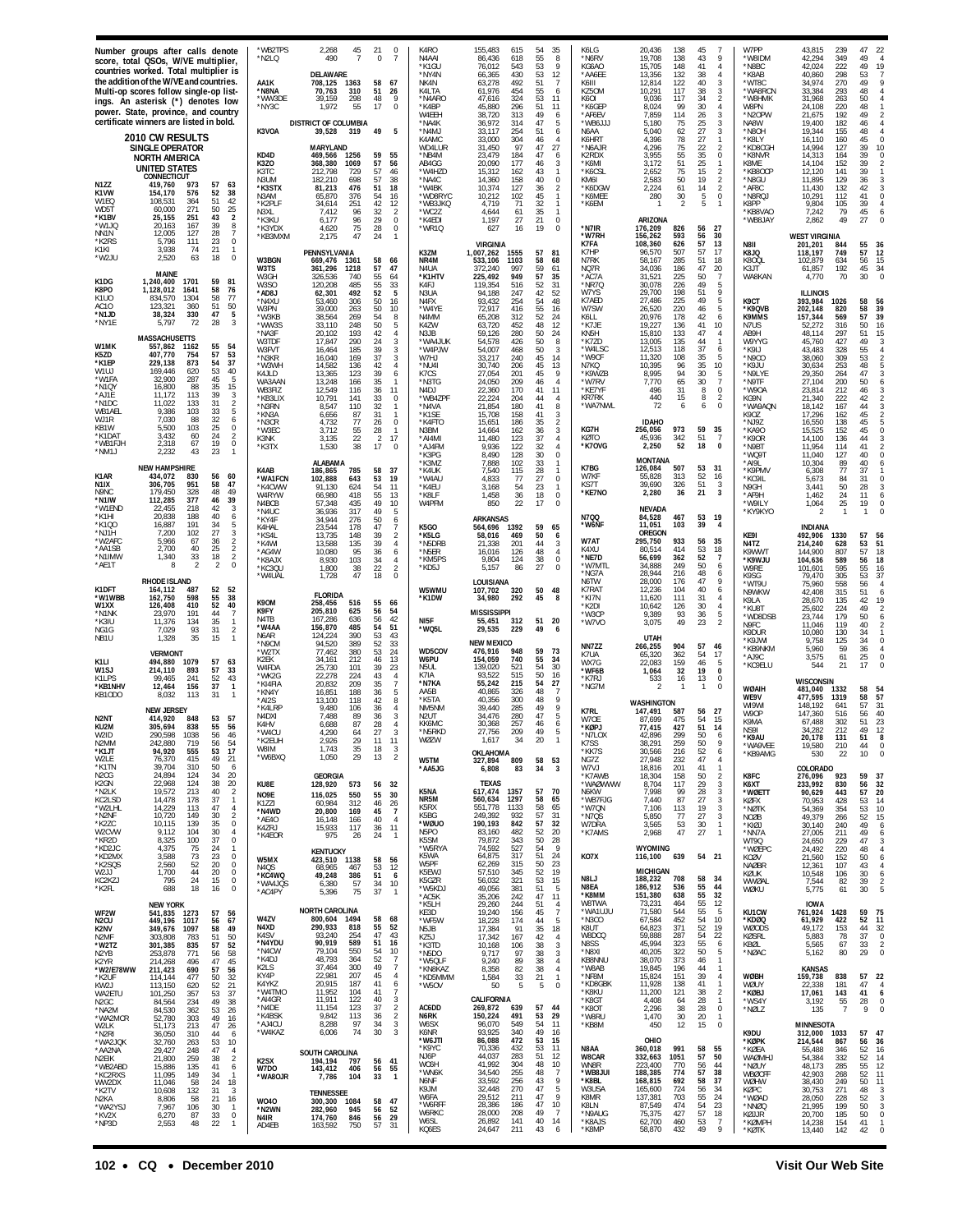|                                                                                                                                      | Number groups after calls denote<br>score, total QSOs, W/VE multiplier,<br>countries worked. Total multiplier is<br>the addition of the W/VE and countries.<br>Multi-op scores follow single-op list-<br>ings. An asterisk (*) denotes low<br>power. State, province, and country<br>certificate winners are listed in bold. |                                                                                                                                                                                                                                                               | *WB2TPS<br>*N2LQ<br>AA1K<br>*N8NA<br>*WW3DE<br>*NY3C<br>K3VOA                                                                                              | 2,268<br>45<br>490<br>DELAWARE<br>708.125<br>1363<br>70,763<br>310<br>298<br>39.159<br>1,972<br>55<br>DISTRICT OF COLUMBIA<br>39,528 319                                                                                                                                           | $\mathbf 0$<br>21<br>$\Omega$<br>58<br>67<br>51<br>26<br>48<br>17<br>$\Omega$<br>49<br>5                                                                                                                                                             | K4RO<br>N4AAI<br>*K1GU<br>*NY4N<br>NK4N<br>K4LTA<br>*N4ARO<br>*K4BP<br>W4EEH<br>*NA4K<br>*N4MJ                                                                                | 35<br>155,483<br>615<br>54<br>55<br>86,436<br>618<br>8<br>543<br>53<br>9<br>76,012<br>430<br>53<br>66,365<br>12<br>492<br>63.278<br>51<br>61,976<br>454<br>55<br>6<br>53<br>324<br>11<br>47.616<br>45,880<br>296<br>51<br>11<br>38,720<br>313<br>49<br>6<br>36,972<br>314<br>47<br>5<br>33.117<br>254<br>51<br>6                                                                                                                                                                                                                                                                       | K6LG<br>*N6RV<br>KG6AO<br>*AA6EE<br>K6III<br>KZ5OM<br>K6OL<br>*K6GEP<br>*AF6EV<br>*WB6JJ.<br>N6AA                                            | 20,436<br>138<br>45<br>138<br>19,708<br>43<br>148<br>15,705<br>41<br>$\Delta$<br>132<br>13,356<br>38<br>122<br>40<br>12.814<br>3<br>10,291<br>117<br>38<br>117<br>34<br>9.036<br>8,024<br>99<br>30<br>7,859<br>114<br>26<br>75<br>25<br>5.180<br>27<br>5,040<br>62<br>3                                                                                                                                                     | W7PP<br>'W8IDM<br>*N8BC<br>'K8AB<br>'WT8C<br>*WA8RCN<br>W8HMK<br>W8PN<br>*N2OPW<br>NA8W<br>*N8OH                                                              | 43,815<br>239<br>42,294<br>349<br>42,024<br>222<br>40,860<br>298<br>34,974<br>270<br>33,384<br>293<br>31,968<br>263<br>24,108<br>220<br>192<br>21,675<br>19,400<br>182<br>19,344<br>155                                                                                                                         | 47<br>22<br>49<br>49<br>19<br>53<br>49<br>48<br>50<br>48<br>49<br>46<br>48<br>$\overline{4}$                                                                           |
|--------------------------------------------------------------------------------------------------------------------------------------|------------------------------------------------------------------------------------------------------------------------------------------------------------------------------------------------------------------------------------------------------------------------------------------------------------------------------|---------------------------------------------------------------------------------------------------------------------------------------------------------------------------------------------------------------------------------------------------------------|------------------------------------------------------------------------------------------------------------------------------------------------------------|------------------------------------------------------------------------------------------------------------------------------------------------------------------------------------------------------------------------------------------------------------------------------------|------------------------------------------------------------------------------------------------------------------------------------------------------------------------------------------------------------------------------------------------------|-------------------------------------------------------------------------------------------------------------------------------------------------------------------------------|----------------------------------------------------------------------------------------------------------------------------------------------------------------------------------------------------------------------------------------------------------------------------------------------------------------------------------------------------------------------------------------------------------------------------------------------------------------------------------------------------------------------------------------------------------------------------------------|----------------------------------------------------------------------------------------------------------------------------------------------|-----------------------------------------------------------------------------------------------------------------------------------------------------------------------------------------------------------------------------------------------------------------------------------------------------------------------------------------------------------------------------------------------------------------------------|---------------------------------------------------------------------------------------------------------------------------------------------------------------|-----------------------------------------------------------------------------------------------------------------------------------------------------------------------------------------------------------------------------------------------------------------------------------------------------------------|------------------------------------------------------------------------------------------------------------------------------------------------------------------------|
| N1ZZ<br>K1VW<br>W1FO<br>WD51<br>*K1BV<br>*W1JO<br>NN1N                                                                               | 2010 CW RESULTS<br><b>SINGLE OPERATOR</b><br>NORTH AMERICA<br><b>UNITED STATES</b><br>CONNECTICUT<br>419.760<br>973<br>154,170<br>576<br>108.531<br>364<br>271<br>60,000<br>251<br>25.155<br>20,163<br>167<br>12,005<br>127                                                                                                  | 57<br>- 63<br>52<br>38<br>51<br>42<br>50<br>25<br>43<br>$\overline{2}$<br>39<br>8<br>28<br>7                                                                                                                                                                  | KD4D<br>K3ZO<br>K3TC<br>N3UM<br>*K3STX<br>N3AM<br>*K2PLF<br>N3XL<br>*K3KII<br>*K3YDX<br>*KR3MXM                                                            | <b>MARYLAND</b><br>469,566<br>1256<br>368,380<br>1069<br>212,798<br>729<br>182,210<br>698<br>81,213<br>476<br>65,870<br>376<br>34,614<br>251<br>7,412<br>96<br>6,177<br>96<br>4,620<br>75<br>47<br>2.175                                                                           | 59<br>57<br>56<br>57<br>46<br>57<br>38<br>18<br>51<br>54<br>16<br>42<br>12<br>32<br>29<br>$\Omega$<br>28<br>$\Omega$<br>24                                                                                                                           | K4AMC<br>WD4LUR<br>*NB4M<br>AB4GG<br>*W4HZD<br>*NA4C<br>*W4BK<br>*WD8RYC<br>*WB3JKQ<br>*WC2Z<br>*K4EDI<br>*WR1Q                                                               | 33,000<br>304<br>46<br>4<br>31.450<br>Q <sub>7</sub><br>27<br>47<br>23,479<br>184<br>47<br>$\frac{6}{3}$<br>177<br>46<br>20,090<br>15,312<br>162<br>43<br>1<br>40<br>14,360<br>158<br>$\mathbf 0$<br>36<br>10,374<br>127<br>2<br>10,212<br>102<br>45<br>$\mathbf{1}$<br>32<br>4.719<br>71<br>1<br>4,644<br>61<br>35<br>$\mathbf{1}$<br>1,197<br>27<br>21<br>$\mathbf 0$<br>627<br>16<br>19<br>$\Omega$                                                                                                                                                                                 | K6HRT<br>*N6A JR<br>K2RDX<br>*K6MI<br>*K6CSL<br>KM6I<br>*K6DGW<br>*K6MEE<br>*K6EM<br>*N7IR<br>*W7RH                                          | 78<br>27<br>4.396<br>75<br>22<br>4.296<br>3,955<br>55<br>35<br>51<br>25<br>3,172<br>15<br>75<br>2,652<br>2<br>2,583<br>50<br>19<br>2,224<br>61<br>$\overline{2}$<br>14<br>280<br>30<br>5<br>0<br><b>ARIZONA</b><br>176,209<br>826<br>56<br>27<br>56<br>593<br>30<br>156,262                                                                                                                                                 | *K8LY<br>*KD8CGH<br>*K8NVR<br>K8ME<br>*KB8OCP<br>*N8GU<br>*AF8C<br>*N8RQ.<br><b>K8PP</b><br>'KB8VAO<br>'WB8 JAY                                               | 16,110<br>160<br>14.994<br>127<br>14,313<br>164<br>14,104<br>152<br>12,120<br>141<br>11,895<br>129<br>11,430<br>132<br>10,291<br>112<br>9,804<br>105<br>7,242<br>79<br>49<br>2.862<br><b>WEST VIRGINIA</b>                                                                                                      | 45<br>$\Omega$<br>39<br>10<br>39<br>39<br>39<br>36<br>42<br>41<br>39<br>$\frac{45}{27}$<br>6<br>$\overline{0}$                                                         |
| "K2RS<br>K1KI.<br>*W2JU<br>K1DG<br>K8PO<br>K1UC<br>AC 10<br>*N1JD                                                                    | 5.796<br>111<br>3,938<br>74<br>63<br>2,520<br>MAINE<br>1,240,400<br>1701<br>1,128,012<br>1641<br>834.570<br>1304<br>123.321<br>360<br>330                                                                                                                                                                                    | 23<br>$\Omega$<br>21<br>$\Omega$<br>18<br>59<br>81<br>58<br>76<br>58<br>77<br>51<br>50<br>47<br>5                                                                                                                                                             | W3BGN<br>W3TS<br>W3GH<br>W3SO<br>*AD8J<br>*N4XL<br>W3PN                                                                                                    | PENNSYLVANIA<br>669,476<br>1361<br>361,296<br>1218<br>326,536<br>740<br>120,208<br>485<br>492<br>62,301<br>53,460<br>306<br>39,000<br>263                                                                                                                                          | 58<br>66<br>57<br>47<br>$\frac{55}{55}$<br>64<br>33<br>52<br>5<br>50<br>16<br>50<br>10                                                                                                                                                               | K3ZM<br>NR4M<br>N4IJA<br>*K1HTV<br>K4FJ<br>N3UA<br>N4FX<br>*W4YE                                                                                                              | <b>VIRGINIA</b><br>1.007.262<br>57<br>1555<br>81<br>533,106<br>1103<br>68<br>58<br>997<br>59<br>372.240<br>61<br>225,492<br>949<br>35<br>57<br>119,354<br>516<br>52<br>31<br>247<br>52<br>42<br>94.188<br>93,432<br>254<br>54<br>48<br>72,917<br>55<br>416<br>16                                                                                                                                                                                                                                                                                                                       | K7FA<br>K7HF<br>N7RK<br>NQ7R<br>*AC7A<br>*NR7Q<br>W7YS<br>K7AED<br>W7SW                                                                      | 108,360<br>57<br>13<br>626<br>57<br>17<br>96,570<br>507<br>285<br>51<br>58.167<br>18<br>34,036<br>186<br>47<br>20<br>225<br>50<br>31.521<br>-7<br>30,078<br>226<br>49<br>5<br>51<br>29.700<br>198<br>27,486<br>225<br>49<br>220<br>46<br>5<br>26.520                                                                                                                                                                        | N8II<br>K8JQ<br>K800L<br>K3JT<br><b>WA8KAN</b><br>K9CT<br>*K9QVB                                                                                              | 201,201<br>844<br>118,197<br>749<br>102,879<br>634<br>61.857<br>192<br>4,770<br>70<br><b>ILLINOIS</b><br>393,984<br>1026<br>202,148<br>820                                                                                                                                                                      | 55<br>36<br>57<br>12<br>56<br>15<br>34<br>45<br>30<br>$\Omega$<br>58<br>56<br>39<br>58                                                                                 |
| *NY1E<br>W1MK<br>K5ZD<br>*K1FF<br>W1UJ<br>'W1FA<br>'N1QY<br>'AJ1E<br>*N1DC<br>WB1AEI<br>WJ1R<br>KB1W<br>'K1DAT<br>WB1F.JI<br>'NM1J   | 38,324<br>72<br>5.797<br><b>MASSACHUSETTS</b><br>557,862<br>1162<br>407,770<br>754<br>229.138<br>873<br>169,446<br>620<br>32,900<br>287<br>16,800<br>88<br>11.172<br>113<br>11,022<br>133<br>9,386<br>103<br>7,030<br>88<br>103<br>5,500<br>3,432<br>60<br>2,318<br>67<br>2,232<br>43                                        | 28<br>3<br>55<br>54<br>57<br>53<br>54<br>37<br>53<br>45<br>5<br>35<br>15<br>39<br>3<br>31<br>$\mathcal{P}$<br>33<br>5<br>32<br>25<br>24<br>19<br>$\mathbf 0$<br>23                                                                                            | *W3KB<br>*WW3S<br>*NA3F<br>W3TDF<br>W3FVT<br>*N3KR<br>*W3WH<br>K4 JI D<br>WA3AAN<br>WB3FIZ<br>*KB3LIX<br>*N3RN<br>*KN3A<br>*N3CR<br>*W3EC<br>K3NK<br>*K3TX | 38,564<br>269<br>248<br>33.110<br>20,102<br>193<br>17.847<br>290<br>16,464<br>185<br>16,040<br>169<br>14,582<br>136<br>13,365<br>123<br>13,248<br>166<br>12.549<br>116<br>10,791<br>141<br>8,547<br>110<br>6,656<br>87<br>4,732<br>77<br>55<br>3,712<br>22<br>3,135<br>38<br>1,530 | 54<br>8<br>50<br>5<br>42<br>3<br>24<br>39<br>3<br>37<br>3<br>42<br>4<br>39<br>6<br>35<br>36<br>11<br>33<br>0<br>$\frac{32}{31}$<br>$\mathbf{1}$<br>$\mathbf{1}$<br>26<br>$\mathbf 0$<br>28<br>$\mathbf{1}$<br>$\overline{2}$<br>17<br>17<br>$\Omega$ | N4MM<br>K4ZW<br>N3JB<br>'WA4 JUK<br>*W4PJW<br>W7HJ<br>*NU4I<br>K7CS<br>*N3TG<br>N <sub>4</sub> DJ<br>*WB4ZPF<br>*N4VA<br>*K1SE<br>*K4FTO<br>N3BM<br>*AI4MI<br>*AJ4FM<br>*K3PG | 65,208<br>312<br>52<br>24<br>12<br>452<br>63,720<br>48<br>59,126<br>280<br>50<br>24<br>426<br>50<br>8<br>54.578<br>54,007<br>468<br>50<br>3<br>33,217<br>240<br>45<br>14<br>30,740<br>206<br>45<br>13<br>27.054<br>45<br>9<br>201<br>24,050<br>209<br>46<br>$\overline{4}$<br>22,360<br>170<br>11<br>41<br>22,224<br>204<br>44<br>4<br>8<br>21,854<br>180<br>41<br>15,708<br>158<br>41<br>3<br>15,651<br>186<br>35<br>$\overline{2}$<br>36<br>3<br>14,664<br>162<br>37<br>11,480<br>123<br>$\overline{4}$<br>9,936<br>122<br>32<br>$\overline{4}$<br>8,490<br>128<br>30<br>$\mathbf 0$ | K6LL<br>*K7.IF<br>KN5H<br>*K7ZD<br>*W4LSC<br>*W9CF<br>N7KQ<br>*K9WZB<br>*W7RV<br>*KE7YF<br><b>KR7RK</b><br>*WA7NWL<br>KG7H<br>KØTO<br>*K7OVG | 20,976<br>178<br>42<br>19.227<br>136<br>41<br>10<br>15,810<br>133<br>47<br>13,005<br>135<br>44<br>12,513<br>118<br>37<br>6<br>35<br>11,320<br>108<br>10,395<br>96<br>35<br>10<br>30<br>8,995<br>94<br>65<br>30<br>7.770<br>496<br>31<br>8<br>$\Omega$<br>440<br>15<br>8<br>2<br>72<br>6<br>$\Omega$<br><b>IDAHO</b><br>973<br>59<br>256,056<br>35<br>45,936<br>342<br>51<br>$\overline{7}$<br>2,250<br>18<br>$\Omega$<br>52 | K9MMS<br>N7US<br>AB9H<br>W9YYG<br>*K9IJ<br>*N9CO<br>*K9JU<br>*N9LYE<br>*N9TF<br>*W90A<br>KG9N<br>'WA9AQN<br>K9OZ<br>*NJ9Z<br>*KA90<br>*K90R<br>*N9BT<br>*WQ9T | 157,344<br>569<br>52.272<br>316<br>48,114<br>297<br>45,760<br>427<br>43,483<br>328<br>38,060<br>309<br>30,634<br>253<br>29,350<br>264<br>27,104<br>200<br>23,814<br>212<br>21,340<br>222<br>18,142<br>167<br>17,296<br>162<br>16,550<br>138<br>15,525<br>152<br>14,100<br>136<br>11.954<br>114<br>11,040<br>127 | 57<br>39<br>50<br>16<br>51<br>15<br>49<br>55<br>53<br>48<br>47<br>50<br>46<br>42<br>44<br>45<br>2<br>45<br>45<br>$\Omega$<br>44<br>41<br>40                            |
| K1AR<br>N1IX<br>N9NC<br>'N1IW<br>W1END<br>'K1HI<br>'K100<br>'N J1H<br>W2AFC<br>'AA1SB<br>'N1IMW<br>'AE1T                             | <b>NEW HAMPSHIRE</b><br>434,072<br>830<br>306,705<br>951<br>179.450<br>328<br>112,285<br>377<br>218<br>22.455<br>20.838<br>188<br>191<br>16,887<br>102<br>7.200<br>5.966<br>67<br>40<br>2.700<br>1,340<br>33                                                                                                                 | 56<br>60<br>58<br>47<br>48<br>46<br>39<br>42<br>3<br>40<br>6<br>34<br>27<br>3<br>36<br>25<br>18<br>$\overline{\mathbf{c}}$<br>2<br>$\mathbf 0$                                                                                                                | K4AB<br><b>*WA1FCN</b><br>*K4CWW<br>W4RYW<br>N4BCB<br>*N4UC<br>*KY4F<br>K4HAL<br>*KS4L<br>*K4WI<br>*AG4W<br>*K8AJX                                         | ALABAMA<br>186,865<br>785<br>102,888<br>643<br>91,130<br>624<br>66,980<br>418<br>57,348<br>435<br>36.936<br>317<br>34,944<br>276<br>23,544<br>178<br>13,735<br>148<br>13,588<br>135<br>10,080<br>95<br>8,930<br>103                                                                | 58<br>37<br>53<br>19<br>54<br>11<br>55<br>13<br>49<br>10<br>49<br>5<br>50<br>6<br>47<br>39<br>$\overline{a}$<br>39<br>$\overline{4}$<br>36<br>6<br>34<br>$\overline{4}$<br>22                                                                        | *K3MZ<br>*K4UK<br>*W4AU<br>*K4EU<br>*K8I F<br>W4PFM<br>K5GO<br>*K5LG<br>*N5DRB<br>*N5ER<br>*KM5PS<br>*KD5J                                                                    | 33<br>7.888<br>102<br>-1<br>7,540<br>115<br>28<br>$\mathbf{1}$<br>4.833<br>77<br>27<br>$\mathbf 0$<br>3,168<br>54<br>23<br>$\mathbf{1}$<br>1,458<br>36<br>18<br>$\mathbb O$<br>22<br>850<br>17<br>$\Omega$<br><b>ARKANSAS</b><br>59<br>564,696<br>1392<br>65<br>58.016<br>469<br>50<br>6<br>21,338<br>201<br>44<br>3<br>48<br>16,016<br>126<br>$\overline{4}$<br>9,804<br>124<br>38<br>$\mathbf 0$<br>27<br>5,157<br>$\Omega$<br>86                                                                                                                                                    | K7BG<br>W7KF<br>KS7T<br>*KE7NO<br>N700<br>*W6NF<br>W7AT<br>K4XU<br>*NE7D<br>*W7MTI                                                           | <b>MONTANA</b><br>126,084<br>507<br>53<br>31<br>52<br>55,828<br>313<br>16<br>39,690<br>326<br>51<br>3<br>36<br>21<br>$\overline{3}$<br>2,280<br>NEVADA<br>53<br>467<br>- 19<br>84,528<br>39<br>11,051<br>103<br>$\overline{4}$<br>OREGON<br>295,750<br>933<br>56<br>35<br>53<br>80,514<br>414<br>18<br>56,699<br>362<br>52<br>7<br>50<br>34.888<br>249<br>6                                                                 | $^{\star}$ AI9I<br>*K9PMV<br>*KC9IL<br>N9GH<br>*AF9H<br>*W9ILY<br>*KY9KYO<br>KE9I<br><b>N4T7</b><br>K9WWT<br>*K9WJU                                           | 10.304<br>-89<br>6,308<br>77<br>84<br>5,673<br>50<br>3.441<br>24<br>1.462<br>25<br>1,064<br>2<br><b>INDIANA</b><br>1330<br>492,906<br>214,240<br>628<br>144,900<br>807<br>104,636<br>589<br>595                                                                                                                 | 40<br>6<br>37<br>31<br>$\Omega$<br>28<br>11<br>6<br>19<br>$\mathbf 0$<br>57<br>56<br>53<br>51<br>57<br>18<br>56<br>18                                                  |
| K1DFT<br>'W1WBB<br>W1XX<br>'N1NK<br>'K3IU<br>NG1G<br>NB1U<br>K1LI                                                                    | RHODE ISLAND<br>164,112<br>487<br>598<br>162.750<br>126.408<br>410<br>23.970<br>191<br>134<br>11,376<br>7,029<br>93<br>1,328<br>35<br><b>VERMONT</b><br>494,880<br>1079                                                                                                                                                      | 52<br>-52<br>55<br>38<br>52<br>40<br>44<br>35<br>-1<br>31<br>$\overline{2}$<br>15<br>$\mathbf{1}$<br>57<br>63                                                                                                                                                 | *KC3QU<br>*W4UAL<br>K90M<br>K9FY<br>N4TB<br>*W4AA<br>N <sub>6</sub> AR<br>*N9CM<br>*W2TX<br>K2EK                                                           | 1,800<br>38<br>1,728<br>47<br><b>FLORIDA</b><br>516<br>258,456<br>205,810<br>625<br>167.286<br>636<br>156,870<br>485<br>390<br>124,224<br>94,520<br>389<br>77.462<br>380<br>212<br>34.161                                                                                          | $\overline{2}$<br>18<br>$\Omega$<br>55<br>66<br>56<br>54<br>56<br>42<br>54<br>53<br>52<br>51<br>43<br>33<br>53<br>24<br>46<br>13                                                                                                                     | W5WMU<br>*K1DW<br>NI5F<br>*WQ5L<br>WD5COV<br>W6PU                                                                                                                             | LOUISIANA<br>107,702<br>320<br>50<br>48<br>292<br>34,980<br>45<br>8<br><b>MISSISSIPPI</b><br>55,451<br>51<br>312<br>20<br>229<br>29,535<br>49<br>-6<br><b>NEW MEXICO</b><br>476,916<br>948<br>59<br>73<br>154,059<br>740<br>55<br>-34                                                                                                                                                                                                                                                                                                                                                  | *NG7A<br>N6TW<br>K7RAT<br>*KI7N<br>*K2DI<br>*W3CF<br>*W7VO<br>NN7ZZ<br>K7UA                                                                  | 28,944<br>216<br>48<br>47<br>28,000<br>176<br>12,236<br>104<br>40<br>111<br>31<br>11.620<br>30<br>10,642<br>126<br>93<br>9,389<br>36<br>5<br>3,075<br>49<br>23<br>$\mathcal{P}$<br>UTAH<br>57<br>266,255<br>904<br>46<br>362<br>54<br>65,320<br>-17                                                                                                                                                                         | W9RE<br>K9SG<br>'WT9U<br>N9WKW<br>K9I A<br>*KU8T<br>*WD8DSB<br>N9FC<br>K9DUR<br>*K9JWI<br>'KB9NKM<br>*AJ9C                                                    | 101.601<br>79,470<br>305<br>75,960<br>558<br>42,408<br>315<br>135<br>28,670<br>25,602<br>224<br>179<br>23,744<br>11,046<br>119<br>10.080<br>130<br>9.758<br>125<br>5,960<br>59<br>61<br>3,575                                                                                                                   | 55<br>16<br>53<br>37<br>56<br>$\overline{4}$<br>51<br>6<br>42<br>19<br>49<br>50<br>6<br>40<br>34<br>34<br>36<br>25<br>$\Omega$                                         |
| W1SJ<br>K1LPS<br>*KB1NHV<br>KB1ODO<br>N2NT<br>KU2M<br>N2MM<br>*K1JT                                                                  | 214.110<br>893<br>241<br>99.465<br>12,464<br>156<br>113<br>8.032<br><b>NEW JERSEY</b><br>414,920<br>848<br>305.694<br>838<br>290,598<br>1038<br>242,880<br>719<br>94,920<br>555                                                                                                                                              | 57<br>-33<br>52<br>43<br>37<br>$\mathbf{1}$<br>31<br>$\mathbf{1}$<br>53<br>-57<br>55<br>56<br>56<br>56<br>-54<br>17<br>53                                                                                                                                     | W4FDA<br>*WK2G<br>*KI4FIA<br>*KN4Y<br>*AI2S<br>*K4LRF<br>N4DXI<br>K4HV<br>*W4CU<br>'K2EUH<br>W8IM                                                          | 25.730<br>101<br>22,278<br>224<br>20.832<br>209<br>16,851<br>188<br>13,100<br>118<br>9.480<br>106<br>7,488<br>89<br>6,688<br>87<br>4,290<br>64<br>29<br>1,743<br>35<br>29                                                                                                          | 39<br>23<br>43<br>$\overline{4}$<br>35<br>$\overline{7}$<br>36<br>5<br>42<br>8<br>36<br>4<br>36<br>3<br>28<br>4<br>27<br>3<br>11<br>11<br>18<br>3                                                                                                    | N5UL<br>K7IA<br>*N7KA<br>AA5B<br>*K5TA<br>NM5NM<br>N2UT<br><b>KK6MC</b><br>*N5RKD<br>NØZW                                                                                     | 139,020<br>521<br>54<br>30<br>515<br>50<br>93.522<br>16<br>215<br>55,242<br>54<br>27<br>48<br>326<br>40.865<br>40,356<br>300<br>48<br>9<br>39.440<br>285<br>9<br>49<br>34,476<br>280<br>47<br>5<br>30,368<br>257<br>46<br>6<br>27,756<br>209<br>49<br>5<br>20<br>1.617<br>34<br>OKLAHOMA                                                                                                                                                                                                                                                                                               | WX7G<br>*WF6B<br>*K7RJ<br>*NG7M<br>K7RL<br>W70F<br>*KØPJ<br>$*$ N7I OX<br>K7SS<br>*KK7S                                                      | 22,083<br>159<br>46<br>-5<br>32<br>19<br>$\Omega$<br>1,064<br>533<br>16<br>13<br>$\theta$<br><b>WASHINGTON</b><br>147,491<br>587<br>56<br>-27<br>475<br>87,699<br>54<br>15<br>51<br>77,415<br>427<br>14<br>299<br>50<br>42.896<br>38.291<br>259<br>-9<br>30,566<br>216<br>52<br>6                                                                                                                                           | *KC9ELU<br>WØAIH<br>WE9V<br>WI9WI<br>W9OP<br>K9MA<br>NS9I<br>*K9AU<br>*WA9VEE<br>*KB9AMG                                                                      | 544<br>21<br>WISCONSIN<br>481,040<br>1332<br>477,595<br>1319<br>148.192<br>641<br>147,360<br>516<br>67.488<br>302<br>212<br>34.282<br>20,178<br>131<br>19,580<br>210<br>530<br>22                                                                                                                               | 17<br>58<br>54<br>58<br>57<br>57<br>31<br>56<br>40<br>51<br>23<br>49<br>- 12<br>51<br>-8<br>44<br>$\mathbf 0$<br>10<br>$^{\circ}$                                      |
| W2LE<br>*K1TN<br>N2CG<br>K2GN<br>*N2LK<br>KC2LSD<br>*W2LHL<br>*N2NF<br>*K2ZC<br>W2CVW<br>*KR2D<br>*KD2JC<br>*KD2MX<br>*K2SQS<br>W2JJ | 76,370<br>415<br>39,704<br>310<br>24,894<br>124<br>22,968<br>124<br>19,572<br>213<br>14,478<br>178<br>14,229<br>113<br>10,720<br>149<br>10.115<br>139<br>9,112<br>104<br>8,325<br>100<br>4,375<br>75<br>3,588<br>73<br>2,560<br>52<br>1,700<br>44                                                                            | 49<br>-21<br>50<br>6<br>34<br>-20<br>38<br>20<br>40<br>$\overline{2}$<br>37<br>47<br>-4<br>30<br>$\overline{2}$<br>35<br>$\Omega$<br>30<br>$\mathbf{A}$<br>37<br>$\mathbf 0$<br>24<br>$\overline{1}$<br>23<br>$\Omega$<br>20<br>$\Omega$<br>20<br>$\mathbf 0$ | *W6BXQ<br>KU8E<br>NO9E<br>K1771<br>*N4WD<br>*AE40<br>K4ZRJ<br>*K4EOR<br>W5MX<br>N4QS<br>*KC4WQ                                                             | 1,050<br><b>GEORGIA</b><br>128,920<br>573<br>116,025<br>550<br>60,984<br>312<br>20,800<br>169<br>16.148<br>166<br>15,933<br>117<br>975<br>26<br><b>KENTUCKY</b><br>423,510 1138<br>68,965<br>467<br>49,248<br>386                                                                  | 13<br>$\overline{2}$<br>56 32<br>55<br>30<br>46<br>26<br>45<br>$\overline{7}$<br>40<br>$\overline{4}$<br>11<br>36<br>24<br>$\overline{1}$<br>58<br>-56<br>53<br>12<br>51<br>- 6                                                                      | W5TM<br>*AA5JG<br>K5NA<br>NR5M<br>K5RX<br>K5BG<br>*wøuo<br>N5PO<br>K5SM<br>*W5RYA<br>K5WA<br>W5PF<br>K5EWJ                                                                    | 58 53<br>327,894<br>809<br>6,808<br>83<br>34<br>- 3<br>TEXAS<br>617,474 1357<br>57<br>70<br>560,634<br>1297<br>58<br>65<br>551,778<br>1133<br>58<br>65<br>932<br>249,392<br>57<br>-31<br>190,193<br>842<br>57<br>32<br>83,160<br>482<br>52<br>20<br>50<br>79,872<br>343<br>28<br>527<br>- 9<br>74,592<br>54<br>64,875<br>317<br>51<br>24<br>62,269<br>315<br>50<br>23<br>57,510<br>345<br>52<br>19                                                                                                                                                                                     | NG7Z<br>W7VJ<br>*K7AWB<br>*WAØWWW<br>N6KW<br>*WB7FJG<br>*W7ON<br>*N7QS<br>W7DRA<br>*K7AMS<br>KO7X                                            | 27,948<br>47<br>232<br>$\overline{4}$<br>18,816<br>201<br>41<br>$\mathbf{1}$<br>18,304<br>158<br>50<br>2<br>29<br>8,704<br>117<br>3<br>7,998<br>99<br>28<br>3<br>7,440<br>87<br>27<br>3<br>7,106<br>113<br>19<br>3<br>5,850<br>77<br>27<br>3<br>3,565<br>53<br>30<br>$\mathbf{1}$<br>2,968<br>47<br>27<br>$\mathbf{1}$<br>WYOMING<br>639<br>54 21<br>116,100<br><b>MICHIGAN</b>                                             | K8FC<br>K6XT<br>*WØETT<br>KØFX<br>*NØTK<br>NCØB<br>*KIØJ<br>*NN7A<br>WT9Q<br>*WØEPC<br>KCØV<br><b>NAØBR</b><br>KØUK                                           | COLORADO<br>276,096<br>923<br>233,992<br>830<br>90,629<br>443<br>70,953<br>428<br>54,369<br>354<br>49,379<br>266<br>30,140<br>240<br>27,005<br>211<br>24,650<br>229<br>24,492<br>220<br>21,560<br>152<br>12,361<br>107<br>10,548<br>106                                                                         | 59<br>37<br>32<br>56<br>57<br>20<br>53<br>14<br>53<br>10<br>52<br>15<br>49<br>6<br>49<br>6<br>47<br>48<br>50<br>6<br>43<br>30<br>-6                                    |
| KC2KZJ<br>*K2FL<br>WF2W<br>N2CU<br>K2NV<br>N2MF<br>*W2TZ<br>N2YB<br>K2YR                                                             | 795<br>24<br>688<br>18<br><b>NEW YORK</b><br>541,835 1273<br>449,196 1017<br>349,676 1097<br>783<br>303,808<br>301,385<br>835<br>253,878<br>771<br>214,268<br>496                                                                                                                                                            | 15<br>0<br>16<br>$\mathbf 0$<br>57 56<br>56 67<br>58<br>49<br>51<br>50<br>57<br>- 52<br>56<br>-58<br>47<br>45                                                                                                                                                 | *WA4JQS<br>*AC4PY<br>W4ZV<br>N4XD<br>K4SV<br>*N4YDU<br>*N4CW<br>*K4DJ                                                                                      | 6,380<br>-57<br>75<br>5,396<br><b>NORTH CAROLINA</b><br>800,604 1494<br>290,933<br>818<br>93,240<br>254<br>90,919<br>589<br>79,104<br>550<br>48,793<br>364                                                                                                                         | 34<br>10<br>37<br>$\overline{1}$<br>58<br>68<br>55<br>52<br>47<br>43<br>51<br>-16<br>54<br>10<br>52<br>$\overline{7}$                                                                                                                                | K5GZR<br>*W5KDJ<br>*AC5K<br>*K5LH<br>KF3D<br>*WF5W<br>N5JB<br>KZ5J<br>*K3TD<br>*N5DO<br>*W5QLF                                                                                | 56,032<br>321<br>53<br>15<br>49,056<br>381<br>51<br>5<br>47<br>35,206<br>242<br>11<br>29,260<br>244<br>51<br>$\overline{4}$<br>$\overline{7}$<br>19,240<br>156<br>45<br>18,228<br>174<br>44<br>5<br>35<br>18<br>17,384<br>91<br>17,342<br>167<br>42<br>$\overline{4}$<br>10,168<br>106<br>38<br>3<br>9,717<br>-97<br>38<br>-3<br>9,240<br>89<br>38<br>$\overline{4}$                                                                                                                                                                                                                   | N8LJ<br><b>N8FA</b><br>*K8MM<br>W8TWA<br>*WA1UJU<br>*N3CO<br>K8UT<br>W8DCQ<br>N8SS<br>*N8XI<br>KB8NNU                                        | 188,232<br>708<br>58 34<br>186,912<br>55<br>536<br>44<br>151,380<br>55<br>32<br>638<br>73,231<br>464<br>55<br>12<br>71,580<br>55<br>544<br>-5<br>54<br>10<br>67,584<br>452<br>64,823<br>371<br>52<br>19<br>59,888<br>287<br>54<br>22<br>55<br>45,994<br>323<br>6<br>40,205<br>322<br>50<br>5<br>38,070<br>373<br>46<br>$\mathbf{1}$                                                                                         | WWØAL<br>WØKU<br>KU1CW<br>*KDØQ<br>WØODS<br>KØSRL<br>KBØL<br>*NØAC                                                                                            | 7,544<br>82<br>5,775<br>61<br><b>IOWA</b><br>761,924<br>1428<br>61,929<br>422<br>49,172<br>153<br>78<br>5.883<br>5,565<br>67<br>80<br>5,162                                                                                                                                                                     | 39<br>30<br>5<br>59<br>75<br>52<br>11<br>44<br>32<br>37<br>$\Omega$<br>33<br>$\overline{2}$<br>$\mathbb O$<br>29                                                       |
| *W2/E78WW<br>*K2UF<br>KW2J<br>WA2ETU<br>N2GC<br>*NA2M<br>*WA2MCR<br>W2LK<br>*N2RI                                                    | 690<br>211,423<br>114,144<br>477<br>113,150<br>620<br>101,250<br>357<br>84,564<br>234<br>84,530<br>362<br>52,780<br>303<br>51,173<br>213<br>310<br>36,050                                                                                                                                                                    | 57 56<br>50<br>32<br>52<br>-21<br>53<br>37<br>49<br>38<br>53<br>-26<br>49<br>-16<br>47<br>26<br>44<br>-6                                                                                                                                                      | K2LS<br>KY4P<br>K4YKZ<br>*W4TMO<br>*AI4GR<br>*N4DE<br>*K4BSK<br>*AJ4CU<br>*W4KAZ                                                                           | 37,464<br>300<br>22,981<br>207<br>20,915<br>187<br>11,952<br>104<br>11,911<br>122<br>11,154<br>123<br>9,842<br>113<br>8,288<br>97<br>74<br>6.006                                                                                                                                   | 49<br>$\overline{7}$<br>45<br>$\overline{4}$<br>41<br>6<br>41<br>$\overline{7}$<br>40<br>3<br>$\overline{2}$<br>37<br>36<br>$\overline{2}$<br>34<br>3<br>30<br>3                                                                                     | *KN8KAZ<br>*KD5MMM<br>*W5OV<br>AC6DD<br>N6RK<br>W6SX<br>K6NR<br>*W6JTI                                                                                                        | 82<br>$\overline{4}$<br>8,358<br>38<br>1,584<br>33<br>21<br>$\overline{1}$<br>5<br>$\mathbf 0$<br>50<br>-5<br>CALIFORNIA<br>269,872<br>639<br>57<br>44<br>150,224<br>491<br>53<br>-29<br>96,070<br>549<br>54<br>11<br>340<br>49<br>93.925<br>16<br>86,088<br>472<br>53<br>15                                                                                                                                                                                                                                                                                                           | *W8AB<br>*NF8M<br>*KD8GBK<br>*K8KU<br>*K8GT<br>*K8OT<br>*W8RU<br>*KB8M                                                                       | 19,845<br>196<br>44<br>-1<br>15,824<br>151<br>39<br>$\overline{4}$<br>11,928<br>138<br>41<br>$\mathbf{1}$<br>11,200<br>121<br>38<br>2<br>4,408<br>28<br>64<br>$\mathbf{1}$<br>$\mathbf{0}$<br>2,296<br>38<br>28<br>1,470<br>30<br>20<br>$\mathbf{1}$<br>12<br>15<br>0<br>450<br>OHIO                                                                                                                                        | <b>WØBH</b><br>WØUY<br>*KØBJ<br>*WS4Y<br>*NØLZ<br>K9DU                                                                                                        | <b>KANSAS</b><br>159,738<br>838<br>22,338<br>181<br>17,061<br>143<br>3,192<br>55<br>$\overline{7}$<br>135<br>MINNESOTA<br>312,000<br>1033                                                                                                                                                                       | 57<br>22<br>47<br>$\overline{4}$<br>41<br>6<br>28<br>0<br>9<br>$\mathbf 0$<br>57 47                                                                                    |
| *WA2JQK<br>*AA2NA<br>N2EIK.<br>*WB2ABD<br>*KC2RXS<br>WW2DX<br>*K2TV<br>N2KA<br>*WA2YSJ<br>*KV2X<br>*NP3D                             | 32,760<br>263<br>29,427<br>248<br>21,800<br>259<br>15,886<br>135<br>11,095<br>149<br>11,046<br>58<br>132<br>10,608<br>8,806<br>58<br>106<br>7,967<br>6,270<br>87<br>2,553<br>48                                                                                                                                              | 53<br>10<br>47<br>$\overline{4}$<br>38<br>$\overline{2}$<br>41<br>6<br>34<br>$\overline{1}$<br>24<br>18<br>31<br>-3<br>21<br>16<br>30<br>$\overline{1}$<br>33<br>$\mathbf 0$<br>22<br>-1                                                                      | K <sub>2</sub> SX<br>W7DO<br>*WA8OJR<br><b>WO40</b><br>*N2WN<br>N4IR<br>AD4EB                                                                              | SOUTH CAROLINA<br>194,194<br>797<br>143,412<br>406<br>7,786<br>104<br><b>TENNESSEE</b><br>300,300 1084<br>282,960<br>945<br>174,760<br>846<br>750<br>163,592                                                                                                                       | 56<br>-41<br>56<br>55<br>33<br>$\overline{1}$<br>58<br>47<br>56<br>52<br>56 29<br>57 31                                                                                                                                                              | *K9YC<br>NJ6P<br>WC6H<br>*WN6K<br>N6NF<br>K <sub>9</sub> JM<br>W6FA<br>*W6RFF<br>W6RKC<br>W6SL<br>KQ6ES                                                                       | 432<br>11<br>70.336<br>53<br>44,037<br>283<br>51<br>12<br>41,992<br>304<br>48<br>10<br>34,540<br>255<br>48<br>$\overline{7}$<br>33,592<br>256<br>9<br>43<br>32,448<br>270<br>47<br>5<br>9<br>29,512<br>211<br>47<br>47<br>10<br>28,386<br>186<br>28,000<br>208<br>49<br>$\overline{7}$<br>40<br>26,892<br>141<br>-14<br>24,647<br>211<br>43<br>6                                                                                                                                                                                                                                       | N8AA<br>W8CAR<br><b>WN8R</b><br>*WB8JUI<br>*K8BL<br>W3USA<br>K8MR<br>K8LN<br>*N9AUG<br>*K8AJS<br>*K8MP                                       | 991<br>58<br>360,018<br>- 55<br>332,663<br>1051<br>57<br>50<br>223,400<br>56<br>44<br>770<br>188,385<br>774<br>57<br>38<br>168,815<br>692<br>58<br>37<br>165,600<br>724<br>56<br>-34<br>24<br>137,381<br>703<br>55<br>87,549<br>474<br>54<br>23<br>427<br>57<br>75,375<br>18<br>62,700<br>460<br>53<br>-7<br>49<br>9<br>58,870<br>432                                                                                       | *KØPK<br>*KØEA<br>WAØMHJ<br>*NØUY<br><b>WBØCFF</b><br>WØHW<br>KØPC.<br>*WØAD<br>*NNØQ<br>KØJJR<br>*KØMPH<br>*KØTK                                             | 214,544<br>867<br>55,488<br>346<br>54,384<br>332<br>48,173<br>285<br>42,903<br>268<br>38,430<br>249<br>30,753<br>271<br>28,050<br>228<br>21,995<br>199<br>20,700<br>185<br>14,238<br>154<br>13,440<br>142                                                                                                       | 36<br>56<br>52<br>16<br>52<br>-14<br>55<br>12<br>11<br>52<br>50<br>11<br>48<br>-3<br>52<br>50<br>3<br>50<br>$^{\circ}$<br>41<br>$\overline{1}$<br>42<br>$\overline{0}$ |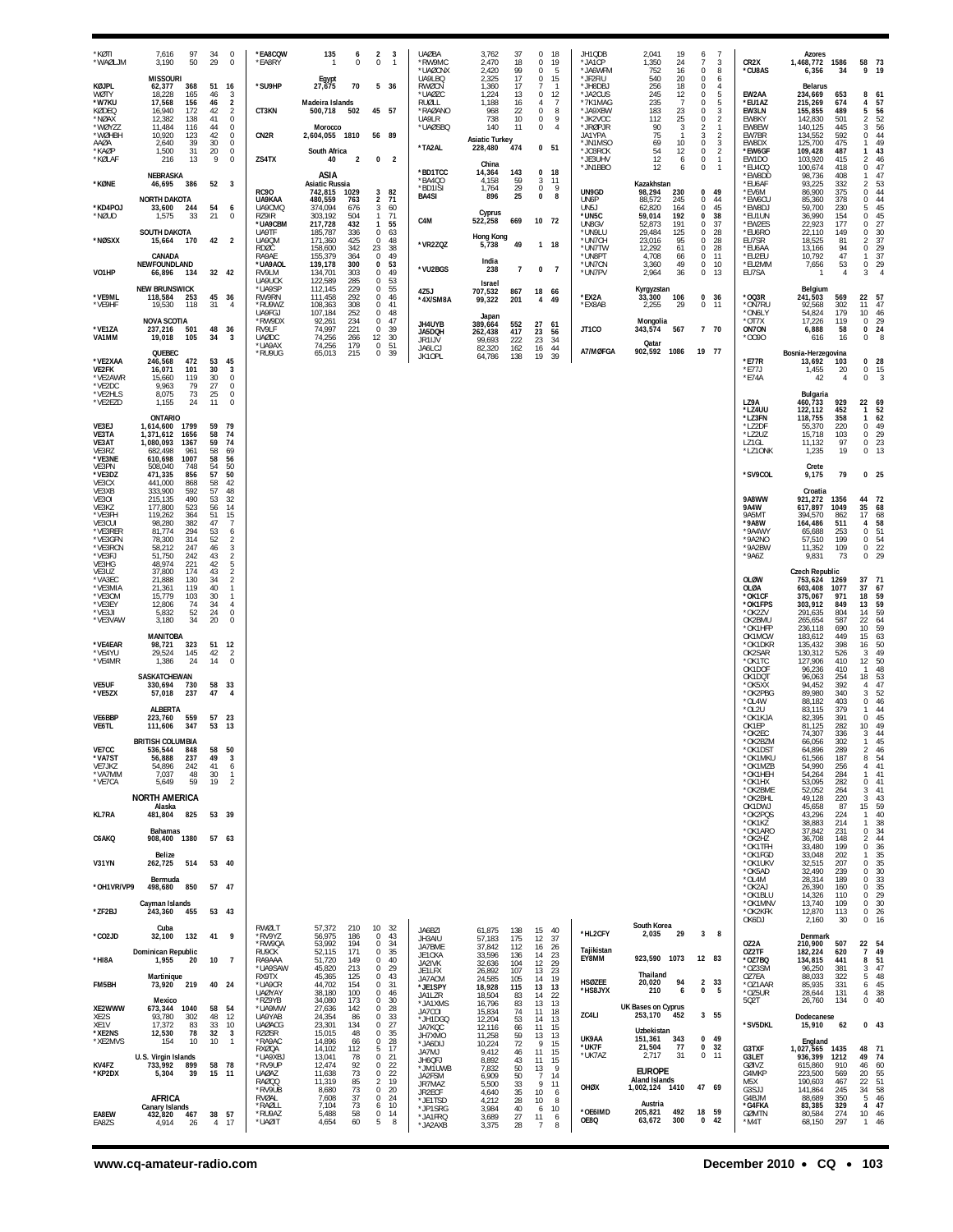| *KØTI<br>*WAØLJM                       | 7,616<br>97<br>3,190<br>50                                           | 34<br>29             | $\mathbf 0$<br>$\mathbb O$                                      | *EA8CQW<br>*EA8RY                           | 135<br>-1                                | 6<br>$\mathbb O$         | $\overline{2}$<br>3<br>$\mathbb O$<br>$\mathbf{1}$                    | <b>UAØBA</b><br>*RW9MC<br>*UAØCNX         | 3,762<br>2,470<br>2,420               | 37<br>18<br>99       | 0<br>18<br>$\bf 0$<br>19<br>$\mathbf 0$<br>5                                | JH1QDB<br>*JA1CP<br>*JA6WFM              | 2,041<br>19<br>1,350<br>24<br>752<br>16                      | 6<br>7<br>0                               | $\overline{7}$<br>3<br>8            | CR <sub>2</sub> X<br>*CU8AS            | Azores<br>1,468,772 1586<br>6,356          | 34                       | 73<br>58<br>9<br>19                                                   |
|----------------------------------------|----------------------------------------------------------------------|----------------------|-----------------------------------------------------------------|---------------------------------------------|------------------------------------------|--------------------------|-----------------------------------------------------------------------|-------------------------------------------|---------------------------------------|----------------------|-----------------------------------------------------------------------------|------------------------------------------|--------------------------------------------------------------|-------------------------------------------|-------------------------------------|----------------------------------------|--------------------------------------------|--------------------------|-----------------------------------------------------------------------|
| KØJPL<br><b>WØTY</b><br>*W7KU          | <b>MISSOURI</b><br>62,377<br>368<br>18,228<br>165<br>17,568<br>156   | 51<br>46<br>46       | 16<br>3<br>$\boldsymbol{2}$                                     | *SU9HP                                      | Egypt<br>27,675<br>Madeira Islands       | 70                       | 5 36                                                                  | <b>UA9LBO</b><br>RWØCN<br>*UAØZC<br>RUØLL | 2,325<br>1,360<br>1,224<br>1,188      | 17<br>17<br>13<br>16 | 0<br>15<br>7<br>-1<br>$\mathbf 0$<br>12<br>$\overline{7}$<br>$\overline{4}$ | *JF2FIU<br>*JH8DBJ<br>*JA2CUS<br>*7K1MAG | 540<br>20<br>256<br>18<br>245<br>12<br>$\overline{7}$<br>235 | $\Omega$<br>$^{\circ}$<br>0<br>$^{\circ}$ | 6<br>4<br>5<br>5                    | EW2AA<br>*EU1AZ                        | Belarus<br>234,669<br>215,269              | 653<br>674               | 8<br>61<br>57<br>4                                                    |
| KØDEQ<br>*NØAX<br>*WØYZZ               | 16,940<br>172<br>12,382<br>138<br>11,484<br>116                      | 42<br>41<br>44       | $\overline{2}$<br>$\bf 0$<br>$\mathbb O$                        | CT3KN                                       | 500,718<br>Morocco                       | 502                      | 45 57                                                                 | *RAØANO<br>UA9LR<br>*UAØSBQ               | 968<br>738<br>140                     | 22<br>10<br>11       | 0<br>8<br>9<br>0<br>$\bf 0$<br>$\overline{4}$                               | *JA9XBW<br>*JK2VOC<br>*JRØPJR            | 183<br>23<br>112<br>25<br>90<br>3                            | 0<br>0<br>$\overline{2}$                  | 3<br>$\overline{2}$<br>$\mathbf{1}$ | EW3LN<br>EW8KY<br>EW8EW                | 155,855<br>142,830<br>140,125              | 489<br>501<br>445        | 56<br>52<br>56<br>44<br>5<br>2<br>3                                   |
| *WØHBH<br>AAØA<br>*KAØP                | 123<br>10,920<br>2,640<br>39<br>1,500<br>31                          | 42<br>30<br>20       | $\,0\,$<br>0<br>$\overline{0}$                                  | CN <sub>2R</sub>                            | 2,604,055 1810<br>South Africa           |                          | 56 89                                                                 | *TA2AL                                    | <b>Asiatic Turkey</b><br>228,480      | 474                  | 0 <sub>51</sub>                                                             | JA1YPA<br>*JN1MSO<br>*JO3RCK             | 75<br>$\mathbf{1}$<br>69<br>10<br>54<br>12                   | $\sqrt{3}$<br>$\bf 0$<br>$\mathbb O$      | $\overline{2}$<br>$\frac{3}{2}$     | EW7BR<br>EW8DX<br>*EW6GF               | 134,552<br>125,700<br>109,428              | 592<br>475<br>487        | 0<br>49<br>$\mathbf{1}$<br>43<br>-1                                   |
| *KØLAF<br>*KØNE                        | 216<br>13<br>NEBRASKA<br>386<br>46,695                               | 9<br>52 3            | $\bf 0$                                                         | ZS4TX                                       | 40<br>ASIA<br><b>Asiatic Russia</b>      | $\overline{2}$           | 0<br>$\overline{2}$                                                   | *BD1TCC<br>*BA4QO                         | China<br>14,364<br>4,158              | 143<br>59            | $0$ 18<br>3<br>11                                                           | *JE3UHV<br>*JN1BBO                       | 12<br>6<br>12<br>6<br>Kazakhstan                             | $\mathbf 0$<br>$\,0\,$                    | $\mathbf{1}$<br>$\overline{1}$      | EW1DO<br>*EU4CQ<br>*EW8DD<br>*EU6AF    | 103,920<br>100,674<br>98,736<br>93,225     | 415<br>418<br>408<br>332 | 2<br>46<br>$\mathbf 0$<br>47<br>47<br>$\mathbf{1}$<br>$\overline{2}$  |
| *KD4POJ                                | <b>NORTH DAKOTA</b><br>33,600<br>244                                 | 54                   | 6                                                               | <b>RC90</b><br>UA9KAA<br>UA9CMQ             | 742,815<br>480,559<br>374,094            | 1029<br>763<br>676       | 3<br>82<br>$\overline{2}$<br>71<br>3<br>60                            | *BD1ISI<br><b>BA4SI</b>                   | 1,764<br>896                          | 29<br>25             | $\mathbb O$<br>9<br>0<br>8                                                  | UN9GD<br>UN6P<br>UN5J                    | 98,294<br>230<br>88,572<br>245<br>62,820<br>164              | 0<br>$\mathbf 0$<br>$\bf{0}$              | 49<br>44<br>45                      | *EV6M<br>*EW6CU<br>*EW8DJ              | 86,900<br>85,360<br>59,700                 | 375<br>378<br>230        | $\frac{53}{44}$<br>0<br>$\frac{44}{45}$<br>$\Omega$<br>5              |
| *NØUD                                  | 1,575<br>33<br><b>SOUTH DAKOTA</b>                                   | 21                   | $\mathbb O$                                                     | RZ9IR<br>*UA9CBM<br>UA9TF                   | 303,192<br>217,728<br>185,787            | 504<br>432<br>336        | 71<br>$\mathbf{1}$<br>55<br>$\mathbf{1}$<br>63<br>$\mathbf 0$         | C4M                                       | Cyprus<br>522,258                     | 669                  | 10 72                                                                       | *UN5C<br>UN8GV<br>*UN9LU                 | 59,014<br>192<br>52,873<br>191<br>29,484<br>125              | 0<br>$^{\circ}$<br>0                      | 38<br>37<br>28                      | *EU1UN<br>*EW2ES<br>*EU6RO             | 36,990<br>22,923<br>22,110                 | 154<br>177<br>149        | 45<br>0<br>27<br>$\Omega$<br>30<br>0                                  |
| *NØSXX                                 | 15,664 170<br>CANADA                                                 | 42                   | $\overline{2}$                                                  | UA9QM<br><b>RDØC</b><br>RA9AE               | 171,360<br>158,600<br>155,379            | 425<br>342<br>364        | 48<br>$^{\circ}$<br>23<br>38<br>49<br>$^{\circ}$                      | *VR2ZQZ                                   | Hong Kong<br>5,738<br>India           | 49                   | 1 18                                                                        | *UN7CH<br>*UN7TW<br>*UN8PT               | 95<br>23,016<br>61<br>12,292<br>4,708<br>66                  | $\bf{0}$<br>$\bf 0$<br>$\bf{0}$           | 28<br>28<br>11                      | EU7SR<br>*EU6AA<br>*EU2EU              | 18,525<br>13,166<br>10,792                 | 81<br>94<br>47           | 37<br>2<br>$\mathbf 0$<br>$\frac{29}{37}$<br>$\mathbf{1}$             |
| VO1HP                                  | NEWFOUNDLAND<br>66,896 134<br><b>NEW BRUNSWICK</b>                   | 32 42                |                                                                 | *UA9AOL<br>RV9LM<br>UA9UCK                  | 139,178<br>134,701<br>122,589<br>112,145 | 300<br>303<br>285<br>229 | 53<br>0<br>49<br>0<br>0<br>53<br>55<br>$\Omega$                       | *VU2BGS                                   | 238<br>Israel                         | $\overline{7}$       | 0<br>$\overline{7}$                                                         | *UN7CN<br>*UN7PV                         | 3,360<br>49<br>36<br>2,964                                   | $\bf 0$<br>$\boldsymbol{0}$               | 10<br>13                            | *EU2MM<br>EU7SA                        | 7,656<br>1                                 | 53<br>$\overline{4}$     | $\bf 0$<br>$\frac{29}{4}$<br>3                                        |
| *VE9ML<br>*VE9HF                       | 118,584<br>253<br>19,530<br>118                                      | 45 36<br>31          | $\overline{4}$                                                  | *UA9SP<br>RW9RN<br>*RU9WZ<br>UA9FGJ         | 111,458<br>108,363<br>107,184            | 292<br>308<br>252        | 0<br>46<br>41<br>$\Omega$<br>$\mathbf 0$<br>48                        | 4Z5J<br>*4X/SM8A                          | 707,532<br>99,322                     | 867<br>201           | 18 66<br>$\overline{4}$<br>49                                               | *EX2A<br>*EX8AB                          | Kyrgyzstan<br>33,300<br>106<br>2,255<br>29                   | 0<br>$\mathbf 0$                          | 36<br>11                            | *003R<br>*ON7RU<br>*ON6LY              | Belgium<br>241,503<br>92.568<br>54,824     | 569<br>302<br>179        | 22<br>57<br>47<br>11<br>46<br>10                                      |
| *VE1ZA<br>VA1MM                        | <b>NOVA SCOTIA</b><br>501<br>237,216<br>19,018<br>105                | 48 36<br>34          | 3                                                               | *RW9DX<br>RV9LF<br><b>UAØDC</b><br>*UA9AX   | 92,261<br>74,997<br>74,256<br>74,256     | 234<br>221<br>266<br>179 | 47<br>$\mathbf 0$<br>39<br>$^{\circ}$<br>30<br>12<br>51<br>$^{\circ}$ | JH4UYB<br>JA5DQH<br>JR1IJV                | Japan<br>389,664<br>262,438<br>99,693 | 552<br>417<br>222    | 27<br>-61<br>23<br>56<br>23<br>34                                           | JT1CO                                    | Mongolia<br>343,574<br>567<br>Qatar                          | 7 70                                      |                                     | $*$ OT 7X<br>ON7ON<br>*0090            | 17.226<br>6,888<br>616                     | 119<br>58<br>16          | $\frac{29}{24}$<br>$\mathbf{0}$<br>$^{\circ}$<br>8<br>0               |
| *VE2XAA<br><b>VE2FK</b>                | QUEBEC<br>472<br>246,568<br>16,071<br>101                            | 53<br>30             | 45<br>3                                                         | *RU9UG                                      | 65,013                                   | 215                      | 0<br>39                                                               | JA6LCJ<br>JK10PL                          | 82,320<br>64,786                      | 162<br>138           | 16<br>44<br>19<br>39                                                        | A7/MØFGA                                 | 902,592<br>1086                                              | 19 77                                     |                                     | *E77R<br>*E77J                         | Bosnia-Herzegovina<br>13,692<br>1,455      | 103<br>20                | 0 <sub>28</sub><br>0 15                                               |
| *VE2AWR<br>*VE2DC<br>*VE2HLS           | 119<br>15,660<br>9,963<br>79<br>73<br>8,075                          | 30<br>27<br>25       | $\,0\,$<br>$\mathbb O$<br>$\overline{0}$                        |                                             |                                          |                          |                                                                       |                                           |                                       |                      |                                                                             |                                          |                                                              |                                           |                                     | $*$ E74A                               | 42<br>Bulgaria                             | $\overline{4}$           | $\overline{3}$<br>0                                                   |
| *VE2EZD                                | 1,155<br>24<br><b>ONTARIO</b>                                        | 11                   | 0                                                               |                                             |                                          |                          |                                                                       |                                           |                                       |                      |                                                                             |                                          |                                                              |                                           |                                     | LZ9A<br>*LZ4UU<br>*LZ3FN               | 460,733<br>122,112<br>118,755              | 929<br>452<br>358        | 22 69<br>52<br>$\mathbf{1}$<br>62<br>$\mathbf{1}$                     |
| VE3EJ<br>VE3TA<br>VE3AT                | 1,614,600 1799<br>1,371,612<br>1656<br>1,080,093<br>1367             | 59<br>58<br>59       | 79<br>74<br>74                                                  |                                             |                                          |                          |                                                                       |                                           |                                       |                      |                                                                             |                                          |                                                              |                                           |                                     | *LZ2DF<br>*LZ2UZ<br>LZ1GL              | 55,370<br>15,718<br>11,132                 | 220<br>103<br>97         | $49$<br>$29$<br>$23$<br>$13$<br>$\mathbb O$<br>$\bf{0}$<br>0          |
| VE3RZ<br>*VE3NE<br>VE3PN               | 682,498<br>961<br>610,698<br>1007<br>508,040<br>748                  | 58<br>58<br>54<br>57 | 69<br>56<br>50<br>50                                            |                                             |                                          |                          |                                                                       |                                           |                                       |                      |                                                                             |                                          |                                                              |                                           |                                     | *LZ1ONK<br>*SV9COL                     | 1,235<br>Crete                             | 19<br>79                 | 0<br>$0$ 25                                                           |
| *VE3DZ<br>VE3CX<br>VE3XB<br>VE30I      | 471,335<br>856<br>441,000<br>868<br>592<br>333,900<br>215,135<br>490 | 58<br>57<br>53       | 42<br>48<br>32                                                  |                                             |                                          |                          |                                                                       |                                           |                                       |                      |                                                                             |                                          |                                                              |                                           |                                     | 9A8WW                                  | 9,175<br>Croatia<br>921,272                | 1356                     | 44<br>72                                                              |
| VE3KZ<br>*VE3FH<br>VE3CUI              | 177,800<br>523<br>364<br>119,262<br>98,280<br>382                    | 56<br>51<br>47       | 14<br>15<br>$\overline{7}$                                      |                                             |                                          |                          |                                                                       |                                           |                                       |                      |                                                                             |                                          |                                                              |                                           |                                     | 9A4W<br>9A5MT<br>*9A8W                 | 617,897<br>394,570<br>164,486              | 1049<br>862<br>511       | $\frac{35}{17}$<br>$\begin{array}{c} 68 \\ 68 \\ 58 \end{array}$<br>4 |
| *VE3RER<br>*VE3GFN<br>*VE3RCN          | 81,774<br>294<br>78,300<br>314<br>58,212<br>247                      | 53<br>52<br>46       | 6<br>$\sqrt{2}$                                                 |                                             |                                          |                          |                                                                       |                                           |                                       |                      |                                                                             |                                          |                                                              |                                           |                                     | *9A4WY<br>*9A2NO<br>*9A2BW             | 65,688<br>57,510<br>11,352                 | 253<br>199<br>109        | 51<br>54<br>22<br>29<br>$\mathbf{0}$<br>$\bf{0}$<br>$\mathbf{0}$      |
| *VE3FJ<br>VE3HG<br>VE3UZ               | 51,750<br>242<br>48,974<br>221<br>37,800<br>174                      | 43<br>42<br>43       | $\begin{smallmatrix} 3 \\ 2 \end{smallmatrix}$<br>$\frac{5}{2}$ |                                             |                                          |                          |                                                                       |                                           |                                       |                      |                                                                             |                                          |                                                              |                                           |                                     | *9A6Z                                  | 9,831<br><b>Czech Republic</b>             | 73                       | 0                                                                     |
| *VA3EC<br>*VE3MIA<br>*VE3OM            | 21,888<br>130<br>119<br>21,361<br>15,779<br>103                      | 34<br>40<br>30       | $\overline{2}$<br>1<br>1                                        |                                             |                                          |                          |                                                                       |                                           |                                       |                      |                                                                             |                                          |                                                              |                                           |                                     | <b>OLØW</b><br>OLØA<br>*OK1CF          | 753,624 1269<br>603,408<br>375,067         | 1077<br>971              | 37<br>71<br>37<br>67<br>18<br>59                                      |
| *VE3EY<br>*VE3JI<br>*VE3VAW            | 12,806<br>74<br>52<br>5,832<br>34<br>3,180                           | 34<br>24<br>20       | 4<br>$\mathbb O$<br>$\theta$                                    |                                             |                                          |                          |                                                                       |                                           |                                       |                      |                                                                             |                                          |                                                              |                                           |                                     | *OK1FPS<br>*OK2ZV<br>OK2BMU            | 303,912<br>291,635<br>265,654              | 849<br>804<br>587        | 59<br>13<br>14<br>59<br>$22\,$<br>64                                  |
| *VE4EAR<br>*VF4YU                      | <b>MANITOBA</b><br>98,721<br>323                                     | 51                   | 12                                                              |                                             |                                          |                          |                                                                       |                                           |                                       |                      |                                                                             |                                          |                                                              |                                           |                                     | *OK1HFF<br>OK1MCW<br>*OK1DKR           | 236,118<br>183,612<br>135,432<br>130,312   | 690<br>449<br>398        | 10<br>$\begin{array}{c} 59 \\ 63 \end{array}$<br>15<br>50<br>16<br>3  |
| *VE4MR                                 | 145<br>29.524<br>1,386<br>24<br>SASKATCHEWAN                         | 42<br>14             | $\overline{2}$<br>$\bf 0$                                       |                                             |                                          |                          |                                                                       |                                           |                                       |                      |                                                                             |                                          |                                                              |                                           |                                     | OK2SAR<br>*OK1TC<br>OK1DOF<br>OK1DQT   | 127,906<br>96,236<br>96,063                | 526<br>410<br>410<br>254 | 49<br>50<br>12<br>48<br>$\mathbf{1}$<br>53<br>18                      |
| VE5UF<br>*VE5ZX                        | 330,694<br>730<br>57,018<br>237                                      | 58<br>47             | 33<br>$\overline{4}$                                            |                                             |                                          |                          |                                                                       |                                           |                                       |                      |                                                                             |                                          |                                                              |                                           |                                     | *OK5XX<br>*OK2PBG<br>*OL4W             | 94.452<br>89,980<br>88,182                 | 392<br>340<br>403<br>379 | $\frac{47}{52}$<br>$\overline{4}$<br>3<br>46<br>0<br>$\mathbf{1}$     |
| VE6BBP<br>VE6TL                        | <b>ALBERTA</b><br>223,760<br>559<br>111,606<br>347                   | 57 23<br>53 13       |                                                                 |                                             |                                          |                          |                                                                       |                                           |                                       |                      |                                                                             |                                          |                                                              |                                           |                                     | *OL2U<br>*OK1KJA<br>OK1EP<br>*OK2EC    | 83,115<br>82,395<br>81,125<br>74,307       | 391<br>282<br>336        | 44<br>45<br>$\Omega$<br>49<br>10<br>3<br>44                           |
| VE7CC<br>*VA7ST                        | <b>BRITISH COLUMBIA</b><br>536.544<br>848<br>56,888<br>237           | 58<br>49             | 50<br>3                                                         |                                             |                                          |                          |                                                                       |                                           |                                       |                      |                                                                             |                                          |                                                              |                                           |                                     | *OK2BZN<br>*OK1DST<br>*OK1MKL          | 66,056<br>64,896<br>61.566                 | 302<br>289<br>187        | 45<br>$\overline{2}$<br>46<br>8<br>54                                 |
| VE7JKZ<br>*VA7MM<br>*VE7CA             | 54,896<br>242<br>7.037<br>48<br>5,649<br>59                          | 41<br>30<br>19       | 6<br>-1<br>$\overline{2}$                                       |                                             |                                          |                          |                                                                       |                                           |                                       |                      |                                                                             |                                          |                                                              |                                           |                                     | *OK1MZB<br>*OK1HEH<br>*OK1HX           | 54,990<br>54,264<br>53,095                 | 256<br>284<br>282        | 41<br>4<br>41<br>$\mathbf{1}$<br>0<br>41                              |
| <b>KL7RA</b>                           | <b>NORTH AMERICA</b><br>Alaska<br>825                                |                      |                                                                 |                                             |                                          |                          |                                                                       |                                           |                                       |                      |                                                                             |                                          |                                                              |                                           |                                     | *OK2BME<br>*OK2BHL<br>OK1DWJ           | 52,052<br>49,128<br>45,658                 | 264<br>220<br>87         | 41<br>3<br>3<br>43<br>$\frac{59}{40}$<br>15<br>$\mathbf{1}$           |
| C6AKQ                                  | 481,804<br>Bahamas<br>908,400<br>1380                                | 53 39<br>57 63       |                                                                 |                                             |                                          |                          |                                                                       |                                           |                                       |                      |                                                                             |                                          |                                                              |                                           |                                     | *OK2PQS<br>*OK1KZ<br>*OK1ARO<br>*OK2HZ | 43,296<br>38,883<br>37,842<br>36,708       | 224<br>214<br>231<br>148 | 38<br>$\mathbf{1}$<br>34<br>$\Omega$<br>44<br>2                       |
| V31YN                                  | Belize<br>514<br>262,725                                             | 53 40                |                                                                 |                                             |                                          |                          |                                                                       |                                           |                                       |                      |                                                                             |                                          |                                                              |                                           |                                     | *OK1TFH<br>*OK1FGD<br>*OK1UKV          | 33,480<br>33,048<br>32,515                 | 199<br>202<br>207        | 36<br>0<br>35<br>1<br>35<br>0                                         |
| *OH1VR/VP9                             | Rermuda<br>850<br>498,680                                            | 57 47                |                                                                 |                                             |                                          |                          |                                                                       |                                           |                                       |                      |                                                                             |                                          |                                                              |                                           |                                     | *OK5AD<br>*OL4M<br>*OK2AJ              | 32,490<br>28,314<br>26,390                 | 239<br>189<br>160        | $\begin{array}{c} 30 \\ 33 \end{array}$<br>0<br>$\Omega$<br>35<br>0   |
| *ZF2BJ                                 | Cayman Islands<br>243,360<br>455                                     | 53 43                |                                                                 |                                             |                                          |                          |                                                                       |                                           |                                       |                      |                                                                             |                                          |                                                              |                                           |                                     | *OK1BLU<br>*OK1MNV<br>*OK2KFK          | 14,326<br>13,740<br>12,870                 | 110<br>109<br>113        | 29<br>$\Omega$<br>0<br>30<br>26<br>$\mathbf{0}$                       |
| *CO2JD                                 | Cuba<br>32,100<br>132                                                | 41                   | 9                                                               | RWØLT<br>*RV9YZ                             | 57.372<br>56,975                         | 210<br>186               | 10 <sup>10</sup><br>- 32<br>43<br>$\Omega$                            | JA6BZI<br>JH3AIU                          | 61,875<br>57,183                      | 138<br>175           | 15<br>40<br>12<br>37                                                        | *HL2CFY                                  | South Korea<br>2,035<br>29                                   | 3                                         | 8                                   | OK6DJ                                  | 2,160<br>Denmark                           | 30                       | 0<br>16                                                               |
| *HI8A                                  | Dominican Republic<br>1,955<br>20                                    | 10                   | $\overline{7}$                                                  | *RW9QA<br>RU9CK<br>RA9AAA                   | 53,992<br>52,115<br>51,720               | 194<br>171<br>149        | 0<br>34<br>35<br>$\Omega$<br>$\Omega$<br>40                           | JA7BME<br>JE1CKA<br>JA2IVK                | 37,842<br>33,596<br>32,636            | 112<br>136<br>104    | 16<br>-26<br>14<br>23<br>12<br>29                                           | Tajikistan<br>EY8MM                      | 923,590 1073                                                 | 12 83                                     |                                     | OZ2A<br>OZ2TF<br>*0Z7BQ                | 210,900<br>182,224<br>134,815              | 507<br>620<br>441        | $\frac{22}{7}$<br>54<br>49<br>51<br>8                                 |
| FM5BH                                  | Martinique<br>219<br>73,920                                          | 40 24                |                                                                 | *UA9SAW<br>RX9TX<br>*UA9CR                  | 45,820<br>45,365<br>44,702               | 213<br>125<br>154        | 29<br>$\Omega$<br>0<br>43<br>$\Omega$<br>-31                          | JE1LFX<br>JA7ACM<br>*JE1SPY               | 26,892<br>24.585<br>18,928            | 107<br>105<br>115    | 13<br>23<br>19<br>14<br>13<br>13                                            | <b>HSØZEE</b><br>*HS8JYX                 | Thailand<br>94<br>20,020<br>210<br>6                         | $\overline{2}$<br>$\bf{0}$                | 33<br>5                             | *OZ3SM<br>OZ7EA<br>*OZ1AAR             | 96,250<br>88,033<br>85,935                 | 381<br>322<br>331        | 47<br>3<br>5<br>48<br>45<br>6                                         |
| XE2WWW<br>XE2S                         | Mexico<br>673,344<br>1040<br>93,780<br>302                           | 58<br>48             | 54<br>12                                                        | <b>UAØYAY</b><br>*R79YB<br>*UA9MW<br>UA9YAB | 38,180<br>34,080<br>27,636<br>24,354     | 100<br>173<br>142<br>86  | 0<br>46<br>$\Omega$<br>30<br>0<br>28<br>$\Omega$<br>33                | JA1LZR<br>*JA1XMS<br>JA7COI               | 18,504<br>16,796<br>15,834            | 83<br>83<br>74       | 22<br>14<br>13<br>13<br>11<br>18                                            | ZC4LI                                    | UK Bases on Cyprus<br>253,170<br>452                         | 3 55                                      |                                     | *OZ5UR<br>502T                         | 28,644<br>26,760<br>Dodecanese             | 131<br>134               | 38<br>4<br>40<br>$\mathbf{0}$                                         |
| XE <sub>1</sub> V<br>*XE2NS<br>*XE2MVS | 17,372<br>83<br>78<br>12,530<br>154<br>10                            | 33<br>32<br>10       | 10<br>$\overline{\mathbf{3}}$<br>$\mathbf{1}$                   | <b>UAØACG</b><br><b>RZØSR</b><br>*RA9AC     | 23,301<br>15,015<br>14,896               | 134<br>48<br>66          | 0<br>27<br>$\mathbf 0$<br>35<br>0<br>28                               | *JH1DGQ<br>JA7KQC<br>JH7XMO               | 12,204<br>12,116<br>11,258            | 53<br>66<br>59       | 14<br>13<br>11<br>15<br>13<br>13                                            | UK9AA                                    | Uzbekistan<br>151,361<br>343                                 | 0                                         | 49                                  | *SV5DKL                                | 15,910                                     | 62                       | $0$ 43                                                                |
| KV4FZ                                  | U.S. Virgin Islands<br>733,992<br>899                                | 58 78                |                                                                 | RXØOA<br>*UA9XBJ<br>*RV9UP                  | 14,102<br>13,041<br>12,474               | 112<br>78<br>92          | 17<br>5.<br>$\Omega$<br>-21<br>0<br>22                                | *JA6DIJ<br>JA7MJ<br>JH6QFJ                | 10,224<br>9,412<br>8,892              | 72<br>46<br>43       | 9<br>15<br>11<br>15<br>11<br>15                                             | *UK7F<br>*UK7AZ                          | 77<br>21,504<br>2,717<br>31                                  | $\pmb{0}$<br>$\bf{0}$                     | 32<br>11                            | G3TXF<br>G3LET<br>GØIVZ                | England<br>1,027,565<br>936,399<br>615,860 | 1435<br>1212<br>910      | 48<br>71<br>49<br>74<br>60<br>46                                      |
| *KP2DX                                 | 5,304<br>-39                                                         | 15                   | -11                                                             | <b>UAØAZ</b><br>RAØ00<br>*RV9UB             | 11,638<br>11,319<br>8,680                | 73<br>85<br>73           | 22<br>$\Omega$<br>2<br>19<br>20<br>$\Omega$                           | *JM1UWB<br>JA2FSM<br>JR7MAZ               | 7,832<br>6,909<br>5,500               | 50<br>50<br>33       | 13<br>9<br>$\overline{7}$<br>14<br>9<br>11                                  | OHØX                                     | <b>EUROPE</b><br><b>Aland Islands</b><br>1,002,124 1410      | 47 69                                     |                                     | G4MKP<br>M5X<br>G3SJJ                  | 223,500<br>190,603<br>141,864              | 569<br>467<br>245        | 55<br>20<br>22<br>$\frac{51}{58}$<br>34                               |
| EA8EW                                  | AFRICA<br>Canary Islands<br>467<br>432,820                           | 38                   | -57                                                             | RVØAL<br>*RAØLL<br>*RU9AZ                   | 7,608<br>7,104<br>5,488                  | 37<br>73<br>58           | 0<br>24<br>6<br>10<br>0<br>14                                         | JR2ECF<br>*JE1TSD<br>*JP1SRG<br>*JA1FRQ   | 4,640<br>4,212<br>3,984<br>3,689      | 35<br>28<br>40<br>27 | 10<br>6<br>10<br>-8<br>6<br>10<br>11<br>6                                   | *OE6IMD                                  | Austria<br>492<br>205,821                                    | 18                                        | 59                                  | G4BJM<br>*G4FKA<br><b>GØMTN</b>        | 88,689<br>83,385<br>80,584                 | 350<br>329<br>274        | 5<br>46<br>47<br>$\overline{4}$<br>10<br>46                           |
| EA8ZS                                  | 4,914<br>26                                                          | 4                    | 17                                                              | *UAØIT                                      | 4,654                                    | 60                       | 5<br>8                                                                | * JA2AXB                                  | 3,375                                 | 28                   | 8<br>-7                                                                     | OE8Q                                     | 63,672<br>300                                                | 0                                         | 42                                  | *M4T                                   | 68,150                                     | 297                      | 46<br>$\mathbf{1}$                                                    |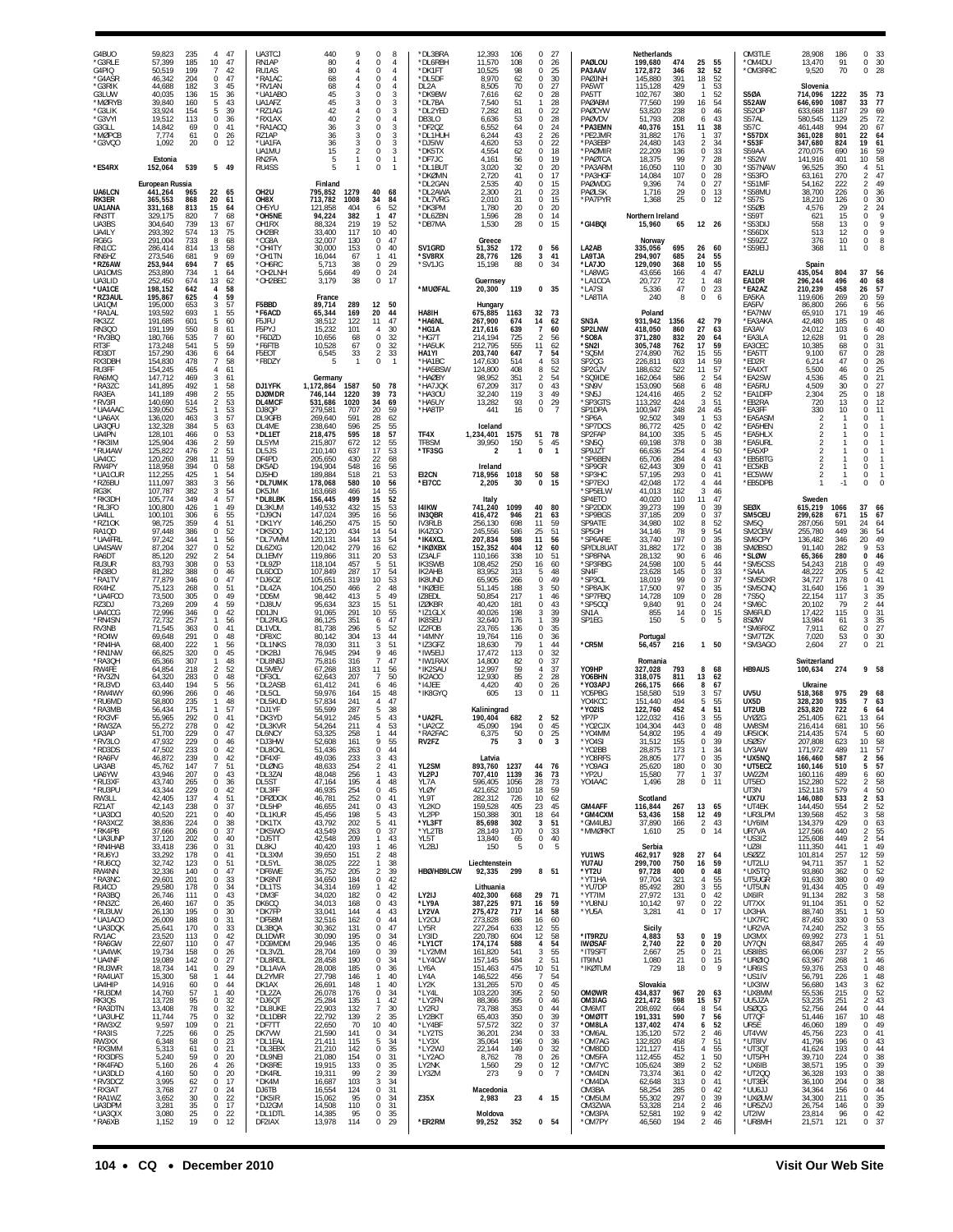| G4BUO<br>*G3RLE<br>G4PIQ                           | 59,823<br>235<br>57,399<br>185<br>199<br>50,519                                        | 47<br>4<br>10<br>47<br>$\overline{7}$<br>42                                                  | UA3TCJ<br>RN1AP<br>RU1AS                         | 440<br>80<br>80                                                                        | 8<br>$\Omega$<br>$\overline{4}$<br>0<br>$\Omega$<br>4                                               | *DL3BRA<br>*DL6RBH<br>*DK1FT                        | 12,393<br>106<br>11,570<br>108<br>10,525<br>98                                           | $\Omega$<br>27<br>0<br>26<br>25<br>$\Omega$                                       | PAØLOU<br>PA3AAV                                           | Netherlands<br>199,680<br>474<br>172,872<br>346                                        | 25<br>55<br>32<br>52                                                                   | OM3TLE<br>*OM4DU<br>*OM3RRC                           | 28.908<br>13,470<br>9,520                                   | 186<br>91<br>70                 | $\Omega$<br>33<br>0<br>30<br>$\mathbf 0$<br>28                                              |
|----------------------------------------------------|----------------------------------------------------------------------------------------|----------------------------------------------------------------------------------------------|--------------------------------------------------|----------------------------------------------------------------------------------------|-----------------------------------------------------------------------------------------------------|-----------------------------------------------------|------------------------------------------------------------------------------------------|-----------------------------------------------------------------------------------|------------------------------------------------------------|----------------------------------------------------------------------------------------|----------------------------------------------------------------------------------------|-------------------------------------------------------|-------------------------------------------------------------|---------------------------------|---------------------------------------------------------------------------------------------|
| *G4ASR<br>*G3RIK<br>G3LUW<br>*MØRYB                | 46.342<br>204<br>44,688<br>182<br>40,035<br>136<br>39,840<br>160                       | 0<br>47<br>3<br>45<br>15<br>36<br>5<br>43                                                    | *RA1AC<br>*RV1AN<br>*UA1ABO<br>UA1AFZ            | 68<br>68<br>45<br>45                                                                   | $\overline{4}$<br>0<br>0<br>4<br>3<br>0<br>3<br>0                                                   | *DL5DF<br>DL2A<br>*DK9BW<br>*DL7BA                  | 8,970<br>62<br>8,505<br>70<br>7,616<br>62<br>7,540<br>51                                 | 30<br>0<br>27<br>0<br>28<br>$^{\circ}$<br>1<br>28                                 | PAØJNH<br>PA5WT<br>PA5TT<br>PAØABM                         | 145,880<br>391<br>115,128<br>429<br>102,767<br>380<br>77,560<br>199                    | 18<br>52<br>53<br>52<br>$\mathbf{1}$<br>54<br>16                                       | S5ØA<br>S52AW                                         | Slovenia<br>714,096<br>646,690                              | 1222<br>1087                    | 35<br>73<br>33<br>77                                                                        |
| *G3LIK<br>*G3VYI<br>G3GLL<br>*MØPCB                | 33,924<br>154<br>19,512<br>113<br>14,842<br>69<br>7,774<br>61<br>20                    | 5<br>39<br>0<br>36<br>41<br>0<br>0<br>26<br>$\mathbb O$<br>-12                               | *RZ1AG<br>*RX1AX<br>*RA1ACQ<br>RZ1AP<br>*UA1FA   | 42<br>40<br>36<br>36<br>3                                                              | 3<br>0<br>$\Omega$<br>$\overline{4}$<br>3<br>$\Omega$<br>$\Omega$<br>3<br>3<br>0                    | *DL2YED<br>DB3LO<br>*DF2QZ<br>*DL1HUH<br>*DJ5IW     | 7,282<br>81<br>6,636<br>53<br>6,552<br>64<br>6,244<br>43<br>4,620<br>53                  | 0<br>22<br>0<br>28<br>24<br>0<br>$\mathfrak{p}$<br>26<br>0<br>22                  | PAØCYW<br>PAØVDV<br>*PA3EMN<br>*PE2JMR<br>*PA3EBF          | 53,820<br>238<br>51,793<br>208<br>40,376<br>151<br>31,882<br>176<br>143                | 46<br>0<br>6<br>43<br>11<br>38<br>37<br>-1<br>2                                        | <b>S520P</b><br>S57AL<br>S57C<br>*S57DX<br>*S53F      | 633,668<br>1187<br>580,545<br>461,448<br>361,028<br>347,680 | 1129<br>994<br>801<br>824       | 29<br>69<br>25<br>72<br>67<br>20<br>22<br>$\begin{array}{c} 64 \\ 61 \end{array}$<br>19     |
| *G3VQO<br>*ES4RX                                   | 1,092<br>Estonia<br>152,064<br>539                                                     | 5 49                                                                                         | UA1MU<br>RN2FA<br>RU4SS                          | 36<br>15<br>5<br>-1                                                                    | 0<br>3<br>$\mathbf{1}$<br>$\Omega$<br>0<br>$\overline{1}$                                           | *DK5TX<br>*DE7.IC<br>*DL1BUT<br>*DKØMN              | 4,554<br>62<br>4,161<br>56<br>3,020<br>32<br>2,720<br>41                                 | 0<br>18<br>19<br>$\Omega$<br>0<br>20<br>$\mathbf 0$<br>17                         | *PAØMIR<br>*PAØTCA<br>*PA3ARM<br>*PA3HGF                   | 24,480<br>22,209<br>136<br>18,375<br>99<br>16,050<br>110<br>14,084<br>107              | 34<br>33<br>0<br>28<br>$\overline{7}$<br>0<br>30<br>$\mathbf 0$<br>28                  | S59AA<br>$*$ S52W<br>*S57NAW<br>*S53FO                | 270,075<br>141,916<br>96,525<br>63,161                      | 690<br>401<br>350<br>270        | 16<br>59<br>10<br>58<br>4<br>51<br>$\sqrt{2}$<br>47                                         |
| UA6LCN<br><b>RK3ER</b><br>UA1ANA                   | European Russia<br>441,264<br>965<br>365,553<br>868<br>331,168<br>813                  | 22<br>65<br>20<br>61<br>15<br>64                                                             | OH <sub>2U</sub><br>OH8X<br>OH5YU                | Finland<br>795,852<br>1279<br>713,782<br>1008<br>121,858<br>404                        | 40<br>68<br>34<br>84<br>52<br>6                                                                     | *DL2GAN<br>*DL2AWA<br>*DL7VRG<br>*DK3PM             | 2,535<br>40<br>2,300<br>21<br>2,010<br>31<br>1,780<br>20                                 | 0<br>15<br>23<br>$\Omega$<br>0<br>15<br>$\mathbf 0$<br>20                         | PAØWDG<br>PAØLSK<br>*PA7PYR                                | 9,396<br>74<br>1,716<br>29<br>1,368<br>25                                              | $\mathbf 0$<br>27<br>13<br>$\mathbf 0$<br>0<br>12                                      | *S51MF<br>*S58MU<br>$*$ S57S<br>*S5ØB                 | 54,162<br>38,700<br>18,210<br>4,576                         | 222<br>226<br>126<br>29         | $\overline{2}$<br>49<br>$\,0\,$<br>36<br>0<br>30<br>$\overline{2}$<br>24                    |
| RN3TT<br>UA3BS<br>UA4LY<br>RG6G                    | 329,175<br>820<br>304,640<br>739<br>293,392<br>574<br>291,004<br>733                   | $\overline{7}$<br>68<br>13<br>67<br>75<br>13<br>8<br>68                                      | *OH5NE<br>OH1RX<br>OH2BR<br>*OG8A                | 94,224<br>382<br>88,324<br>219<br>33,400<br>117<br>32,007<br>130                       | 47<br>$\mathbf{1}$<br>19<br>52<br>40<br>10<br>0<br>47                                               | *DL6ZBN<br>*DB7MA                                   | 1,596<br>28<br>1,530<br>28<br>Greece                                                     | 0<br>14<br>$\mathbf 0$<br>15                                                      | *GI4BQI                                                    | Northern Ireland<br>15,960<br>65<br>Norway                                             | 12 26                                                                                  | $*$ S59T<br>*S53DIJ<br>*S56DX<br>*S59ZZ               | 621<br>558<br>513<br>376                                    | 15<br>13<br>12<br>10            | $\,$ 9<br>$\mathbb O$<br>9<br>0<br>$\overline{9}$<br>0<br>8<br>0                            |
| RN1CC<br>RN6HZ<br>*RZ6AW<br>UA10MS<br>UA3LID       | 814<br>286,414<br>273,546<br>681<br>253,944<br>694<br>253,890<br>734<br>252,450<br>674 | 13<br>58<br>9<br>69<br>$\overline{7}$<br>65<br>$\mathbf{1}$<br>64<br>13<br>62                | *OH4TY<br>*OH1TN<br>*OH6RC<br>*OH2LNF<br>*OH2BEC | 30,000<br>153<br>16,044<br>67<br>5,713<br>38<br>5,664<br>49<br>38<br>3,179             | 40<br>0<br>41<br>$\mathbf{1}$<br>29<br>$\mathbf 0$<br>24<br>0<br>17<br>$\bf 0$                      | SV1GRD<br>*SV8RX<br>*SV1JG                          | 51,352<br>172<br>28,776<br>126<br>15,198<br>88<br>Guernsey                               | 0<br>56<br>3<br>41<br>$\,0\,$<br>34                                               | LA2AB<br>LA9TJA<br>*LA7JO<br>*LA8WG<br>*LA1CCA             | 695<br>335,056<br>294,907<br>685<br>129,090<br>368<br>43,656<br>166<br>72<br>20,727    | 26<br>60<br>24<br>55<br>10<br>55<br>47<br>4<br>48<br>$\mathbf{1}$                      | *S59EIJ<br>EA2LU<br>EA1DR                             | 368<br>Spain<br>435,054<br>296,244                          | 11<br>804<br>496                | 8<br>0<br>37<br>56<br>40<br>68                                                              |
| *UA1CE<br>*RZ3AUL<br>UA1QM<br>*RA1AL               | 198,152<br>642<br>195,867<br>625<br>195,000<br>653<br>193,592<br>693                   | 4<br>58<br>59<br>4<br>3<br>57<br>55<br>$\mathbf{1}$                                          | F5BBD<br>*F6ACD                                  | France<br>89,714<br>289<br>65,344<br>169                                               | 12<br>50<br>20<br>44                                                                                | *MUØFAL<br><b>HA8IH</b>                             | 20,300<br>119<br>Hungary<br>675,885<br>1163                                              | 0 <sub>35</sub><br>32<br>- 73                                                     | *LA7SI<br>*LA8TIA                                          | 5,336<br>47<br>240<br>8<br>Poland                                                      | 0<br>23<br>$\mathbb O$<br>6                                                            | *EA2AZ<br>EA5KA<br>EA5FV<br>*EA7NW                    | 210,239<br>119,606<br>86,800<br>65,910                      | 458<br>269<br>266<br>171        | 26<br>57<br>20<br>59<br>6<br>56<br>19<br>46                                                 |
| RK3ZZ<br><b>RN300</b><br>*RV3BQ<br>RT3F            | 191,685<br>601<br>550<br>191,199<br>180,766<br>535<br>173,248<br>541                   | 5<br>60<br>8<br>61<br>7<br>60<br>5<br>59                                                     | F5JFU<br>F5PYJ<br>*F6DZD<br>*F6FTB               | 38,512<br>122<br>15,232<br>101<br>10,656<br>68<br>10,528<br>67                         | 11<br>47<br>30<br>4<br>32<br>$\mathbf 0$<br>32<br>0                                                 | *HA6NL<br>*HG1A<br>*HG7T<br>*HA5UK                  | 267,900<br>674<br>217,616<br>639<br>725<br>214,194<br>212,795<br>555                     | 14<br>62<br>$\overline{7}$<br>60<br>$\mathfrak{D}$<br>56<br>11<br>62              | SN3A<br>SP2LNW<br>*SO8A<br>*SN2I                           | 931,942<br>1356<br>418,050<br>860<br>832<br>371,280<br>305,748<br>762                  | 42<br>79<br>27<br>63<br>20<br>64<br>17<br>59                                           | *EA3AKA<br>EA3AV<br>*EA3LA<br>EA3CEC                  | 42,480<br>24,012<br>12,628<br>10,385                        | 185<br>103<br>91<br>68          | 0<br>48<br>40<br>6<br>0<br>28<br>31<br>0                                                    |
| RD3DT<br>RX3DBH<br>RU3FF<br>RA6MQ<br>*RA3ZC        | 157,290<br>436<br>154,830<br>478<br>154,245<br>465<br>147,712<br>469<br>492<br>141,895 | 6<br>64<br>58<br>7<br>4<br>61<br>3<br>61<br>58<br>1                                          | F5EOT<br>*F8DZY<br>DJ1YFK                        | 6,545<br>33<br>$\mathbf{1}$<br>5<br>Germany<br>1,172,864<br>1587                       | 33<br>$\overline{2}$<br>0<br>$\overline{1}$<br>50<br>78                                             | HA1YI<br>*HA1BC<br>*HA5BSW<br>*HAØBY<br>*HA7JQK     | 203,740<br>647<br>147,630<br>514<br>124,800<br>408<br>98,952<br>351<br>67,209<br>317     | 54<br>7<br>53<br>4<br>52<br>8<br>54<br>2<br>43<br>$\boldsymbol{0}$                | *SQ5M<br><b>SP20G</b><br>SP2GJV<br>*SQ9IDE<br>*SN9V        | 274,890<br>762<br>226,811<br>603<br>522<br>188,632<br>162,064<br>586<br>153,090<br>568 | 55<br>15<br>14<br>59<br>57<br>11<br>$\overline{2}$<br>54<br>48<br>6                    | *EA5TT<br>*ED2R<br>*EA4XT<br>*EA2SW<br>*EA5RU         | 9,100<br>6,214<br>5,500<br>4,536<br>4,509                   | 67<br>47<br>46<br>45<br>30      | 28<br>0<br>26<br>$\mathbf 0$<br>25<br>0<br>$\frac{21}{27}$<br>$\mathbf 0$<br>$\overline{0}$ |
| RA3EA<br>*RV3FI<br>*UA4AAC<br>*UA6AX               | 141,189<br>498<br>140,690<br>514<br>139,050<br>525<br>136,020<br>463                   | 2<br>55<br>$\overline{2}$<br>53<br>$\mathbf{1}$<br>53<br>57<br>3                             | <b>DJØMDR</b><br>DL4MCF<br>DJ8QP<br>DL9GFB       | 746,144<br>1220<br>531,686<br>1020<br>279,581<br>707<br>269,640<br>591                 | 39<br>73<br>34<br>69<br>20<br>59<br>28<br>62                                                        | *HA3OU<br>*HA5UY<br>*HA8TP                          | 32,240<br>119<br>93<br>13,282<br>441<br>16                                               | 3<br>49<br>$\,0\,$<br>29<br>0<br>$\overline{7}$                                   | *SN5J<br>*SP3GTS<br>SP1DPA<br>*SP6A                        | 124,416<br>465<br>113,292<br>424<br>100,947<br>248<br>92,502<br>349                    | $\overline{2}$<br>52<br>51<br>3<br>24<br>45<br>53<br>$\mathbf{1}$                      | *EA1DFP<br>*EB2RA<br>*EA3FF<br>*EA5ASM                | 2,304<br>720<br>330<br>2                                    | 25<br>13<br>10<br>-1            | 0<br>18<br>$\,0\,$<br>12<br>0<br>11<br>0<br>-1                                              |
| UA3QFL<br>UA4PN<br>*RK3IM<br>*RU4AW<br>UA4CC       | 132,328<br>384<br>128,101<br>466<br>125,904<br>436<br>125,822<br>476<br>120,260<br>298 | 5<br>63<br>0<br>53<br>2<br>59<br>$\overline{2}$<br>51<br>11<br>59                            | DL4ME<br>*DL1ET<br>DL5YM<br>DL5JS<br>DF4PD       | 238,640<br>596<br>218,475<br>595<br>215,807<br>672<br>210,140<br>637<br>205,650<br>430 | 25<br>55<br>18<br>57<br>12<br>$\frac{55}{53}$<br>17<br>22<br>68                                     | TF4X<br>TF8SM<br>*TF3SG                             | Iceland<br>1,234,401<br>1575<br>150<br>39,950<br>$\mathbf{1}$<br>$\overline{\mathbf{z}}$ | 78<br>51<br>5<br>45<br>$\pmb{0}$<br>$\overline{1}$                                | *SP7DCS<br>SP2FAP<br>*SN5Q<br>SP9JZT<br>*SP6BEN            | 86,772<br>425<br>84.100<br>335<br>69,198<br>378<br>66,636<br>254<br>284<br>65,706      | 0<br>42<br>45<br>5<br>0<br>38<br>50<br>4<br>43<br>$\overline{4}$                       | *EA5HEN<br>*EA5HLX<br>*EA5URL<br>*EA5XP<br>*EB5BTG    | 2                                                           |                                 | 0<br>$\mathbf 0$<br>0<br>$\mathbf 0$<br>0<br>-1                                             |
| RW4PY<br>*UA1CUR<br>*RZ6BU<br>RG3K                 | 118,958<br>394<br>112,255<br>425<br>111,097<br>383<br>107,787<br>382                   | 0<br>58<br>54<br>$\mathbf{1}$<br>56<br>3<br>54<br>3                                          | DK5AD<br>DJ5HD<br>*DL7UMK<br>DK5JM               | 194,904<br>548<br>189,884<br>518<br>178,068<br>580<br>163,668<br>466                   | 16<br>56<br>53<br>21<br>10<br>56<br>55<br>14                                                        | EI2CN<br>*EI7CC                                     | Ireland<br>718,956<br>1018<br>2,205<br>30                                                | 50<br>58<br>0<br>15                                                               | *SP9GR<br>*SP3HC<br>*SP7EXJ<br>*SP5ELW                     | 309<br>62,443<br>57,195<br>293<br>42,048<br>172<br>41,013<br>162                       | $\bf 0$<br>41<br>$\mathbf 0$<br>41<br>44<br>$\overline{4}$<br>3<br>46                  | *EC5KB<br>*EC5WW<br>*EB5DPB                           | $\mathfrak{p}$<br>2                                         |                                 | $\mathbf 0$<br>$\overline{1}$<br>0<br>$\overline{1}$<br>$\mathbf 0$<br>$\mathbf 0$          |
| *RK3DH<br>*RL3FO<br>UA4LL<br>*RZ10K                | 105,774<br>349<br>426<br>100,800<br>100,101<br>306<br>359<br>98,725                    | 57<br>4<br>49<br>$\mathbf{1}$<br>55<br>6<br>51<br>4                                          | *DL8LBK<br>DL3KUM<br>*DJ9CN<br>*DK1YY            | 156,445<br>499<br>149,532<br>432<br>147,024<br>395<br>146,250<br>475                   | 15<br>52<br>53<br>15<br>16<br>56<br>15<br>50                                                        | 141KW<br><b>IN3QBR</b><br>IV3RLB                    | Italy<br>741,240<br>1099<br>416,472<br>946<br>698<br>256,130                             | 40<br>80<br>21<br>63<br>11<br>59                                                  | SP4ETO<br>*SP2DDX<br>*SP9BGS<br>SP9ATE                     | 40,020<br>110<br>199<br>39,273<br>37,185<br>209<br>34,980<br>102                       | 11<br>47<br>0<br>39<br>0<br>37<br>52<br>8<br>9                                         | <b>SEØX</b><br>SM5CEU<br>SM5Q                         | Sweden<br>615,219<br>299,628<br>287,056                     | 1066<br>671<br>591              | 37<br>66<br>15<br>67<br>24<br>64                                                            |
| RA1QD<br>*UA4FRL<br>UA4SAW<br>RA6DT<br>RU3UR       | 97,448<br>386<br>97,242<br>344<br>87,204<br>327<br>85,120<br>292<br>83,793<br>308      | 0<br>52<br>56<br>$\mathbf{1}$<br>0<br>52<br>54<br>$\overline{2}$<br>0<br>53                  | *DK5DQ<br>*DL7VMM<br>DL6ZXG<br>DL1EMY<br>*DL9ZP  | 142,120<br>434<br>120,131<br>344<br>120,042<br>279<br>119,866<br>311<br>118,104<br>457 | 14<br>54<br>13<br>54<br>16<br>62<br>20<br>53<br>5<br>51                                             | IK4ZGO<br>*IK4XCL<br>*IKØXBX<br>IZ3ALF<br>IK3SWB    | 245,556<br>586<br>207,834<br>598<br>152,352<br>404<br>338<br>110,166<br>108,452<br>250   | 25<br>51<br>11<br>56<br>12<br>60<br>51<br>10 <sup>1</sup><br>60<br>16             | SP5GH<br>*SP6ARE<br>SP/DL8UAT<br>*SP8FNA<br>*SP3RBG        | 34,146<br>78<br>33,740<br>197<br>31,882<br>172<br>28,132<br>90<br>24,598<br>100        | 54<br>$\mathbf 0$<br>35<br>0<br>38<br>46<br>6<br>44<br>5                               | SM2CEW<br>SM6CPY<br><b>SMØBSO</b><br>*SLØW<br>*SM5CSS | 255,780<br>136,482<br>91,140<br>65,366<br>54.243            | 449<br>346<br>282<br>280<br>218 | 36<br>54<br>49<br>20<br>53<br>9<br>46<br>$\pmb{0}$<br>0<br>49                               |
| RN3BO<br>*RA1TV<br>RX4HZ<br>*UA4FCO                | 81,282<br>388<br>346<br>77,879<br>75,123<br>268<br>73,500<br>305                       | 0<br>46<br>0<br>47<br>0<br>51<br>0<br>49                                                     | DL6DCD<br>*DJ6OZ<br>*DL4ZA<br>*DD5M              | 107,849<br>287<br>105,651<br>319<br>104,250<br>466<br>98,442<br>413                    | 17<br>54<br>53<br>10<br>$\overline{2}$<br>48<br>49<br>5                                             | IK2AHB<br><b>IK8UND</b><br>*IKØEIE<br>IZ8EDL        | 313<br>83,952<br>65,905<br>266<br>51,145<br>188<br>50,854<br>217                         | 5<br>48<br>49<br>0<br>3<br>50<br>1<br>46                                          | SN4F<br>*SP3OL<br>*SP8AJK<br>*SP7FBQ                       | 23,628<br>145<br>99<br>18,019<br>97<br>17,500<br>109<br>14,728                         | $\bf 0$<br>33<br>37<br>$\mathbf 0$<br>35<br>0<br>$\mathbf 0$<br>28                     | *SA4A<br>*SM5DXR<br>*SM5CNO<br>*7S5Q                  | 48,222<br>34,727<br>31,640<br>22,154                        | 205<br>178<br>156<br>117        | 5<br>42<br>$\,0\,$<br>41<br>39<br>1<br>35<br>3                                              |
| RZ3DJ<br>UA4CCG<br>*RN4SN<br>RV3NB                 | 73,269<br>209<br>72,996<br>346<br>72,732<br>257<br>71,545<br>363                       | 59<br>4<br>0<br>42<br>$\mathbf{1}$<br>56<br>0<br>41                                          | *DJ8UV<br>DD1JN<br>*DL2RUG<br>DL1VDL             | 95,634<br>323<br>91,065<br>291<br>86,125<br>351<br>81.738<br>296                       | 51<br>15<br>10<br>55<br>47<br>6<br>52<br>5                                                          | <b>IZØKBR</b><br>*IZ1GLX<br><b>IK8SEU</b><br>IZ2FOB | 40,420<br>181<br>198<br>40,026<br>32,640<br>176<br>23,765<br>136                         | 0<br>43<br>39<br>3<br>39<br>1<br>0<br>35                                          | *SP5CQI<br>SN1A<br>SP1EG                                   | 91<br>9,840<br>855<br>14<br>5<br>150                                                   | 24<br>0<br>0<br>15<br>5<br>$\mathbf 0$                                                 | *SM6C<br>SM6FUD<br>8SØW<br>*SM6RXZ                    | 20,102<br>17,422<br>13,984<br>7,911                         | 79<br>115<br>61<br>62           | 44<br>2<br>31<br>0<br>35<br>3<br>27<br>$\,0\,$                                              |
| *R04W<br>*RN4HA<br>*RN1NW<br>*RA3OH<br>RW4FE       | 69,648<br>291<br>68,400<br>222<br>66,825<br>320<br>65,366<br>307<br>64,854<br>218      | 0<br>48<br>56<br>$\mathbf{1}$<br>0<br>45<br>48<br>$\mathbf{1}$<br>$\overline{2}$<br>52       | *DF8XC<br>*DL1NKS<br>*DK2BJ<br>*DL8NBJ<br>DL5MEV | 80,142<br>304<br>78,030<br>311<br>76,945<br>294<br>75,816<br>316<br>67,268<br>183      | 13<br>44<br>3<br>51<br>9<br>46<br>47<br>$\overline{7}$<br>11<br>56                                  | *I4MNY<br>*IZ3GFZ<br>*IW5EIJ<br>*IW1RAX<br>*IK2SAU  | 19,764<br>116<br>79<br>18,630<br>17,472<br>113<br>14,800<br>82<br>12,997<br>59           | 0<br>36<br>44<br>$\mathbf{1}$<br>0<br>32<br>$\mathbf 0$<br>37<br>37<br>4          | *CR5M<br>Y09HP                                             | Portugal<br>216<br>56,457<br>Romania<br>327,028<br>793                                 | 1 50<br>8<br>68                                                                        | *SM7TZK<br>*SM3AGO<br><b>HB9AUS</b>                   | 7,020<br>2,604<br>Switzerland<br>100,634                    | 53<br>27<br>274                 | 30<br>0<br>21<br>$\bf 0$<br>9 58                                                            |
| *RV3ZN<br>*RU3VD<br>*RW4WY<br>*RU6MD               | 64,320<br>283<br>63,440<br>194<br>60,996<br>266<br>235<br>58,800                       | 0<br>48<br>5<br>56<br>$\mathsf 0$<br>46<br>48<br>$\mathbf{1}$                                | *DF3OL<br>*DL2ASB<br>*DL5CL<br>*DL5KUD           | 62,643<br>207<br>61,412<br>241<br>59,976<br>164<br>57,834<br>241                       | $\overline{7}$<br>50<br>46<br>6<br>15<br>48<br>47<br>4                                              | IK2A00<br>*I4JEE<br>*IK8GYQ                         | 12,930<br>85<br>4,420<br>40<br>605<br>13                                                 | $\overline{2}$<br>28<br>0<br>26<br>$\bf 0$<br>11                                  | YO6BHN<br>*YO3APJ<br>YO5PBG<br>YO4KCC                      | 318,075<br>811<br>266,175<br>666<br>158,580<br>519<br>494<br>151,440                   | 13<br>62<br>8<br>67<br>3<br>57<br>55<br>5                                              | UV <sub>5U</sub><br>UX5D                              | Ukraine<br>518,368<br>328,230                               | 975<br>935                      | 29<br>68<br>$\overline{7}$<br>63                                                            |
| *RA3MB<br>*RX3VF<br>*RW3ZA<br>UA3AP<br>RV3LO       | 56,434<br>175<br>292<br>55,965<br>55,272<br>278<br>51,700<br>229<br>47,932<br>229      | $\mathbf{1}$<br>57<br>0<br>41<br>0<br>42<br>$\Omega$<br>47<br>0<br>46                        | *DJ1YF<br>*DK3YD<br>*DL3KVR<br>DL6NCY<br>*DJ3HW  | 55,599<br>287<br>54,912<br>245<br>54,264<br>211<br>53,325<br>258<br>52,608<br>161      | 5<br>38<br>5<br>43<br>4<br>53<br>44<br>1<br>9<br>55                                                 | *UA2FL<br>*UA2CZ<br>*RA2FAC<br>RV2FZ                | Kaliningrad<br>190.404<br>682<br>45,090<br>194<br>50<br>6,375<br>75<br>3                 | $\overline{2}$<br>52<br>0<br>45<br>$^{\circ}$<br>-25<br>0<br>3                    | *YO2IS<br>YP7P<br>*YO2CJX<br>*Y04MM<br>*Y04SI              | 122,760<br>452<br>122,032<br>416<br>104,304<br>443<br>54,802<br>195<br>31,512<br>155   | 4<br>51<br>55<br>3<br>$\mathbb O$<br>48<br>49<br>Δ<br>0<br>39                          | UT2UB<br><b>UYØZG</b><br>UW8SM<br>UR5IOK<br>USØSY     | 253,820<br>251,405<br>216,414<br>214,435<br>207,808         | 722<br>621<br>681<br>574<br>623 | 6<br>64<br>64<br>13<br>56<br>10<br>60<br>5<br>10<br>58                                      |
| *RD3DS<br>*RA6FV<br>UA3AB<br>UA6YW                 | 233<br>47,502<br>46,872<br>239<br>147<br>45,762<br>43,946<br>207                       | 42<br>0<br>0<br>42<br>$\overline{7}$<br>51<br>0<br>43                                        | *DL8CKL<br>*DF4XF<br>*DLØNG<br>*DL3ZAI           | 51,436<br>263<br>49,036<br>233<br>254<br>48,633<br>48,048<br>256                       | 44<br>$^{\circ}$<br>3<br>43<br>$\overline{2}$<br>41<br>$\mathbf{1}$<br>43                           | YL2SM<br>YL2PJ                                      | Latvia<br>893,760<br>1237<br>707,410<br>1139                                             | 44<br>76<br>36<br>73                                                              | *YO2BB<br>*Y08RFS<br>*Y09AGI<br>*YP2U                      | 173<br>28,875<br>28,805<br>177<br>180<br>25,620<br>15,580<br>77                        | 34<br>$\mathbf{1}$<br>0<br>35<br>$\mathbf 0$<br>30<br>$\mathbf{1}$<br>37               | UY3AW<br>*ux5nq<br>*UT5ECZ<br>UW2ZM                   | 171,972<br>166,460<br>160,146<br>160,116                    | 489<br>587<br>510<br>489        | 57<br>11<br>$\overline{\mathbf{2}}$<br>56<br>5<br>57<br>6<br>60                             |
| *RU3XF<br>*RU3PU<br>RW3LL<br>RZ1AT                 | 43,740<br>265<br>43,344<br>229<br>42,405<br>137<br>42,143<br>238                       | $\mathbf 0$<br>36<br>0<br>42<br>51<br>4<br>0<br>37                                           | DL5ST<br>*DL3FF<br>*DFØDOX<br>*DL5HP             | 195<br>47,164<br>46,935<br>254<br>46,781<br>252<br>46,655<br>241                       | 48<br>$\overline{4}$<br>0<br>45<br>41<br>$\Omega$<br>0<br>43                                        | YL7A<br>YLØY<br>YL9T<br>YL2KO                       | 596,405<br>1056<br>421,652<br>1010<br>282,312<br>726<br>159,528<br>405                   | 73<br>28<br>18<br>59<br>10 <sup>1</sup><br>62<br>23<br>45                         | YO4AAC<br><b>GM4AFF</b>                                    | 1,496<br>28<br>Scotland<br>116,844<br>267                                              | $0$ 11<br>13<br>65                                                                     | UT5EO<br>UT3N<br>*UX7U<br>*UT4EK                      | 152,280<br>152,118<br>146,080<br>144,450                    | 522<br>579<br>533<br>554        | $\overline{2}$<br>58<br>50<br>4<br>$\overline{2}$<br>53<br>$\frac{2}{3}$<br>$\frac{52}{58}$ |
| *UA3DCI<br>*RA3XCZ<br>*RK4PB<br>*UA3UNP<br>*RN4HAB | 221<br>40,520<br>224<br>38,836<br>37,666<br>206<br>37,120<br>202<br>33,418<br>236      | $\mathsf 0$<br>40<br>0<br>38<br>37<br>$\mathbf 0$<br>$\mathbf 0$<br>40<br>$\mathsf 0$<br>31  | *DL1KUR<br>*DK1TX<br>*DK5WO<br>*DJ5TT<br>DL8KJ   | 45,456<br>198<br>43,792<br>202<br>43,549<br>263<br>42,548<br>209<br>40,420<br>193      | 5<br>43<br>41<br>5<br>37<br>$\mathbf 0$<br>43<br>$\mathbf{1}$<br>$\mathbf{1}$<br>46                 | YL2PP<br>*YL3FT<br>*YL2TB<br>YL5T<br>YL2BJ          | 301<br>150,388<br>302<br>85,698<br>170<br>28,149<br>13,840<br>65<br>5<br>150             | 18<br>64<br>51<br>3<br>$\bf 0$<br>33<br>$\mathbf 0$<br>40<br>$\bf 0$<br>- 5       | <b>*GM4CXM</b><br>*GM4UBJ<br>*MMØRKT                       | 53,436<br>158<br>166<br>37,890<br>1,610<br>25<br>Serbia                                | 12<br>49<br>$\sqrt{2}$<br>43<br>$\bf 0$<br>14                                          | *UR3LPM<br>*UY6IM<br>UR7VA<br>*US3IZ<br>*UZ8I         | 139,568<br>134,379<br>127,566<br>125,608<br>111,350         | 452<br>429<br>440<br>449<br>441 | $\,0\,$<br>63<br>$\overline{2}$<br>55<br>54<br>$\overline{2}$<br>49<br>$\mathbf{1}$         |
| *RU6YJ<br>*RU6CQ<br>RW4NN<br>*RA3NC                | 33,292<br>178<br>32,742<br>123<br>32,336<br>140<br>29,601<br>201                       | 0<br>41<br>$\mathbf 0$<br>51<br>0<br>47<br>0<br>33                                           | *DL3XM<br>*DL5YL<br>*DF6WE<br>*DK8NT             | 39,650<br>151<br>38,025<br>222<br>35,752<br>205<br>34,650<br>184                       | 48<br>2<br>38<br>$\mathbf{1}$<br>39<br>2<br>42<br>0                                                 | HBØ/HB9LCW                                          | Liechtenstein<br>92,335<br>299                                                           | 8 51                                                                              | YU1WS<br>YU7AU<br>*YT2U<br>*YT1HA                          | 928<br>462,917<br>299,700<br>750<br>400<br>97,728<br>97,704<br>321                     | 27<br>64<br>16<br>59<br>0<br>48<br>$\overline{4}$<br>55                                | USØZZ<br>*UT2LU<br>*UX5TQ<br>UT5UGR                   | 101,814<br>94,711<br>93,860<br>91,630                       | 257<br>357<br>362<br>380        | 59<br>12<br>52<br>$\mathbf{1}$<br>52<br>$\bf{0}$<br>49<br>0                                 |
| RU4CO<br>*RA3BQ<br>*RN3ZC<br>*RU3UW<br>*UA1ACO     | 29,580<br>178<br>26,746<br>111<br>26,460<br>167<br>26,130<br>195<br>188<br>26,009      | $\mathbb O$<br>34<br>0<br>43<br>$\mathbf 0$<br>35<br>0<br>30<br>$\mathbb O$<br>31            | *DL1TS<br>*DM3F<br>DK6CQ<br>*DK7FP<br>*DF5BM     | 34,314<br>169<br>34,020<br>182<br>34.013<br>168<br>33,041<br>144<br>32,516<br>162      | 42<br>$\mathbf{1}$<br>0<br>42<br>$\mathbf 0$<br>43<br>4<br>43<br>$\mathbf 0$<br>44                  | LY2IJ<br>*LY9A<br>LY2VA<br>LY20U                    | Lithuania<br>402,300<br>668<br>387,225<br>971<br>275,472<br>717<br>273,828<br>686        | 29<br>71<br>59<br>16<br>14<br>58<br>60<br>16                                      | *YU7DP<br>*YT7IM<br>*YU8NU<br>*YU5A                        | 85,492<br>280<br>27,972<br>131<br>97<br>10,142<br>3,281<br>41                          | 55<br>3<br>$\bf{0}$<br>42<br>$\bf 0$<br>22<br>$\bf{0}$<br>17                           | *UT5UN<br>UX6IR<br>UT7XX<br>UX3HA<br>*UX7FC           | 91,434<br>91,134<br>91,104<br>88,740<br>87,450              | 405<br>282<br>351<br>351<br>330 | $\,0\,$<br>49<br>3<br>58<br>52<br>$\bf 0$<br>50<br>$\mathbf{1}$<br>$\mathbf 0$<br>53        |
| *UA3DQK<br>RV1AC<br>*RA6GW<br>*UA4WK               | 25,641<br>170<br>23,520<br>113<br>22,607<br>110<br>19,734<br>158                       | 0<br>33<br>$\mathsf 0$<br>42<br>47<br>0<br>$\mathbf 0$<br>26                                 | DL3BQA<br>DL1DWR<br>*DG9MDM<br>*DL3VZL           | 30,362<br>131<br>30,090<br>195<br>29,946<br>135<br>28,704<br>169                       | 0<br>47<br>34<br>0<br>46<br>$^{\circ}$<br>0<br>39                                                   | LY5R<br>LY3ID<br>*LY1CT<br>*LY2MM                   | 227,264<br>633<br>220,780<br>604<br>588<br>174,174<br>541<br>161,820                     | 12<br>55<br>12<br>58<br>54<br>4<br>3<br>55                                        | *IT9RZU<br><b>IWØSAF</b><br>*IT9SFT                        | Sicily<br>4,883<br>53<br>22<br>2,740<br>25<br>2,667                                    | 0<br>19<br>0<br>20<br>$\bf{0}$<br>21                                                   | *UR2VA<br>UX3MX<br>UY7QN<br>US8IBS                    | 74,240<br>69,992<br>68,847<br>66,006                        | 252<br>273<br>265<br>237        | 55<br>3<br>$\mathbf{1}$<br>51<br>49<br>$\overline{4}$<br>$\overline{2}$<br>55               |
| *UA4NF<br>*RU3WR<br>*RA4UAT<br>UA4HIP              | 19,089<br>142<br>18,734<br>141<br>15,300<br>58<br>14,916<br>60                         | $\mathbf 0$<br>27<br>0<br>29<br>44<br>$\overline{1}$<br>$\mathbb O$<br>44                    | *DL8RDL<br>*DL1AVA<br>DL2YMR<br>DK1AX            | 190<br>28,458<br>28,008<br>185<br>27,798<br>146<br>26,691<br>148                       | 34<br>$^{\circ}$<br>0<br>36<br>40<br>$\overline{1}$<br>$\overline{1}$<br>40                         | *LY4CW<br>LY6A<br>LY4A<br>LY2K                      | 584<br>157,145<br>151,463<br>475<br>146,522<br>456<br>131,265<br>570                     | $\overline{2}$<br>51<br>10<br>51<br>54<br>-7<br>45<br>0                           | LMIPTI<br>*IKØTUM                                          | 21<br>1,080<br>18<br>729<br>Slovakia                                                   | $\bf 0$<br>15<br>$\mathbf 0$<br>9                                                      | *URØIQ<br>*UR6IS<br>*US1IV<br>*UX3IW                  | 63,967<br>59,376<br>56,791<br>56,680                        | 268<br>253<br>226<br>143        | 46<br>$\mathbf{1}$<br>48<br>0<br>48<br>1<br>3<br>62                                         |
| *RU3DM<br>RK3QS<br>*RA3DTN<br>*UA3UHZ<br>*RW3XZ    | 57<br>14,760<br>13,728<br>95<br>78<br>13,408<br>11,744<br>75<br>9,597<br>109           | 40<br>$\mathbf{1}$<br>0<br>32<br>$\mathbb O$<br>32<br>$\mathbf 0$<br>32<br>$\mathbf 0$<br>21 | *DL2ZA<br>*DJ6QT<br>*DL8UKE<br>*DL1DBR<br>*DF7TT | 26,078<br>176<br>25,284<br>135<br>22,903<br>132<br>22,792<br>139<br>70<br>22.650       | 34<br>$\mathbf 0$<br>42<br>$\mathbf{1}$<br>$\overline{7}$<br>30<br>2<br>35<br>10 <sup>°</sup><br>40 | *LY4L<br>*LY2FN<br>LY2RJ<br>LY2BKT<br>*LY4BF        | 103,220<br>395<br>88,366<br>395<br>73,788<br>353<br>65,403<br>350<br>57,572<br>322       | 50<br>$\overline{2}$<br>0<br>46<br>$\bf 0$<br>44<br>0<br>39<br>$\mathbf{0}$<br>37 | <b>OMØWR</b><br>OM3IAG<br><b>OM6MT</b><br>*OMØTT<br>*OM8LA | 434,837<br>967<br>221,472<br>598<br>664<br>208,692<br>191,331<br>590<br>137,402<br>474 | 20<br>63<br>15<br>57<br>$^{\rm 8}$<br>54<br>$\overline{7}$<br>56<br>52<br>6            | *UX8MM<br>UU5JZA<br>USØQG<br>UT7QF<br>UR5F            | 55,536<br>53,235<br>52,756<br>51,446<br>46,060              | 215<br>251<br>244<br>167<br>189 | 52<br>0<br>2<br>43<br>$\mathbf{0}$<br>44<br>10<br>48<br>$\bf 0$<br>49                       |
| *RA3IS<br>RW3XX<br>*RX3MM<br>*RX3DFS               | 7,225<br>66<br>6,348<br>58<br>5,313<br>61<br>5,240<br>59                               | 0<br>25<br>0<br>23<br>0<br>21<br>0<br>20                                                     | DK7VW<br>*DL1EAL<br>*DL3EBX<br>*DL9NEI           | 21,590<br>141<br>21,411<br>115<br>21,210<br>142<br>21,080<br>154                       | $\mathbf 0$<br>34<br>34<br>-5<br>$\mathbf 0$<br>35<br>31<br>0                                       | *LY2TS<br>*LY3X<br>*LY2WJ<br>*LY2AO                 | 36,201<br>234<br>196<br>35,064<br>22,144<br>149<br>78<br>8,762                           | 0<br>33<br>$\Omega$<br>36<br>0<br>32<br>$\bf 0$<br>26                             | *OM6AL<br>*OM7AG<br>*OM8DD<br>*OM5FA                       | 135,120<br>572<br>132,820<br>458<br>121,127<br>415<br>112,455<br>452                   | 46<br>2<br>51<br>$\overline{7}$<br>$\overline{4}$<br>55<br>50<br>$\mathbf{1}$          | UT4VW<br>*UT8IV<br>*UT3QT<br>*UT5PH                   | 45,756<br>41,796<br>41,624<br>39,710                        | 223<br>196<br>193<br>224        | 0<br>41<br>$\bf 0$<br>43<br>0<br>44<br>$\bf 0$<br>38                                        |
| *RK4FAD<br>*UA3DLD<br>*RV3DCZ<br>*RX3AT            | 26<br>5,160<br>4,160<br>50<br>3,995<br>62<br>27<br>3,768                               | 26<br>4<br>$\mathbf 0$<br>20<br>$\mathbf 0$<br>-17<br>0<br>24                                | *DK8RE<br>*DK4RL<br>*DK4M<br>DJ6TB               | 19,915<br>133<br>19,311<br>99<br>103<br>16,687<br>16,554<br>124                        | 35<br>0<br>39<br>$\overline{2}$<br>34<br>3<br>31<br>0<br>$\Omega$                                   | LY2NK<br>LY3ZM<br>Z35X                              | 29<br>1,560<br>9<br>273<br>Macedonia                                                     | $\mathbf 0$<br>12<br>$\bf 0$<br>$\overline{7}$                                    | *OM7YC<br>*OM4DN<br>*OM4DA<br>OM3BA                        | 105,624<br>389<br>73,374<br>361<br>62,648<br>313<br>58,254<br>285<br>297               | 52<br>$\overline{2}$<br>$\mathbb O$<br>42<br>$\bf 0$<br>41<br>$\mathbf 0$<br>42        | *UX6IB<br>*UT200<br>*UT3EK<br>LLOUU*                  | 38,571<br>36,328<br>36,100<br>34,364                        | 195<br>193<br>204<br>156        | 39<br>$\bf{0}$<br>38<br>0<br>38<br>0<br>44<br>0                                             |
| *RA1WZ<br>UA3DPM<br>*UA3QIX<br>*RA6XB              | 30<br>3,652<br>35<br>3,281<br>25<br>3,080<br>1,152<br>19                               | 22<br>0<br>17<br>$\mathbf 0$<br>0<br>22<br>0<br>12                                           | *DK5IR<br>*DJ2GM<br>*DL1DTL<br>DF2IAX            | 95<br>15,062<br>14,508<br>110<br>14,385<br>95<br>13,978<br>114                         | 34<br>31<br>0<br>35<br>$^{\circ}$<br>29<br>0                                                        | *ER2RM                                              | 23<br>2,983<br>Moldova<br>99,252<br>352                                                  | 4<br>15<br>0 <sub>54</sub>                                                        | *OM5UM<br>OM3ZWA<br>*OM3PA<br>*OM7PY                       | 55,302<br>53,328<br>214<br>52,581<br>192<br>46,560<br>194                              | $\bf{0}$<br>39<br>$\overline{2}$<br>46<br>$\overline{9}$<br>42<br>$\overline{2}$<br>46 | *uxøuw<br>*UR5ZVJ<br>UT2IW<br>*UR8MH                  | 34,300<br>26,754<br>23,814<br>21,571                        | 211<br>146<br>96<br>121         | 35<br>0<br>39<br>0<br>42<br>0<br>$\bf{0}$<br>37                                             |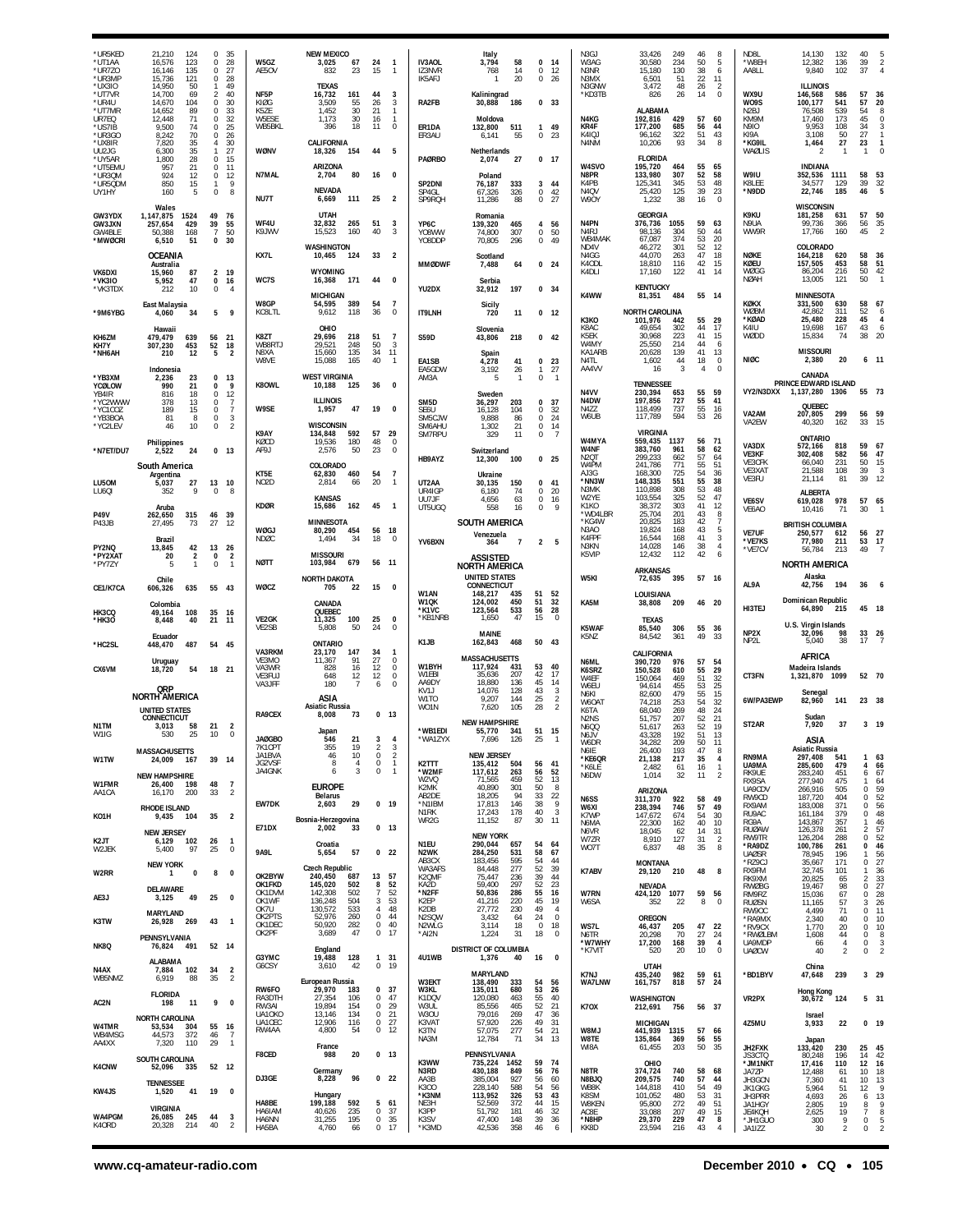| *UR5KED<br>*UT1AA<br>*UR7Z0<br>*UR3MP                  | 21,210<br>124<br>16,576<br>123<br>16,146<br>135<br>15,736<br>121                             | $\Omega$<br>35<br>28<br>$\Omega$<br>27<br>$\Omega$<br>0<br>28                                 | W5GZ<br>AE5OV                           | <b>NEW MEXICO</b><br>3,025<br>67<br>832<br>23                                           | 24<br>$\overline{1}$<br>15<br>$\mathbf{1}$                                                    | IV3AOL<br>IZ3NVR<br>IK5AFJ                               | Italy<br>3,794<br>58<br>14<br>768<br>20<br>$\mathbf{1}$             | 0<br>14<br>$\mathbf{0}$<br>12<br>0<br>26                                 | N3GJ<br>W3AG<br>N3NR<br>N3MX                             | 33,426<br>249<br>30,580<br>234<br>130<br>15,180<br>6,501<br>51            | 8<br>46<br>50<br>5<br>38<br>6<br>22<br>11             | ND8L<br>*W8EH<br>AA8LL                                         | 14,130<br>12,382<br>9,840                                          | 132<br>136<br>102                      | 40<br>39<br>$\overline{2}$<br>37<br>$\mathbf{A}$                               |
|--------------------------------------------------------|----------------------------------------------------------------------------------------------|-----------------------------------------------------------------------------------------------|-----------------------------------------|-----------------------------------------------------------------------------------------|-----------------------------------------------------------------------------------------------|----------------------------------------------------------|---------------------------------------------------------------------|--------------------------------------------------------------------------|----------------------------------------------------------|---------------------------------------------------------------------------|-------------------------------------------------------|----------------------------------------------------------------|--------------------------------------------------------------------|----------------------------------------|--------------------------------------------------------------------------------|
| *UX3IO<br>*UT7VR<br>*UR4U<br>*UT7MR<br>UR7EQ<br>*US7IB | 14,950<br>50<br>14,700<br>69<br>104<br>14,670<br>14,652<br>89<br>12,448<br>71<br>9,500<br>74 | 49<br>-1<br>$\overline{2}$<br>40<br>30<br>$\Omega$<br>0<br>33<br>$\mathbf 0$<br>32<br>25<br>0 | NF5P<br>KIØG<br>K5ZE<br>W5ESE<br>WB5BKL | <b>TFXAS</b><br>16,732<br>161<br>55<br>3.509<br>1,452<br>30<br>1,173<br>30<br>396<br>18 | 44<br>3<br>26<br>$\mathbf{3}$<br>21<br>$\mathbf{1}$<br>16<br>$\mathbf{1}$<br>11<br>$^{\circ}$ | RA2FB<br>ER1DA                                           | Kaliningrad<br>30,888<br>186<br>Moldova<br>132,800<br>511           | 0, 33<br>$\mathbf{1}$<br>49                                              | N3GNW<br>*KD3TB<br>N4KG<br>KR4F                          | 48<br>3,472<br>26<br>826<br>ALABAMA<br>192,816<br>429<br>177,200<br>685   | 26<br>2<br>$\bf 0$<br>14<br>57<br>60<br>56<br>44      | WX9U<br>W <sub>09</sub> S<br>N <sub>2</sub> BJ<br>KM9M<br>N9IO | <b>ILLINOIS</b><br>146,568<br>100,177<br>76,508<br>17,460<br>9,953 | 586<br>541<br>539<br>173<br>108        | 57<br>36<br>20<br>57<br>54<br>8<br>45<br>$\Omega$<br>34<br>3                   |
| *UR3GO<br>*UX8IR<br>UU2JG                              | 70<br>8,242<br>7,820<br>$\frac{35}{35}$<br>6,300<br>28<br>1,800                              | 26<br>$\Omega$<br>30<br>$\overline{4}$<br>27<br>$\mathbf{1}$<br>$\bf 0$<br>15                 | WØNV                                    | <b>CALIFORNIA</b><br>18,326<br>154                                                      | 44<br>5                                                                                       | ER3AU<br><b>PAØRBO</b>                                   | 55<br>6.141<br>Netherlands<br>27                                    | 0<br>23<br>0, 17                                                         | K4IQJ<br>N4NM                                            | 96,162<br>322<br>93<br>10,206<br><b>FLORIDA</b>                           | 43<br>51<br>8<br>34                                   | KI9A<br>*KG9IL<br>WAØLIS                                       | 3,108<br>1,464                                                     | 50<br>27<br>$\mathbf{1}$               | 27<br>23<br>$\overline{1}$                                                     |
| *UY5AR<br>*UT5EMU<br>*UR3QM<br>*UR5QDM                 | 21<br>957<br>924<br>12<br>850<br>15                                                          | 11<br>0<br>$\bf{0}$<br>12<br>9<br>$\mathbf{1}$                                                | N7MAL                                   | ARIZONA<br>2,704<br>80                                                                  | 16<br>$\Omega$                                                                                | SP2DNI                                                   | 2,074<br>Poland<br>76,187<br>333                                    | $\overline{\mathbf{3}}$<br>44                                            | W4SVO<br>N8PR<br>K4PB                                    | 195,720<br>464<br>133,980<br>307<br>125,341<br>345                        | 55<br>65<br>58<br>52<br>53<br>48                      | W9IU<br>K8LEE                                                  | <b>INDIANA</b><br>352,536 1111<br>34,577                           | 129                                    | 58<br>53<br>39<br>32                                                           |
| UY1HY<br>GW3YDX                                        | 160<br>5<br>Wales<br>1,147,875<br>1524                                                       | $\bf 0$<br>8<br>49<br>76                                                                      | NU7T                                    | <b>NEVADA</b><br>6,669<br>111<br><b>UTAH</b>                                            | 25<br>$\overline{2}$                                                                          | SP4GL<br>SP9RQH                                          | 67,326<br>326<br>11,286<br>88<br>Romania                            | 42<br>$\mathbf{0}$<br>27<br>0                                            | N <sub>4</sub> OV<br>W9OY                                | 125<br>25,420<br>1,232<br>38<br><b>GEORGIA</b>                            | 39<br>23<br>16<br>$\Omega$                            | *N9DD<br>K9KU                                                  | 22,746<br>WISCONSIN<br>181,258                                     | 185<br>631                             | 46<br>5<br>50<br>57                                                            |
| GW3JXN<br>GW4BLE<br>*MWØCRI                            | 257,654<br>429<br>50,388<br>168<br>6,510<br>51                                               | 39<br>55<br>7<br>50<br>$\mathbf{0}$<br>30                                                     | WF4U<br>K9JWV                           | 32,832<br>265<br>160<br>15.523<br><b>WASHINGTON</b>                                     | 51<br>3<br>40<br>3                                                                            | YP6C<br>Y08WW<br>Y08DDP                                  | 139,320<br>465<br>74,800<br>307<br>70,805<br>296                    | 4 56<br>0<br>50<br>0.49                                                  | N4PN<br>N <sub>4</sub> RJ<br>WB4MAK<br>N <sub>D4</sub> V | 376,736<br>1055<br>98.136<br>304<br>67,087<br>374<br>46.272<br>301        | 59<br>63<br>50<br>44<br>53<br>20<br>52<br>12          | N9UA<br>WW9R                                                   | 99,736<br>17,766<br><b>COLORADO</b>                                | 366<br>160                             | $\frac{35}{2}$<br>56<br>45                                                     |
| VK6DXI                                                 | <b>OCEANIA</b><br>Australia<br>15,960<br>87                                                  | $\overline{2}$<br>19                                                                          | KX7L                                    | 10,465<br>124<br><b>WYOMING</b>                                                         | 33<br>$\overline{2}$                                                                          | <b>MMØDWF</b>                                            | Scotland<br>7,488<br>64                                             | 0 <sub>24</sub>                                                          | N4GG<br>K4ODL<br>K4DLI                                   | 44,070<br>263<br>116<br>18,810<br>17,160<br>122                           | 47<br>18<br>42<br>15<br>41<br>14                      | <b>NØKE</b><br>KØEU<br>WØGG                                    | 164,218<br>157,505<br>86,204                                       | 620<br>453<br>216                      | 58<br>36<br>51<br>58<br>50<br>42                                               |
| *VK3IO<br>*VK3TDX                                      | 47<br>5,952<br>212<br>10<br><b>East Malaysia</b>                                             | $\bf{0}$<br>16<br>0<br>$\overline{4}$                                                         | WC7S<br>W8GP                            | 171<br>16.368<br><b>MICHIGAN</b><br>389<br>54,595                                       | 44<br>$\Omega$<br>54<br>-7                                                                    | YU2DX                                                    | Serbia<br>32,912<br>197<br>Sicily                                   | 0, 34                                                                    | K4WW                                                     | <b>KENTUCKY</b><br>81,351<br>484                                          | 55 14                                                 | <b>NØAH</b><br><b>KØKX</b>                                     | 13,005<br>MINNESOTA<br>331.500                                     | 121<br>630                             | 50<br>58<br>67                                                                 |
| *9M6YBG<br>KH6ZM                                       | 4,060<br>34<br>Hawaii<br>479,479<br>639                                                      | 9<br>5<br>56<br>21                                                                            | KC8LTL<br>K8ZT                          | 9,612<br>118<br>OHIO<br>29,696<br>218                                                   | 36<br>0<br>51<br>- 7                                                                          | <b>IT9LNH</b><br><b>S59D</b>                             | 11<br>720<br>Slovenia<br>43,806<br>218                              | 0 <sub>12</sub><br>$0$ 42                                                | K3KO<br>K8AC<br>K5FK                                     | <b>NORTH CAROLINA</b><br>101,976<br>442<br>49,654<br>302<br>30.968<br>223 | 29<br>55<br>44<br>17<br>41<br>15                      | <b>WØBM</b><br>*KØAD<br>K4IU<br>WØDD                           | 42,862<br>25,480<br>19,698<br>15,834                               | 311<br>228<br>167<br>74                | 52<br>6<br>45<br>$\overline{4}$<br>43<br>6<br>38<br>20                         |
| KH7Y<br>*NH6AH                                         | 307,230<br>453<br>210<br>12                                                                  | 52<br>18<br>5<br>$\overline{2}$                                                               | WB8RTJ<br>N8XA<br>W8VE                  | 29,521<br>248<br>135<br>15.660<br>15,088<br>165                                         | 50<br>3<br>34<br>11<br>40<br>$\overline{1}$                                                   | EA1SB                                                    | Spain<br>4,278<br>41                                                | $\mathbf 0$<br>23                                                        | W4MY<br>KA1ARB<br>N4TL                                   | 25,550<br>214<br>20,628<br>139<br>1,602<br>44                             | 44<br>6<br>41<br>13<br>18<br>0<br>$\mathbf 0$         | <b>NIØC</b>                                                    | <b>MISSOURI</b><br>2,380                                           | 20                                     | $6 - 11$                                                                       |
| *YB3XM<br>YCØLOW<br>YB4IR                              | Indonesia<br>23<br>2.236<br>990<br>21<br>816<br>18                                           | $\bf{0}$<br>13<br>0<br>9<br>$\begin{array}{c} 12 \\ 7 \end{array}$<br>$\mathbf 0$             | K80WL                                   | <b>WEST VIRGINIA</b><br>10,188<br>125                                                   | 36<br>$\Omega$                                                                                | EA5GDW<br>AM3A                                           | 3,192<br>26<br>5<br>-1<br>Sweden                                    | 27<br>$\mathbf{1}$<br>$\Omega$<br>$\overline{1}$                         | AA4VV<br>N <sub>4</sub> VV                               | 16<br>3<br><b>TENNESSEE</b><br>230,394<br>653                             | 4<br>55<br>59                                         | VY2/N3DXX                                                      | CANADA<br>PRINCE EDWARD ISLAND<br>1.137.280                        | 1306                                   | 73<br>55                                                                       |
| *YC2WWW<br>*YC1COZ<br>*YB3BOA<br>*YC2LEV               | 13<br>378<br>189<br>15<br>8<br>81<br>46<br>10                                                | $^{\circ}$<br>$\overline{7}$<br>0<br>$\bf{0}$<br>3<br>$\overline{2}$<br>0                     | W9SE                                    | <b>ILLINOIS</b><br>1,957<br>47<br>WISCONSIN                                             | 19<br>0                                                                                       | SM <sub>5</sub> D<br>SE6U<br>SM5CJW<br>SM6AHU            | 203<br>36,297<br>16,128<br>104<br>86<br>9.888<br>21<br>1,302        | 37<br>0<br>0<br>32<br>$\mathbf{0}$<br>24<br>14<br>0                      | N4DW<br>N477<br>W6UB                                     | 197,856<br>727<br>118,499<br>737<br>117,789<br>594                        | 41<br>55<br>55<br>16<br>53<br>26                      | VA2AM<br>VA2EW                                                 | QUEBEC<br>207,805<br>40,320                                        | 299<br>162                             | 56<br>59<br>33<br>15                                                           |
| *N7ET/DU7                                              | <b>Philippines</b><br>24<br>2.522                                                            | 0 <sub>13</sub>                                                                               | K9AY<br>KØCD<br>AF9J                    | 134,848<br>592<br>19,536<br>180<br>2,576<br>50                                          | 57<br>- 29<br>48<br>$^{\circ}$<br>23<br>$\Omega$                                              | SM7RPU                                                   | 11<br>329<br>Switzerland                                            | $\overline{7}$<br>$\mathbf{0}$                                           | W4MYA<br><b>W4NF</b><br>N <sub>20</sub> T                | <b>VIRGINIA</b><br>559,435<br>1137<br>383,760<br>961<br>299,233<br>662    | 56<br>71<br>58<br>62<br>57<br>64                      | VA3DX<br>VE3KF                                                 | ONTARIO<br>572,166<br>302,408                                      | 818<br>582                             | 59<br>67<br>56<br>47                                                           |
| LU50M                                                  | South America<br>Argentina<br>5,037<br>27                                                    | 13<br>10                                                                                      | KT5E<br>NO <sub>2</sub> D               | COLORADO<br>62,830<br>460<br>2,814<br>66                                                | 54<br>- 7<br>20<br>$\mathbf{1}$                                                               | HB9AYZ<br>UT2AA                                          | 12,300<br>100<br>Ukraine<br>30.135<br>150                           | 0 <sub>25</sub><br>$\mathbf 0$<br>41                                     | W4PM<br>AJ3G<br>*NN3W                                    | 241,786<br>771<br>168,300<br>725<br>551<br>148,335                        | 55<br>51<br>54<br>36<br>38<br>55                      | VE3CFK<br>VE3XAT<br>VE3FU                                      | 66,040<br>21,588<br>21,114                                         | 231<br>108<br>81                       | 50<br>15<br>39<br>-3<br>39<br>12                                               |
| LU60I<br><b>P49V</b>                                   | 9<br>352<br>Aruba<br>262,650<br>315                                                          | $\mathbf 0$<br>8<br>39<br>46                                                                  | <b>KDØR</b>                             | <b>KANSAS</b><br>15,686<br>162                                                          | 45<br>- 1                                                                                     | UR4IGP<br>UU7JF<br>UT5UGQ                                | 6,180<br>74<br>4,656<br>63<br>558<br>16                             | 0<br>20<br>$\Omega$<br>16<br>0<br>-9                                     | N3MK<br>W2YE<br>K1KO<br>*WD4LBR                          | 110,898<br>308<br>103,554<br>325<br>38,372<br>303<br>25,704<br>201        | 53<br>48<br>52<br>47<br>12<br>41<br>8<br>43           | VE6SV<br>VE6AO                                                 | <b>ALBERTA</b><br>619,028<br>10,416                                | 978<br>-71                             | 57<br>65<br>30                                                                 |
| P43JB<br>PY2NQ                                         | 73<br>27.495<br>Brazil<br>13,845<br>42                                                       | 27<br>12<br>13<br>26                                                                          | WØGJ<br>NDØC                            | <b>MINNESOTA</b><br>80,290<br>454<br>34<br>1,494                                        | 56 18<br>18<br>$\mathbf 0$                                                                    | YV6BXN                                                   | SOUTH AMERICA<br>Venezuela<br>364<br>$\overline{7}$                 | 2<br>5                                                                   | *KG4W<br>N3AO<br>K4FPF<br>N3KN                           | 20,825<br>183<br>19.824<br>168<br>16,544<br>168<br>14,028<br>146          | 42<br>$\overline{1}$<br>43<br>5<br>41<br>3<br>38<br>4 | VE7UF<br>*VF7KS                                                | <b>BRITISH COLUMBIA</b><br>250,577<br>77,980                       | 612<br>211                             | 56<br>27<br>17<br>53                                                           |
| *PY2XAT<br>*PY7ZY                                      | 20<br>2<br>5<br>$\mathbf{1}$                                                                 | $\overline{2}$<br>0<br>0<br>$\mathbf{1}$                                                      | <b>NØTT</b>                             | <b>MISSOURI</b><br>103,984<br>679                                                       | 56 11                                                                                         |                                                          | <b>ASSISTED</b><br><b>NORTH AMERICA</b><br><b>UNITED STATES</b>     |                                                                          | K5VIP                                                    | 12,432<br>112<br><b>ARKANSAS</b>                                          | 42<br>6                                               | *VE7CV                                                         | 56.784<br><b>NORTH AMERICA</b><br>Alaska                           | 213                                    | 49                                                                             |
| CE1/K7CA                                               | Chile<br>635<br>606,326<br>Colombia                                                          | 55 43                                                                                         | WØCZ                                    | <b>NORTH DAKOTA</b><br>705<br>22<br>CANADA                                              | 15<br>$\Omega$                                                                                | W1AN<br>W1QK                                             | <b>CONNECTICUT</b><br>148,217<br>435<br>450<br>124,002              | 51<br>52<br>51<br>32                                                     | W5KI<br>KA5M                                             | 395<br>72,635<br>LOUISIANA<br>38,808<br>-209                              | 57<br>- 16<br>46 20                                   | AL9A                                                           | 42,756<br>Dominican Republic                                       | 194                                    | 36                                                                             |
| HK3CQ<br>*HK30                                         | 49,164<br>108<br>8,448<br>40<br>Ecuador                                                      | 35<br>16<br>21<br>11                                                                          | VE2GK<br>VE2SB                          | <b>OUFBEC</b><br>11,325<br>100<br>5,808<br>50                                           | 25<br>0<br>24<br>$\mathbf 0$                                                                  | *K1VC<br>*KB1NRB                                         | 123,564<br>533<br>47<br>1,650<br><b>MAINE</b>                       | 56<br>28<br>15<br>$\mathbf 0$                                            | K5WAF<br>K5NZ                                            | <b>TEXAS</b><br>85,540<br>306<br>84,542<br>361                            | 55<br>36<br>49<br>33                                  | HI3TEJ<br>NP2X                                                 | 64,890<br>U.S. Virgin Islands<br>32,096                            | 215<br>98                              | 45<br>- 18<br>26<br>33                                                         |
| *HC2SL                                                 | 487<br>448,470<br>Uruguay                                                                    | 54<br>45                                                                                      | VA3RKM<br>VE3MO                         | <b>ONTARIO</b><br>23,170<br>147<br>91<br>11,367                                         | 34<br>-1<br>27<br>0                                                                           | K1JB<br>W1BYH                                            | 162,843<br>468<br><b>MASSACHUSETTS</b><br>117,924<br>431            | 50 43<br>53<br>40                                                        | N6ML                                                     | CALIFORNIA<br>390,720<br>976                                              | 57<br>54                                              | NP2L                                                           | 5,040<br>AFRICA                                                    | 38                                     | 17                                                                             |
| CX6VM                                                  | 18,720<br>54<br>QRP                                                                          | 18 21                                                                                         | VA3WR<br>VE3FUJ<br>VA3JFF               | 828<br>16<br>648<br>12<br>180<br>7                                                      | 12<br>$^{\circ}$<br>12<br>0<br>6<br>$\Omega$                                                  | W1FBI<br>AA9DY<br>KV <sub>1</sub> J                      | 207<br>35.636<br>18,880<br>136<br>14,076<br>128                     | 42<br>17<br>45<br>14<br>43<br>3                                          | K6SRZ<br>W4EF<br>W6FU<br>N6KI                            | 150.528<br>610<br>150.064<br>469<br>455<br>94.614<br>82,600<br>479        | 29<br>55<br>51<br>32<br>25<br>53<br>55<br>15          | CT3FN                                                          | Madeira Islands<br>1,321,870<br>Senegal                            | 1099                                   | 52 70                                                                          |
| N1TM                                                   | <b>NORTH AMERICA</b><br><b>UNITED STATES</b><br><b>CONNECTICUT</b><br>58                     | 21<br>$\overline{2}$                                                                          | RA9CEX                                  | ASIA<br>Asiatic Russia<br>8,008<br>73                                                   | 0 <sub>13</sub>                                                                               | W1TO<br>WO <sub>1</sub> N                                | 9,207<br>144<br>105<br>7,620<br><b>NEW HAMPSHIRE</b>                | 25<br>$\overline{2}$<br>$\overline{a}$<br>28                             | W60A1<br>K6TA<br>N <sub>2</sub> N <sub>S</sub>           | 74.218<br>253<br>68,040<br>269<br>51,757<br>207                           | 54<br>32<br>48<br>24<br>21<br>52                      | 6W/PA3EWP<br>ST <sub>2</sub> AR                                | 82,960<br>Sudan<br>7.920                                           | 141<br>37                              | 23 38<br>$3 - 19$                                                              |
| W1IG                                                   | 3,013<br>530<br>25<br><b>MASSACHUSETTS</b>                                                   | 10<br>0                                                                                       | <b>JAØGBO</b><br>7K1CPT<br>JA1BVA       | Japan<br>21<br>546<br>355<br>19<br>46<br>10                                             | $\overline{\mathbf{c}}$<br>3<br>$\mathbb O$<br>$\overline{2}$                                 | *WB1EDI<br>WAIZYX                                        | 55,770<br>341<br>1.090<br>126<br><b>NEW JERSEY</b>                  | 51<br>15<br>25                                                           | N6QQ<br>N6JV<br>W6DR<br>N6IE                             | 51,617<br>263<br>43,328<br>192<br>34,282<br>209<br>26,400<br>193          | 52<br>19<br>51<br>13<br>50<br>11<br>47<br>8           |                                                                | asia<br><b>Asiatic Russia</b>                                      |                                        |                                                                                |
| W1TW<br>W1FMR                                          | 24,009<br>- 167<br><b>NEW HAMPSHIRE</b><br>26,400<br>198                                     | 39 14<br>48<br>$\overline{7}$                                                                 | JG2VSF<br>JA4GNK                        | 8<br>4<br>3<br>6                                                                        | $\mathbb O$<br>$\overline{1}$<br>0<br>$\overline{1}$                                          | K2TTT<br>*W2MF<br>W2VQ                                   | 135,412<br>504<br>117,612<br>263<br>71,565<br>459                   | 56<br>41<br>56<br>52<br>52<br>13                                         | *KE6QR<br>*K6LE<br>N6DW                                  | 21,138<br>217<br>2,482<br>-61<br>1,014<br>32                              | 35<br>4<br>16<br>$\mathbf{1}$<br>$\overline{2}$<br>11 | RN9MA<br>UA9MA<br>RK9UE<br>RX9SA                               | 297,408<br>285,600<br>283,240<br>277,940                           | 541<br>479<br>451<br>475               | 63<br>66<br>4<br>67<br>6<br>64<br>1                                            |
| AA1CA                                                  | 200<br>16,170<br><b>RHODE ISLAND</b>                                                         | 33<br>2                                                                                       | EW7DK                                   | <b>EUROPE</b><br><b>Belarus</b><br>2,603<br>29                                          | $0$ 19                                                                                        | K2MK<br>AB2DE<br>*N1IBM<br>N <sub>1</sub> R <sub>K</sub> | 40,890<br>301<br>94<br>18,205<br>17,813<br>146<br>17,243<br>178     | 50<br>8<br>33<br>22<br>38<br>9<br>40<br>3                                | N6SS<br>W6XI<br>K7WP                                     | ARIZONA<br>311,370<br>922<br>238,394<br>746<br>147,672<br>674             | 58<br>49<br>57<br>49<br>30<br>54                      | UA9CDV<br>RW9CD<br>RX9AM<br>RU9AC                              | 266,916<br>187,720<br>183,008<br>161,184                           | 505<br>404<br>371<br>379               | 59<br>$\Omega$<br>$\begin{array}{c} 52 \\ 56 \end{array}$<br>0<br>0<br>48<br>0 |
| K <sub>O</sub> 1H<br>K2JT                              | 9,435<br>104<br><b>NEW JERSEY</b><br>102<br>6,129                                            | $\overline{2}$<br>35<br>26<br>$\mathbf{1}$                                                    | <b>E71DX</b>                            | Bosnia-Herzegovina<br>2,002<br>33<br>Croatia                                            | 0 <sub>13</sub>                                                                               | WR2G<br>N <sub>1</sub> FU                                | 11,152<br>87<br><b>NEW YORK</b><br>290,044<br>657                   | 30<br>-11<br>54<br>64                                                    | N6MA<br>N6VR<br>W7ZR                                     | 22,300<br>162<br>18,045<br>62<br>8,910<br>127                             | 40<br>10<br>14<br>31<br>$\overline{2}$<br>31          | RG9A<br><b>RUØAW</b><br><b>RW9TR</b>                           | 143,867<br>126,378<br>126,204                                      | 357<br>261<br>288                      | 46<br>$\frac{57}{52}$<br>2<br>$\mathbf 0$<br>$\Omega$                          |
| W2JEK<br>W2RR                                          | 5,400<br>97<br><b>NEW YORK</b><br>1<br>$\mathbf 0$                                           | 25<br>$\mathbf 0$<br>8<br>0                                                                   | 9A9L                                    | 57<br>5,654<br>Czech Republic                                                           | 0 <sub>22</sub>                                                                               | N2WK<br>AB3CX<br>WA3AFS                                  | 284,250<br>531<br>595<br>183,456<br>277<br>84,448                   | 58<br>67<br>54<br>44<br>52<br>39                                         | WO7T<br>K7ABV                                            | 48<br>6,837<br><b>MONTANA</b><br>29,120<br>210                            | 8<br>35<br>48<br>8                                    | *RA9DZ<br><b>UAØSR</b><br>*RZ9CJ<br>RX9FM                      | 100,786<br>78,945<br>35,667<br>32,745                              | 261<br>196<br>171<br>101               | 46<br>56<br>27<br>36<br>0<br>-1.                                               |
| AE3J                                                   | DELAWARE<br>3,125<br>49                                                                      | 25<br>0                                                                                       | OK2BYW<br>OK1FKD<br>OK1DVM<br>OK1WF     | 240,450<br>687<br>145,020<br>502<br>142,308<br>502<br>504<br>136,248                    | 13<br>57<br>52<br>8<br>52<br>7<br>53<br>3                                                     | K2QMF<br>KA2D<br>*N2FF<br>K2EP                           | 75,447<br>236<br>297<br>59,400<br>50,836<br>286<br>220<br>41,216    | 39<br>44<br>52<br>23<br>55<br>16<br>45<br>19                             | W7RN<br>W6SA                                             | <b>NEVADA</b><br>424,120 1077<br>352<br>22                                | 59<br>56<br>8<br>0                                    | RK9XM<br><b>RWØBG</b><br>RM9RZ<br><b>RUØSN</b>                 | 20,825<br>19,467<br>15,036<br>11,165                               | 65<br>98<br>67<br>57                   | $\frac{33}{27}$<br>2<br>$\Omega$<br>0<br>26<br>3                               |
| K3TW                                                   | <b>MARYLAND</b><br>26,928<br>269                                                             | 43<br>$\mathbf{1}$                                                                            | OK7U<br>OK2PTS<br>OK1DEC<br>OK2PF       | 130,572<br>533<br>52,976<br>260<br>50,920<br>282<br>47<br>3,689                         | 48<br>4<br>$\mathbf 0$<br>44<br>0<br>40<br>$\mathbf 0$<br>17                                  | K2DB<br>N2SQW<br>N2WLG<br>*AI2N                          | 27,772<br>230<br>3,432<br>64<br>3,114<br>18<br>1,224<br>31          | 49<br>$\overline{4}$<br>24<br>$\mathbf 0$<br>0<br>18<br>18<br>$^{\circ}$ | WS7L<br>N6TR                                             | <b>OREGON</b><br>46,437<br>205<br>70                                      | 47<br>22                                              | RW9OC<br>*RA9MX<br>*RV9CX                                      | 4,499<br>2,340<br>1,770                                            | 71<br>40<br>20                         | 11<br>$\Omega$<br>10<br>$\Omega$<br>10<br>0                                    |
| NK8Q                                                   | PENNSYLVANIA<br>76,824<br>491<br>ALABAMA                                                     | 52 14                                                                                         | G3YMC                                   | England<br>128<br>19,488                                                                | 1 31                                                                                          | 4U1WB                                                    | DISTRICT OF COLUMBIA<br>1,376<br>40                                 | 16<br>$\overline{\mathbf{0}}$                                            | *W7WHY<br>*K7VIT                                         | 20,298<br>17,200<br>168<br>520<br>20                                      | 27<br>24<br>39<br>$\overline{a}$<br>10<br>0           | <b>RWØLBM</b><br>UA9MDP<br><b>UAØCW</b>                        | 1,608<br>66<br>40                                                  | 44<br>$\overline{4}$<br>$\overline{2}$ | 0<br>8<br>0<br>3<br>0<br>$\mathcal{P}$                                         |
| N4AX<br>WB5NMZ                                         | 7,884<br>102<br>6.919<br>88                                                                  | $\overline{2}$<br>34<br>35<br>$\overline{2}$                                                  | G6CSY<br>RW6FO                          | 3,610<br>42<br>European Russia<br>29,970<br>183                                         | $\mathbf 0$<br>19<br>0, 37                                                                    | W3EKT<br>W3KL                                            | MARYLAND<br>138,490<br>333<br>135,011<br>680                        | 54<br>56<br>53<br>26                                                     | K7NJ<br>WA7LNW                                           | <b>UTAH</b><br>435,240<br>982<br>818<br>161,757                           | 59<br>-61<br>57<br>24                                 | *BD1BYV                                                        | China<br>47,648<br><b>Hong Kong</b>                                | 239                                    | $3$ 29                                                                         |
| AC2N                                                   | <b>FLORIDA</b><br>198<br>11<br><b>NORTH CAROLINA</b>                                         | 9<br>$\mathbf 0$                                                                              | RA3DTH<br>RW3AI<br>UA10KC<br>UA1CEC     | 27,354<br>106<br>19,894<br>154<br>13,146<br>134<br>12,906<br>116                        | 0<br>47<br>$\mathbf 0$<br>29<br>0<br>21<br>27<br>$\mathbf 0$                                  | K1DQV<br>W3UL<br>W3OU<br>K3VAT                           | 120,080<br>463<br>85,556<br>465<br>79,016<br>269<br>57,920<br>226   | 55<br>40<br>52<br>21<br>47<br>36<br>49<br>31                             | <b>K70X</b>                                              | <b>WASHINGTON</b><br>212,691<br>756                                       | 56 37                                                 | VR2PX                                                          | 30,672<br><b>Israel</b>                                            | 124                                    | 5 31                                                                           |
| W4TMR<br>WB4MSG<br>AA4XX                               | 53,534<br>304<br>44,573<br>372<br>7,320<br>110                                               | 55<br>- 16<br>46<br>$\overline{7}$<br>29<br>$\overline{1}$                                    | RW4AA                                   | 4,800<br>54<br>France                                                                   | 0<br>12                                                                                       | K3TN<br>NA3M                                             | 57,075<br>277<br>71<br>12,784                                       | $\frac{54}{34}$<br>21<br>13                                              | W8MJ<br>W8TE<br>WI8A                                     | <b>MICHIGAN</b><br>441,939 1315<br>135,864<br>369<br>61,455<br>203        | 57<br>-66<br>55<br>56<br>50<br>35                     | 4Z5MU<br>JH2FXK                                                | 3,933<br>Japan<br>133,420                                          | 22<br>230                              | 0, 19<br>25<br>45                                                              |
| <b>K4CNW</b>                                           | SOUTH CAROLINA<br>52,096<br>335                                                              | 52 12                                                                                         | F8CED<br>DJ3GE                          | 20<br>988<br>Germany<br>96<br>8,228                                                     | 0 <sub>13</sub><br>0 <sub>22</sub>                                                            | K3WW<br>N3RD<br>AA3B                                     | PENNSYLVANIA<br>735,224<br>1452<br>849<br>430,188<br>385,004<br>927 | 59<br>74<br>56<br>76<br>56<br>60                                         | N8TR<br>N8BJQ                                            | OHIO<br>374,724<br>740<br>209,575<br>740                                  | 58<br>68<br>57<br>44                                  | JS3CTQ<br>*JM1NKT<br>JA7ZP<br>JH3GCN                           | 80,248<br>17,416<br>12,488<br>7,360                                | 196<br>110<br>61<br>41                 | 14<br>42<br>12<br>16<br>10<br>18<br>10<br>13                                   |
| KW4JS                                                  | <b>TENNESSEE</b><br>41<br>1.520<br><b>VIRGINIA</b>                                           | 19<br>0                                                                                       | HA8BE                                   | Hungary<br>199,188<br>592                                                               | 5<br>61                                                                                       | K300<br>*K3NM<br>NE3H                                    | 228,140<br>588<br>113,952<br>326<br>52,569<br>372<br>51,792         | 54<br>56<br>53<br>43<br>44<br>15                                         | WB8K<br>K8SM<br>W8KEN                                    | 144,818<br>410<br>101,052<br>480<br>95,800<br>272                         | 49<br>54<br>53<br>31<br>49<br>51                      | JK1GKG<br>JH3PRR<br>JA1HGY                                     | 5,964<br>4,693<br>2,805                                            | 51<br>26<br>19                         | 9<br>12<br>13<br>6<br>9<br>8                                                   |
| WA4PGM<br>K40RD                                        | 26,085<br>245<br>20,328<br>214                                                               | 44<br>3<br>40<br>$\overline{2}$                                                               | HA6IAM<br>HA6NN<br>HA5BA                | 235<br>40,626<br>31,255<br>195<br>4,760<br>66                                           | $\mathbf 0$<br>37<br>$\mathbf 0$<br>35<br>$\mathbf 0$<br>17                                   | K3PP<br>K3SV<br>*K3MD                                    | 181<br>47,400<br>148<br>358<br>42,536                               | 46<br>32<br>39<br>36<br>46<br>6                                          | AC8E<br>*N8HP<br>KK8D                                    | 33,088<br>207<br>29,370<br>229<br>23,594<br>216                           | 49<br>15<br>8<br>47<br>43<br>$\overline{4}$           | JE4KQH<br>*JH1GU0<br>JA1IZZ                                    | 2,625<br>300<br>30                                                 | 19<br>9<br>$\overline{2}$              | 7<br>8<br>0<br>5<br>0                                                          |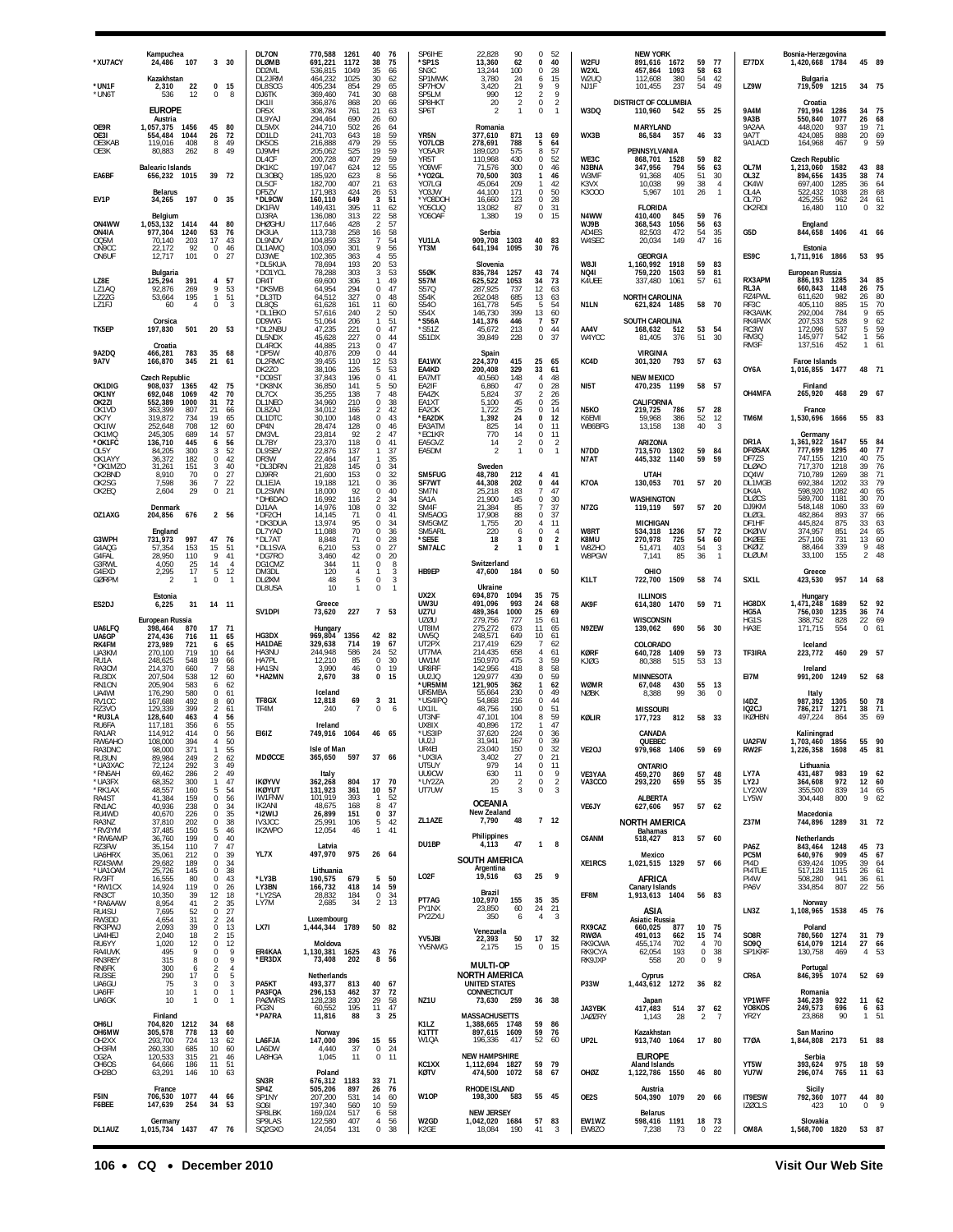| *XU7ACY                                 | Kampuchea<br>24,486<br>107                                  | 3 <sup>30</sup>                                                          | DL70N<br><b>DLØMB</b><br>DD2ML            | 770,588<br>1261<br>691,221<br>1172<br>536,815<br>1049                | 40<br>- 76<br>38<br>75<br>35<br>66                              | SP6IHE<br>*SP1S<br>SN3C            | 22,828<br>90<br>13,360<br>62<br>13,244<br>100                  | $\Omega$<br>0<br>$^{\circ}$               | 52<br>40<br>28                                     | W2FU<br>W2XL               | <b>NEW YORK</b><br>891,616 1672<br>457,864<br>1093        | 59<br>58               | 77<br>63                                            | <b>E77DX</b>                                                 | Bosnia-Herzegovina<br>1,420,668 1784                               | 45 89                                                           |   |
|-----------------------------------------|-------------------------------------------------------------|--------------------------------------------------------------------------|-------------------------------------------|----------------------------------------------------------------------|-----------------------------------------------------------------|------------------------------------|----------------------------------------------------------------|-------------------------------------------|----------------------------------------------------|----------------------------|-----------------------------------------------------------|------------------------|-----------------------------------------------------|--------------------------------------------------------------|--------------------------------------------------------------------|-----------------------------------------------------------------|---|
| *UN1F<br>*UN6T                          | Kazakhstan<br>22<br>2,310<br>12<br>536                      | $\bf{0}$<br>15<br>0<br>8                                                 | DL2JRM<br>DI 8SCG<br>DJ6TK                | 464,232<br>1025<br>405,234<br>854<br>369,460<br>741                  | 30<br>62<br>29<br>65<br>30<br>68                                | SP1MWK<br>SP7HOV<br>SP5LM          | 3,780<br>24<br>21<br>3,420<br>990<br>12                        | 6<br>9<br>$\overline{a}$                  | 15<br>9<br>9                                       | W2UQ<br>NJ1F               | 112,608<br>380<br>237<br>101.455                          | 54<br>54               | 42<br>49                                            | LZ9W                                                         | Bulgaria<br>719,509<br>1215                                        | 34 75                                                           |   |
|                                         | <b>EUROPE</b><br>Austria                                    |                                                                          | DK1II<br>DR5X<br>DL9YAJ                   | 366,876<br>868<br>308,784<br>761<br>294,464<br>690                   | 20<br>66<br>21<br>63<br>26<br>60                                | SP8HKT<br>SP6T                     | $\overline{2}$<br>20<br>2                                      | $\mathbf 0$<br>0                          | $\overline{2}$<br>$\mathbf{1}$                     | W3DQ                       | DISTRICT OF COLUMBIA<br>110,960 542                       | 55 25                  |                                                     | <b>9A4M</b><br>9A3B                                          | Croatia<br>791,994<br>1286<br>550.840<br>1077                      | 34<br>75<br>68<br>26                                            |   |
| OE9R<br>OF3I<br>OE3KAB                  | 1,057,375<br>1456<br>554,484<br>1044<br>119,016<br>408      | 45<br>80<br>72<br>26<br>8<br>49<br>8<br>49                               | DL5MX<br>DD1LD<br>DK50S<br>DJ9MH          | 244,710<br>502<br>241,703<br>643<br>216,888<br>479                   | 64<br>26<br>59<br>18<br>29<br>55<br>19<br>59                    | YR <sub>5N</sub><br>YO7LCB         | Romania<br>377,610<br>871<br>278,691<br>788<br>575             | 13<br>5<br>8                              | 69<br>64<br>57                                     | WX3B                       | <b>MARYLAND</b><br>86,584<br>357<br>PENNSYLVANIA          | 46 33                  |                                                     | 9A2AA<br><b>9A7T</b><br>9A1ACD                               | 448,020<br>937<br>888<br>424.085<br>164,968<br>467                 | 19<br>71<br>20<br>69<br>9<br>59                                 |   |
| OE3K<br>EA6BF                           | 80,883<br>262<br><b>Balearic Islands</b>                    | 39 72                                                                    | DL4CF<br>DK1KC                            | 205,062<br>525<br>200,728<br>407<br>197,047<br>624<br>185,920<br>623 | 59<br>29<br>12<br>55<br>56<br>-8                                | Y05AJR<br>YR5T<br>Y09WF<br>*YO2GL  | 189,020<br>110,968<br>430<br>71,576<br>300<br>70,500<br>303    | $^{\circ}$<br>0<br>1                      | 52<br>46<br>46                                     | WE3C<br>N3BNA              | 868,701<br>1528<br>347,956<br>794<br>405                  | 59<br>56<br>51         | 82<br>63<br>30                                      | OL7M                                                         | Czech Republic<br>1,213,060<br>1582<br>1435                        | 43<br>88<br>74<br>38                                            |   |
| EV1P                                    | 656,232<br>1015<br><b>Belarus</b><br>34,265<br>197          | 0, 35                                                                    | DL3OBQ<br>DL5CF<br>DF5ZV<br>*DL9CW        | 182,700<br>407<br>171,983<br>424<br>160,110<br>649                   | 21<br>63<br>53<br>26<br>51<br>3                                 | YO7LGI<br>Y03JW<br>*YO8DOH         | 45,064<br>209<br>44,100<br>171<br>16,660<br>123                | 1<br>$\Omega$<br>0                        | 42<br>50<br>28                                     | W3MF<br>K3VX<br>K3000      | 91,368<br>10,038<br>99<br>101<br>5,967                    | 38<br>26               | $\overline{4}$<br>$\mathbf{1}$                      | OL3Z<br>OK4W<br>OL4A<br>OL7D                                 | 894,656<br>697,400<br>1285<br>522,432<br>1038<br>425,255<br>962    | 36<br>64<br>68<br>28<br>24                                      |   |
| ON4WW                                   | Belgium<br>1,053,132<br>1414                                | 44<br>80                                                                 | DK1FW<br>DJ3RA<br><b>DHØGHU</b>           | 395<br>149.431<br>136,080<br>313<br>117,646<br>428                   | 11<br>62<br>22<br>58<br>$\overline{2}$<br>57                    | Y05CUQ<br>YO6OAF                   | 13,082<br>87<br>1,380<br>19                                    | $\Omega$<br>0                             | 31<br>15                                           | N4WW<br>WJ9B               | <b>FLORIDA</b><br>410,400<br>845<br>368,543<br>1056       | 59<br>56               | 76<br>63                                            | OK2RDI                                                       | 16,480<br>110<br>England                                           | $\frac{61}{32}$<br>$\mathbf 0$                                  |   |
| ON4IA<br>OQ5M<br>ON9CC                  | 977,304<br>1240<br>203<br>70.140<br>22,172<br>92            | 53<br>76<br>17<br>43<br>0<br>46                                          | DK3UA<br>DL9NDV<br>DL1AMQ                 | 113,738<br>258<br>104,859<br>353<br>103,090<br>301                   | 16<br>58<br>54<br>-7<br>56<br>9                                 | YU1LA<br>YT3M                      | Serbia<br>909,708<br>1303<br>641,194<br>1095                   | 40<br>30                                  | 83<br>76                                           | AD4ES<br>W4SEC             | 82,503<br>472<br>149<br>20,034                            | 54<br>47               | 35<br>16                                            | G5D                                                          | 844,658<br>1406<br>Estonia                                         | 41<br>66                                                        |   |
| ON6UF                                   | 101<br>12,717<br>Bulgaria                                   | $\mathbf 0$<br>27                                                        | DJ3WE<br>*DL5KUA<br>*DO1YCL               | 102,365<br>363<br>78,694<br>193<br>78,288<br>303                     | 55<br>$\overline{4}$<br>20<br>53<br>53<br>3                     | S5ØK                               | Slovenia<br>836,784<br>1257                                    | 43                                        | 74                                                 | <b>IL8W</b><br><b>NQ41</b> | <b>GEORGIA</b><br>1,160,992<br>1918<br>759,220<br>1503    | 59<br>59               | 83<br>81                                            | ES9C                                                         | 1,711,916 1866<br><b>European Russia</b>                           | 53 95                                                           |   |
| LZ8E<br>LZ1AQ<br>LZ2ZG                  | 391<br>125,294<br>92,876<br>269<br>195<br>53,664            | 4<br>57<br>9<br>53<br>51<br>$\mathbf{1}$                                 | DR4T<br>*DK5MB<br>*DL3TD                  | 69,600<br>306<br>64,954<br>294<br>327<br>64,512                      | 49<br>$\mathbf{1}$<br>0<br>47<br>$\Omega$<br>48                 | <b>S57M</b><br>S57Q<br>S54K        | 625,522<br>1053<br>287,925<br>737<br>262,048<br>685            | 34<br>12<br>13                            | 73<br>63<br>63                                     | K4UEE                      | 337,480<br>1061<br><b>NORTH CAROLINA</b>                  | 57                     | 61                                                  | RX3APM<br>RL3A<br>RZ4PWL                                     | 886,193<br>1285<br>660,843<br>1148<br>611.620<br>982               | 85<br>34<br>$\begin{array}{c} 75 \\ 80 \end{array}$<br>26<br>26 |   |
| LZ1FJ<br>TK5EP                          | 60<br>$\overline{4}$<br>Corsica                             | 0<br>3                                                                   | DL8QS<br>*DL1EKO<br>DD9WG                 | 61,628<br>161<br>57,616<br>240<br>51,064<br>206<br>47,235<br>221     | 11<br>60<br>50<br>2<br>51<br>1<br>47<br>$\mathbf 0$             | S540<br>S54X<br>*S56A<br>*S51Z     | 161,778<br>545<br>399<br>146,730<br>141,376<br>446             | 5<br>13<br>$\overline{7}$<br>$\mathbf{0}$ | 54<br>60<br>57<br>44                               | N1LN<br>AA4V               | 621,824 1485<br><b>SOUTH CAROLINA</b>                     | 58 70                  |                                                     | RF3C<br>RK3AWK<br>RK4FWX                                     | 405,110<br>885<br>292,004<br>784<br>207,533<br>528<br>537          | 70<br>15<br>9<br>65<br>9<br>62                                  |   |
| 9A2DQ                                   | 501<br>197,830<br>Croatia<br>783                            | 20 53<br>35<br>68                                                        | *DL2NBU<br>DL5NDX<br>DL4RCK<br>*DP5W      | 45,628<br>227<br>44.885<br>213<br>40,876<br>209                      | 0<br>44<br>47<br>$\Omega$<br>$\Omega$<br>44                     | S51DX                              | 213<br>45,672<br>39,849<br>228                                 | 0                                         | 37                                                 | W4YCC                      | 168,632<br>512<br>81,405<br>376<br><b>VIRGINIA</b>        | 53<br>51               | 54<br>30                                            | RC3W<br>RM3Q<br>RM3F                                         | 172,096<br>145,977<br>542<br>137,516<br>452                        | 5<br>59<br>$\mathbf{1}$<br>56<br>61<br>$\mathbf{1}$             |   |
| <b>9A7V</b>                             | 466,281<br>166,870<br>345<br><b>Czech Republic</b>          | 21<br>-61                                                                | DL2RMC<br>DK2ZO<br>*DO9ST                 | 39,455<br>110<br>38,106<br>126<br>37.843<br>196                      | 12<br>53<br>5<br>53<br>$\mathbf 0$<br>41                        | EA1WX<br>EA4KD<br>EA7MT            | Spain<br>415<br>224,370<br>200,408<br>329<br>148<br>40,560     | 25<br>33<br>4                             | 65<br>61<br>48                                     | KC4D                       | 793<br>301,320<br><b>NEW MEXICO</b>                       | 57 63                  |                                                     | OY6A                                                         | <b>Faroe Islands</b><br>1,016,855 1477                             | 48 71                                                           |   |
| OK1DIG<br>OK1NY<br>OK2ZI                | 908,037<br>1365<br>692,048<br>1069<br>1000<br>552,389       | 42<br>75<br>42<br>70<br>72<br>31                                         | *DK8NX<br>DL7CX<br>DL1NEO                 | 36,850<br>141<br>35,255<br>138<br>34,960<br>210                      | 50<br>5<br>48<br>0<br>38                                        | EA2IF<br>EA4ZK<br>EA1XT            | 6,860<br>47<br>37<br>5,824<br>5,100<br>45                      | 0<br>$\mathfrak{p}$<br>$\Omega$           | 28<br>26<br>25                                     | NI5T                       | 470,235 1199<br>CALIFORNIA                                | 58                     | 57                                                  | OH4MFA                                                       | Finland<br>265,920<br>468                                          | 29<br>$-67$                                                     |   |
| OK1VD<br>OK7Y<br>OK1IW                  | 363,399<br>807<br>319,872<br>734<br>252,648<br>708          | 21<br>66<br>65<br>19<br>60<br>12                                         | DL8ZAJ<br>DL1DTC<br>DP4N                  | 34,012<br>166<br>30.100<br>148<br>28,474<br>128                      | $\overline{2}$<br>42<br>$\Omega$<br>43<br>$\Omega$<br>46        | EA2OK<br>*EA2DK<br>EA3ATM          | 1,722<br>25<br>24<br>1,392<br>825<br>14                        | $\Omega$<br>$\Omega$<br>0                 | 14<br>12<br>11                                     | N5KO<br>K6EMI<br>WB6BFG    | 219,725<br>786<br>59,968<br>386<br>13,158<br>138          | 57<br>52<br>40         | 28<br>12<br>3                                       | TM6M                                                         | France<br>1,530,696<br>1666                                        | 55 83                                                           |   |
| OK1MQ<br>*OK1FC<br>OI 5Y                | 245,305<br>689<br>136,710<br>445<br>300<br>84,205           | 57<br>14<br>6<br>56<br>52<br>3                                           | DM3VL<br>DL7BY<br>DL9SEV                  | 23,814<br>92<br>23,370<br>118<br>22,876<br>137                       | 47<br>2<br>0<br>41<br>37<br>1                                   | *EC1KR<br>EA5GVZ<br>FA5DM          | 14<br>770<br>14<br>$\overline{2}$<br>$\mathbf{1}$<br>-2        | $^{\circ}$<br>0<br>$\Omega$               | 11<br>$\overline{2}$<br>$\overline{1}$             | N7DD                       | ARIZONA<br>1302<br>713,570                                | 59                     | 84                                                  | DR1A<br><b>DFØSAX</b>                                        | Germany<br>1,361,922<br>1647<br>777,699<br>1295                    | 55<br>84<br>40<br>77                                            |   |
| OK1AYY<br>*OK1M7C<br>OK2BND             | 36,372<br>182<br>31.261<br>151<br>8,910<br>70               | 0<br>42<br>40<br>3<br>0<br>27                                            | DR3W<br>*DL3DRN<br>DJ9RR                  | 22,464<br>147<br>21,828<br>145<br>21,600<br>153                      | 35<br>1<br>34<br>$\Omega$<br>0<br>32                            | SM5FUG                             | Sweden<br>48,780<br>212                                        |                                           | 4 41                                               | N7AT                       | 445,332<br>1140<br>UTAH                                   | 59                     | 59                                                  | DF7ZS<br><b>DLØAO</b><br>DQ4W                                | 747,155<br>1210<br>717,370<br>1218<br>710,789<br>1269              | 75<br>40<br>76<br>39<br>71<br>38                                |   |
| OK2SG<br>OK2EQ                          | 7.598<br>36<br>2,604<br>29                                  | 22<br>$\overline{7}$<br>$\bf 0$<br>21                                    | DL1EJA<br>DL2SWN<br>*DH6DAO               | 19.188<br>121<br>18,000<br>92<br>16,992<br>116                       | $\overline{0}$<br>36<br>0<br>40<br>34<br>2                      | SF7WT<br>SM7N<br>SA <sub>1</sub> A | 44,308<br>202<br>25,218<br>83<br>21,900<br>145                 | $\Omega$<br>7<br>0                        | 44<br>47<br>30                                     | K7OA                       | 701<br>130,053<br><b>WASHINGTON</b>                       | 57 20                  |                                                     | DL1MGB<br>DK4A<br><b>DLØCS</b>                               | 692,384<br>1202<br>598,920<br>1082<br>589,700<br>1181              | 33<br>79<br>65<br>40<br>30<br>70                                |   |
| OZ1AXG                                  | Denmark<br>204,856<br>676                                   | 2 56                                                                     | DJ1AA<br>*DF2CH<br>*DK3DUA                | 14,976<br>108<br>14,145<br>71<br>13,974<br>95                        | 0<br>32<br>0<br>41<br>0<br>34                                   | SM4F<br>SM5AOG<br>SM5GMZ           | 21,384<br>85<br>17,908<br>88<br>1,755<br>20                    | 7<br>0<br>4                               | 37<br>37<br>11                                     | N7ZG                       | 119,119<br>597<br><b>MICHIGAN</b>                         | 57                     | - 20                                                | DJ9KM<br><b>DLØGL</b><br>DF1HF                               | 548,148<br>1060<br>482,864<br>893<br>445,824<br>875                | 33<br>69<br>37<br>66<br>63<br>33                                |   |
| G3WPH<br>G4AQG                          | England<br>997<br>731,973<br>57,354<br>153                  | 47<br>76<br>15<br>51<br>9                                                | DL7YAD<br>*DL7A1<br>*DL1SVA               | 11,088<br>70<br>8,848<br>71<br>6,210<br>53<br>42                     | 0<br>36<br>28<br>$\Omega$<br>$\Omega$<br>27<br>20<br>$^{\circ}$ | SM5ARL<br>*SE5E<br>SM7ALC          | 220<br>6<br>18<br>3<br>$\overline{\mathbf{z}}$<br>$\mathbf{1}$ | 0<br>0<br>0                               | $\overline{4}$<br>$\overline{2}$<br>$\overline{1}$ | W8RT<br>K8MU<br>W8ZHO      | 534,318<br>1236<br>270,978<br>725<br>51,471<br>403<br>85  | 57<br>54<br>54<br>36   | 72<br>60<br>$\overline{\mathbf{3}}$<br>$\mathbf{1}$ | <b>DKØIW</b><br><b>DKØEE</b><br><b>DKØIZ</b><br><b>DLØUM</b> | 374,957<br>851<br>731<br>257,106<br>88,464<br>339<br>33,100<br>155 | $65$<br>$60$<br>24<br>13<br>9<br>48<br>$\overline{2}$<br>48     |   |
| G4FAL<br>G3RWL<br>G4EXD<br><b>GØRPM</b> | 28,950<br>110<br>4,050<br>$^{25}_{17}$<br>2,295<br>-1       | 41<br>14<br>$\overline{4}$<br>$\sqrt{5}$<br>12<br>0<br>$\mathbf{1}$      | *DG7RO<br>DG1CMZ<br>DM3DI<br><b>DLØXM</b> | 3,460<br>344<br>11<br>120<br>4<br>48<br>5                            | 0<br>8<br>3<br>-1<br>0<br>3                                     | HB9EP                              | Switzerland<br>47,600<br>184                                   |                                           | 0 <sub>50</sub>                                    | W8PGW<br>K1LT              | 7,141<br>OHIO<br>722,700<br>1509                          | 58 74                  |                                                     | SX <sub>1</sub> L                                            | Greece<br>423,530<br>957                                           | 14 68                                                           |   |
| ES2DJ                                   | Estonia<br>31<br>6,225                                      | 14 11                                                                    | DL8USA                                    | 10<br>$\mathbf{1}$<br>Greece                                         | $\mathbb O$<br>$\overline{1}$                                   | UX2X<br>UW3U                       | Ukraine<br>1094<br>694,870<br>491,096<br>993                   | 35<br>24                                  | 75<br>68                                           | AK9F                       | <b>ILLINOIS</b><br>614,380<br>1470                        | 59                     | 71                                                  | HG8DX                                                        | Hungary<br>1,471,248<br>1689                                       | 92<br>52                                                        |   |
| UA6LFQ                                  | European Russia<br>398,464<br>870                           | 17<br>71                                                                 | SV1DPI                                    | 73,620<br>227<br>Hungary                                             | 7 53                                                            | UZ7U<br><b>UZØU</b><br>UT8IM       | 1000<br>489,364<br>279,756<br>727<br>673<br>275,272            | 25<br>15<br>11                            | 69<br>61<br>65                                     | N9ZEW                      | <b>WISCONSIN</b><br>139,062<br>690                        | 56                     | 30                                                  | HG5A<br>HG1S<br>HA3E                                         | 756,030<br>1235<br>388,752<br>828<br>171,715<br>554                | 74<br>36<br>22<br>69<br>$\mathbf 0$<br>61                       |   |
| UA6GP<br>RK4FM<br>UA3KM                 | 274,436<br>716<br>273,989<br>721<br>270,100<br>719          | 11<br>65<br>65<br>6<br>10<br>64                                          | HG3DX<br>HA1DAE<br>HA3NU                  | 969,804<br>1356<br>329,638<br>714<br>244,948<br>586                  | 42 82<br>19<br>67<br>24<br>52                                   | UW5Q<br>UT2PX<br>UT7MA             | 248,571<br>649<br>217,419<br>629<br>214,435<br>658             | 10<br>$\overline{7}$<br>4                 | 61<br>62<br>61                                     | <b>KØRF</b>                | COLORADO<br>640,728<br>1409                               | 59                     | 73                                                  | TF3IRA                                                       | Iceland<br>223,772<br>460                                          | 29<br>- 57                                                      |   |
| RU1A<br>RA3CM<br>RU3DX                  | 248,625<br>548<br>214,370<br>660<br>207,504<br>538          | 19<br>66<br>7<br>58<br>12<br>60                                          | HA7PL<br>HA1SN<br>*HA2MN                  | 12,210<br>85<br>3,990<br>46<br>2,670<br>38                           | 30<br>$\Omega$<br>0<br>19<br>$\bf{0}$<br>15                     | UW1M<br>UR8RF<br><b>UU2JQ</b>      | 150.970<br>475<br>142,956<br>418<br>129,977<br>439             | 3<br>8<br>$\Omega$                        | 59<br>58<br>59                                     | KJØG                       | 80,388<br>515<br><b>MINNESOTA</b>                         | 53                     | -13                                                 | EI7M                                                         | Ireland<br>1249<br>991,200                                         | 52 68                                                           |   |
| RN1ON<br>UA4WI<br>RV1CC                 | 205,904<br>583<br>176,290<br>580<br>167,688<br>492          | 62<br>6<br>61<br>0<br>8<br>60                                            | TF8GX                                     | Iceland<br>12,818<br>69<br>$\overline{7}$                            | 3<br>-31                                                        | *ur5mm<br>UR5MBA<br>*US4IPQ        | 121,905<br>362<br>55,664<br>230<br>54,868<br>216               | 1<br>$\Omega$<br>0<br>$\Omega$            | 62<br>49<br>44                                     | WØMR<br><b>NØBK</b>        | 67,048<br>430<br>99<br>8,388                              | 55<br>36               | 13<br>$\Omega$                                      | 14DZ                                                         | Italy<br>987,392<br>1305                                           | 50<br>78                                                        |   |
| <b>R73VC</b><br>*RU3LA<br>RU6FA         | 399<br>129.339<br>128,640<br>463<br>117,181<br>356<br>414   | $\overline{2}$<br>61<br>4<br>56<br>55<br>6<br>56<br>$\Omega$             | TF4M<br>E161Z                             | 240<br>Ireland<br>1064                                               | 0<br>6<br>46 65                                                 | UX1IL<br>UT3NF<br>UX8IX            | 48,756<br>190<br>104<br>47.101<br>40,896<br>172<br>224         | 8<br>$\mathbf{1}$<br>$\Omega$             | 51<br>59<br>47<br>-36                              | KØLIR                      | <b>MISSOURI</b><br>177,723<br>812                         | 58                     | 33                                                  | 102C<br><b>IKØHBN</b>                                        | 786,217<br>1271<br>497,224<br>864                                  | 71<br>38<br>35<br>69                                            |   |
| RA1AR<br>RW6AHO<br>RA3DNC<br>RU3UN      | 114,912<br>108.000<br>394<br>371<br>98,000<br>89,984<br>249 | -50<br>55<br>$\mathbf{1}$<br>62<br>$\overline{2}$                        | <b>MDØCCE</b>                             | 749,916<br>Isle of Man<br>365,650<br>597                             | 37 66                                                           | *US3IP<br>UU2J<br>UR4FI<br>*UX3IA  | 37,620<br>31.941<br>167<br>23,040<br>150<br>3,402<br>27        | о<br>$\Omega$<br>0                        | 35<br>32<br>21                                     | VE2OJ                      | CANADA<br>OUEBEC<br>979,968 1406                          | 59                     | 69                                                  | UA2FW<br>RW2F                                                | Kaliningrad<br>1856<br>I./U3.46U<br>1,226,358<br>1608              | 55 90<br>45 81                                                  |   |
| *UA3XAC<br>*RN6AH<br>*UA3FX             | 292<br>72,124<br>69,462<br>286<br>68.352<br>300             | 49<br>3<br>$\overline{2}$<br>49<br>47<br>$\mathbf{1}$                    | <b>IKØYVV</b>                             | Italy<br>362,268<br>804                                              | 17 70                                                           | UT5UY<br>UU9CW<br>*UY2ZA           | 979<br>14<br>630<br>11<br>20<br>$\overline{\phantom{a}}$       | $\mathbf 0$<br>0<br>$\Omega$              | 11<br>9<br>$\overline{2}$                          | VE3YAA<br>VA3CCO           | ONTARIO<br>459,270<br>869<br>293,220<br>659               | 57<br>55               | 48<br>-35                                           | LY7A<br>LY2J                                                 | Lithuania<br>431,487<br>983<br>972<br>364,608                      | 19<br>62<br>12 60                                               |   |
| *RK1AX<br>RA4ST<br>RN1AC                | 48,557<br>160<br>41,384<br>159<br>40,936<br>238             | 5<br>54<br>$\,0\,$<br>56<br>0<br>34                                      | <b>IKØYUT</b><br><b>IW1FNW</b><br>IK2ANI  | 131,923<br>361<br>101,919<br>393<br>48,675<br>168                    | 10<br>57<br>52<br>-1.<br>8<br>47                                | UT7UW                              | 15<br>3<br><b>OCEANIA</b>                                      | 0                                         | 3                                                  | VE6JY                      | ALBERTA<br>627,606 957                                    | 57 62                  |                                                     | LY2XW<br>LY5W                                                | 355,500<br>839<br>304,448<br>800                                   | 14 65<br>9<br>62                                                |   |
| RU4WD<br>RA3NZ<br>*RV3YM                | 40,670<br>226<br>37,810<br>202<br>37,485<br>150             | $\mathsf 0$<br>35<br>38<br>0<br>5<br>46                                  | *I2WIJ<br><b>IV3JCC</b><br>IK2WPO         | 26,899<br>151<br>25,991<br>106<br>12,054<br>46                       | $\bf{0}$<br>37<br>5<br>42<br>1 41                               | ZL1AZE                             | New Zealand<br>7,790<br>48                                     |                                           | 7 <sub>12</sub>                                    |                            | <b>NORTH AMERICA</b><br><b>Bahamas</b>                    |                        |                                                     | Z37M                                                         | Macedonia<br>744,896 1289                                          | 31 72                                                           |   |
| *RW6AMP<br>RZ3FW<br>UA6HRX              | 36,760<br>199<br>35,154<br>110<br>35,061<br>212             | 0<br>40<br>47<br>$\overline{7}$<br>39<br>0                               | YL7X                                      | Latvia<br>497,970<br>975                                             | 26 64                                                           | DU1BP                              | Philippines<br>47<br>4,113<br><b>SOUTH AMERICA</b>             | $\mathbf{1}$                              | 8                                                  | C6ANM                      | 518,427<br>813<br>Mexico                                  | 57 60                  |                                                     | PA6Z<br>PC <sub>5</sub> M                                    | Netherlands<br>843,464<br>1248<br>640,976<br>909                   | 45 73<br>45 67                                                  |   |
| RZ4SWM<br>*UA10AM<br>RV3FT              | 29,682<br>189<br>145<br>25,726<br>16,555<br>80              | 34<br>0<br>38<br>0<br>43<br>0                                            | *LY3B<br>LY3BN                            | Lithuania<br>190,575<br>679<br>166,732<br>418                        | 5<br>50<br>59<br>14                                             | LO2F                               | Argentina<br>19,516<br>63                                      | 25                                        | 9                                                  | XE1RCS                     | 1,021,515 1329<br>AFRICA                                  | 57 66                  |                                                     | PI4D<br>PI4TUE<br>PI4W                                       | 639,424<br>1095<br>517,128<br>1115<br>508,280<br>941               | 39<br>64<br>61<br>26<br>36<br>61                                |   |
| *RW1CX<br>RN3CT<br>*RA6AAW<br>RU4SU     | 14,924<br>119<br>10,350<br>39<br>41<br>8,954<br>7,695<br>52 | $\mathbf 0$<br>26<br>18<br>$^{12}_{\phantom{1}2}$<br>35<br>27<br>0       | *LY2SA<br>I Y7M                           | 28,832<br>184<br>34<br>2,685                                         | $\mathbf 0$<br>34<br>$\overline{2}$<br>13                       | PT7AG<br>PY1NX                     | Brazil<br>102,970<br>155<br>23,850<br>60                       | 35<br>24                                  | 35<br>21                                           | EF8M                       | <b>Canary Islands</b><br>1,913,613 1404<br>ASIA           | 56 83                  |                                                     | PA6V<br>LN3Z                                                 | 807<br>334,854<br>Norway<br>1,108,965<br>1538                      | 22<br>- 56<br>45 76                                             |   |
| RW3DD<br>RK3PWJ<br>UA4HEJ               | 31<br>4,654<br>2,093<br>39<br>18<br>2,040                   | $\overline{c}$<br>24<br>13<br>0<br>$\overline{2}$<br>15                  | LX7I                                      | Luxembourg<br>1,444,344<br>1789                                      | 50 82                                                           | PY2ZXU                             | 350<br>6<br>Venezuela                                          | $\overline{4}$                            | $\mathbf{3}$                                       | RX9CAZ<br>RWØA             | <b>Asiatic Russia</b><br>660,025<br>877<br>491.013<br>662 | 10<br>15               | 75<br>74                                            | S08R                                                         | Poland<br>780,560<br>1274                                          | 31 79                                                           |   |
| RU6YY<br>RA4UVK<br>RN3REY               | 1,020<br>12<br>9<br>495<br>315<br>8                         | 0<br>12<br>9<br>$\bf 0$<br>9<br>0                                        | ER4KAA<br>*ER3DX                          | Moldova<br>1,130,381 1625<br>73,408<br>202                           | 43 76<br>8<br>56                                                | YV5JBI<br>YV5NWG                   | 22,393<br>50<br>2,175<br>15                                    | 17<br>$\Omega$                            | 32<br>15                                           | RK9CWA<br>RK9CYA<br>RK9JXP | 455,174<br>702<br>193<br>62,054<br>558<br>20              | 4<br>$\mathbf{0}$<br>0 | 70<br>38<br>9                                       | S090<br>SP1KRF                                               | 614,079 1214<br>130,758<br>469                                     | 27<br>66<br>4<br>- 53                                           |   |
| RN6FK<br>RU3SE<br>UA6GU                 | 300<br>6<br>290<br>17<br>75<br>3                            | $\overline{4}$<br>$\overline{2}$<br>$\mathbf 0$<br>5<br>$\mathbf 0$<br>3 | PA5KT                                     | Netherlands<br>493,377<br>813                                        | 40<br>67                                                        |                                    | <b>MULTI-OP</b><br><b>NORTH AMERICA</b><br>UNITED STATES       |                                           |                                                    | P33W                       | Cyprus<br>1,443,612 1272                                  | 36 82                  |                                                     | CR6A                                                         | Portugal<br>846,395 1074                                           | 52 69                                                           |   |
| UA6FF<br>UA6GK                          | 10<br>$\mathbf{1}$<br>10<br>$\overline{1}$                  | 0<br>$\mathbf{1}$<br>$\pmb{0}$<br>$\mathbf{1}$                           | PA3FOA<br><b>PAØWRS</b><br>PG3N           | 462<br>296.153<br>230<br>128.238<br>60,552<br>195                    | 37<br>72<br>29<br>58<br>11 47                                   | NZ1U                               | CONNECTICUT<br>73,630<br>259                                   | 36 38                                     |                                                    | JA3YBK                     | Japan<br>417,483<br>514                                   | 37                     | 62                                                  | YP1WFF<br>Y08KOS                                             | Romania<br>346,239<br>922<br>249,573<br>696                        | 11 62<br>63<br>6                                                |   |
| OH6LI<br>OH6MW                          | Finland<br>704,820<br>1212<br>305,578<br>778                | 34<br>68<br>13<br>60                                                     | *PA7RA                                    | 11,816<br>88<br>Norway                                               | 3<br>25                                                         | K1LZ<br>K1TTT                      | MASSACHUSETTS<br>1,388,665 1748<br>897,615 1609                | 59 86<br>59                               | 76                                                 | <b>JAØZRY</b>              | 1,143<br>28<br>Kazakhstan                                 | $\overline{2}$         | $\overline{7}$                                      | YR2Y                                                         | 23,868<br>90<br>San Marino                                         | $\mathbf{1}$<br>51                                              |   |
| OH <sub>2</sub> XX<br>OH3FM<br>OG2A     | 724<br>293.700<br>260,330<br>685<br>120,533<br>315          | 13<br>62<br>10<br>60<br>21<br>46                                         | LA6FJA<br>LA6DW<br>LA8HGA                 | 147,000<br>396<br>4,440<br>37<br>11<br>1,045                         | 15 55<br>$\mathbf 0$<br>24<br>$\mathbf 0$<br>11                 | W1QA                               | 196,336<br>417<br><b>NEW HAMPSHIRE</b>                         | 52<br>59 79                               | 60                                                 | UP2L                       | 913,740 1064<br><b>EUROPE</b>                             | 17 80                  |                                                     | <b>T70A</b>                                                  | 1,844,808 2173<br>Serbia                                           | 51 88                                                           |   |
| OH6OS<br>OH <sub>2</sub> BO             | 64,666<br>186<br>146<br>63,291<br>France                    | 51<br>11<br>10<br>63                                                     | SN3R<br>SP4Z                              | Poland<br>676,312<br>1183<br>505,206<br>897                          | 33<br>- 71<br>26<br>76                                          | KC1XX<br>KØTV                      | 1,112,694 1827<br>474,500 1072<br>RHODE ISLAND                 | 58 67                                     |                                                    | OHØZ                       | Aland Islands<br>1,122,786 1550<br>Austria                | 46 80                  |                                                     | YT5W<br>YU7W                                                 | 393,624<br>975<br>296,074<br>765<br>Sicily                         | 18 59<br>11 63                                                  |   |
| F5IN<br>F6BEE                           | 706,530 1077<br>147,639<br>254                              | 44<br>- 66<br>34<br>53                                                   | SP1NY<br>S061<br>SP8I BK                  | 207,200<br>531<br>197,340<br>560<br>169,024<br>517                   | 60<br>14<br>59<br>10<br>58<br>6                                 | W1OP                               | 198,300 583<br><b>NEW JERSEY</b>                               | 55 45                                     |                                                    | OE2S                       | 1079<br>504,390<br><b>Belarus</b>                         | 20 66                  |                                                     | IT9ESW<br><b>IZØCLS</b>                                      | 792,360<br>1077<br>423<br>10                                       | 44 80<br>$\mathbf 0$                                            | 9 |
| DL1AUZ                                  | Germany<br>1,015,734 1437                                   | 47 76                                                                    | SP9LAS<br>SQ2GXO                          | 122,580<br>407<br>24,054<br>131                                      | $\overline{4}$<br>56<br>0 <sup>38</sup>                         | W2GD<br>K <sub>2</sub> GE          | 1,042,020 1684<br>18,084<br>190                                | 57<br>41                                  | 83<br>$\overline{\mathbf{3}}$                      | EW1WZ<br>EW8ZO             | 598,416 1191<br>7,238<br>73                               | 18 73<br>0             | - 22                                                | OM8A                                                         | Slovakia<br>1,568,700 1820                                         | 53 87                                                           |   |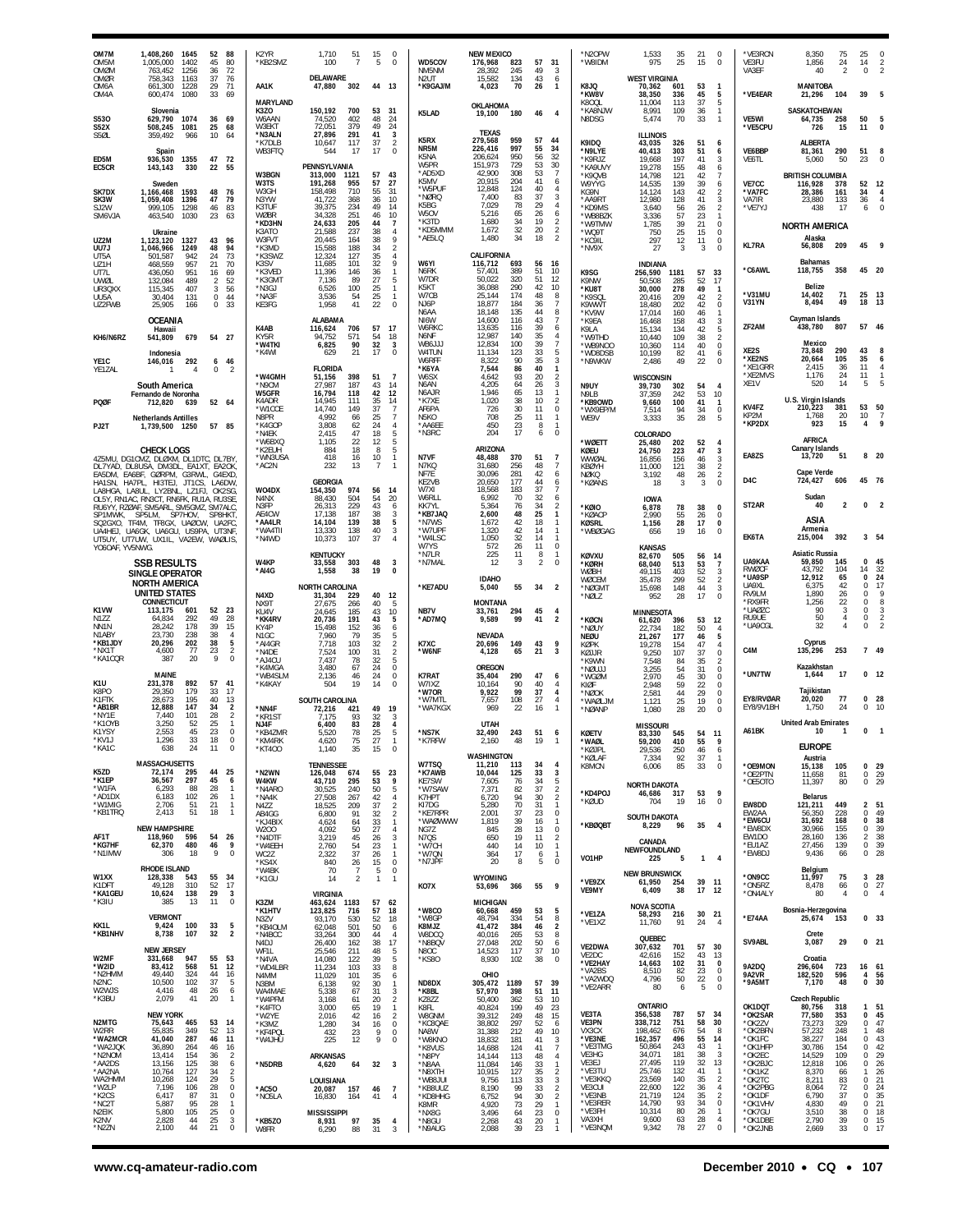| OM7M<br>OM <sub>5</sub> M<br>OMØM                     | 1,408,260<br>1645<br>1402<br>1,005,000<br>763.452                                                                                | 1256                                                                   | 52<br>88<br>45<br>80<br>36<br>72                          | K2YR<br>KB2SMZ                                             | 1.710<br>-51<br>100<br>$\overline{7}$                                                                                   | 15<br>5                                | $^{\circ}$<br>$\Omega$                                            | WD5COV<br>NM5NM                                                | <b>NEW MEXICO</b><br>176.968<br>823<br>28,392<br>245                                                        | 57<br>49                               | 31<br>3                                                                                         | *N2OPW<br><b>WAIDM</b> *                                         | 1,533<br>975                                                    | 35<br>25                                   | 21<br>15                               | $\mathbf 0$<br>$\overline{0}$                                                                  | *VE3RCN<br>VE3FU<br>VA3EF                                    | 8,350<br>1,856<br>40                                          | 75<br>24<br>$\overline{2}$       | 14<br>0                                  | 2                                        |
|-------------------------------------------------------|----------------------------------------------------------------------------------------------------------------------------------|------------------------------------------------------------------------|-----------------------------------------------------------|------------------------------------------------------------|-------------------------------------------------------------------------------------------------------------------------|----------------------------------------|-------------------------------------------------------------------|----------------------------------------------------------------|-------------------------------------------------------------------------------------------------------------|----------------------------------------|-------------------------------------------------------------------------------------------------|------------------------------------------------------------------|-----------------------------------------------------------------|--------------------------------------------|----------------------------------------|------------------------------------------------------------------------------------------------|--------------------------------------------------------------|---------------------------------------------------------------|----------------------------------|------------------------------------------|------------------------------------------|
| OMØR<br>OM6A<br>OM4A                                  | 758.343<br>1163<br>661,300<br>600,474                                                                                            | 37<br>29<br>1228<br>33<br>1080                                         | $\frac{76}{71}$<br>69                                     | AA1K<br>MARYLAND                                           | DELAWARE<br>302<br>47,880                                                                                               | 44 13                                  |                                                                   | N <sub>2U</sub> T<br>*K9GAJ/M                                  | 15.582<br>134<br>70<br>4,023<br>OKLAHOMA                                                                    | 43<br>26                               | 6<br>$\mathbf{1}$                                                                               | K8JQ<br>*KW8V<br>K80QL                                           | <b>WEST VIRGINIA</b><br>70,362<br>38,350<br>11.004              | 601<br>336<br>113                          | 53<br>45<br>37                         | $\mathbf{1}$<br>5<br>$\sqrt{5}$                                                                | *VE4EAR                                                      | <b>MANITOBA</b><br>21,296                                     | 104                              | 39                                       |                                          |
| S530<br>S52X<br>S5ØL                                  | Slovenia<br>1074<br>629.790<br>508,245<br>1081<br>359,492                                                                        | 966                                                                    | 36<br>69<br>25<br>68<br>10<br>-64                         | K3ZO<br>W6AAN<br>W3EKT<br>*N3ALN                           | 150,192<br>700<br>402<br>74.520<br>72,051<br>379<br>27.896<br>291                                                       | 53<br>48<br>49<br>41                   | 31<br>24<br>24<br>3                                               | K5LAD                                                          | 180<br>19,100<br><b>TFXAS</b>                                                                               | 46                                     | $\overline{4}$                                                                                  | *KA8NJW<br>N8DSG                                                 | 8,991<br>5,474<br><b>ILLINOIS</b>                               | 109<br>70                                  | 36<br>33                               | $\mathbf{1}$<br>$\mathbf{1}$                                                                   | <b>VE5WI</b><br>*VE5CPU                                      | SASKATCHEWAN<br>64,735<br>726                                 | 258<br>15                        | 50<br>11                                 | $\Omega$                                 |
| ED5M<br>EC5CR                                         | Spain<br>936,530<br>143,143                                                                                                      | 1355<br>330                                                            | 47 72<br>55<br>$22^{\circ}$                               | *K7DLB<br>WB3FTQ                                           | 10,647<br>117<br>544<br>17<br>PENNSYLVANIA                                                                              | 37<br>17                               | $\overline{2}$<br>$\mathbf 0$                                     | K5RX<br>NR5M<br>K5NA<br>W5PR                                   | 279,568<br>959<br>226,416<br>997<br>950<br>206,624<br>151.973<br>729                                        | 57<br>55<br>56<br>53                   | 44<br>34<br>32<br>30                                                                            | K9IDQ<br>*N9LYE<br>*K9RJZ<br>*KA9UVY                             | 43,035<br>40.413<br>19,668<br>19,278                            | 326<br>303<br>197<br>155                   | 51<br>51<br>41<br>48                   | 6<br>6<br>3<br>6                                                                               | VF6BBP<br>VE6TL                                              | ALBERTA<br>81,361<br>5.060                                    | 290<br>50                        | 51<br>23                                 | 8<br>$\Omega$                            |
| SK7DX<br>SK3W<br>SJ2W<br>SM6VJA                       | Sweden<br>1,166,468<br>1,059,408<br>999.105<br>463,540                                                                           | 1593<br>47<br>1396<br>1298<br>1030                                     | 48<br>76<br>79<br>83<br>46<br>23<br>63                    | W3BGN<br>W3TS<br>W3GH<br>N3YW<br>K3TUF<br>WØBR<br>*KD3HN   | 313,000<br>1121<br>191,268<br>955<br>158,498<br>710<br>41,722<br>368<br>39.375<br>234<br>34,328<br>251<br>24,633<br>205 | 57<br>57<br>55<br>36<br>49<br>46<br>44 | 43<br>27<br>-31<br>10<br>14<br>10<br>$\overline{7}$               | *AD5XD<br>K5MV<br>*W5PUF<br>*NØRQ<br>K5BG<br>W5OV<br>*K3TD     | 42,900<br>308<br>20.915<br>204<br>12,848<br>124<br>7,400<br>83<br>7,029<br>78<br>5,216<br>65<br>34<br>1,680 | 53<br>41<br>40<br>37<br>29<br>26<br>19 | -7<br>6<br>4<br>3<br>$\overline{4}$<br>6<br>2                                                   | *K9QVB<br>W9YYG<br>KG9N<br>*AA9RT<br>*KD9MS<br>*WB8BZK<br>*W9TMW | 14,798<br>14.535<br>14.124<br>12,980<br>3,640<br>3,336<br>1,785 | 121<br>139<br>143<br>128<br>56<br>57<br>39 | 42<br>39<br>42<br>41<br>26<br>23<br>21 | $\overline{7}$<br>6<br>$\overline{\mathbf{c}}$<br>$\frac{3}{2}$<br>$\mathbf{1}$<br>$\mathbb O$ | VE7CC<br>*VA7FC<br>VA7IR<br>*VE7YJ                           | <b>BRITISH COLUMBIA</b><br>116.928<br>28.386<br>23.880<br>438 | 378<br>161<br>133<br>17          | 52<br>34<br>36<br>6                      | 12<br>$\overline{4}$<br>$\mathbf 0$      |
| UZ2M<br>UU7J                                          | Ukraine<br>1327<br>1,123,120<br>1,046,966                                                                                        | 1249                                                                   | 43<br>96<br>48<br>94                                      | K3ATO<br>W3FVT<br>*K3MD<br>*K3SWZ                          | 21,588<br>237<br>20.445<br>164<br>15,588<br>188<br>12,324<br>127                                                        | 38<br>38<br>34<br>35                   | $\overline{4}$<br>9<br>$\overline{2}$<br>$\overline{4}$           | *KD5MMM<br>*AE5LQ                                              | 1,672<br>32<br>1,480<br>34<br>CALIFORNIA                                                                    | 20<br>18                               | $\overline{2}$<br>$\overline{2}$                                                                | *WQ9T<br>*KC9IL<br>*NV9X                                         | 750<br>297<br>27                                                | 25<br>12<br>3                              | 15<br>11<br>3                          | $\mathbb O$<br>0<br>$\overline{0}$                                                             | <b>KL7RA</b>                                                 | <b>NORTH AMERICA</b><br>Alaska<br>56,808                      | 209                              | 45                                       | - 9                                      |
| UT5A<br>UZ1H<br>UT7L<br>UWØL                          | 501.587<br>468,559<br>436.050<br>132,084                                                                                         | 942<br>24<br>957<br>951<br>489                                         | 73<br>70<br>21<br>69<br>16<br>$\overline{2}$<br>52        | K3SV<br>*K3VED<br>*K3GMT                                   | 11,685<br>101<br>11,396<br>146<br>7,136<br>89                                                                           | 32<br>36<br>27<br>25                   | 9<br>$\overline{1}$<br>5<br>$\mathbf{1}$                          | W6YI<br>N6RK<br>W7DR<br>K5KT                                   | 116,712<br>693<br>57,401<br>389<br>50.022<br>320<br>36,088<br>290                                           | 56<br>51<br>51<br>42                   | - 16<br>10<br>-12<br>10                                                                         | K9SG<br>K9NW                                                     | <b>INDIANA</b><br>256,590<br>50,508                             | 1181<br>285                                | 57<br>52                               | 33<br>17                                                                                       | *C6AWL                                                       | <b>Bahamas</b><br>118,755<br>Belize                           | 358                              | 45 20                                    |                                          |
| UR3QXX<br>UU5A<br>UZ2FWB                              | 115,345<br>30,404<br>25,905                                                                                                      | 407<br>131<br>166                                                      | 3<br>56<br>0<br>44<br>$\bf 0$<br>33                       | *N3GJ<br>*NA3F<br>KE3FG                                    | 6,526<br>100<br>3,536<br>-54<br>1,958<br>41                                                                             | 25<br>22                               | -1<br>$\Omega$                                                    | W7CB<br>NJ6P<br>N6AA                                           | 25.144<br>174<br>18,877<br>184<br>18.148<br>135                                                             | 48<br>36<br>44                         | 8<br>-7<br>8                                                                                    | *KU8T<br>*K9SQI<br>K9WWT<br>*KV9W                                | 30,000<br>20.416<br>18.480<br>17,014                            | 278<br>209<br>202<br>160                   | 49<br>42<br>42<br>46                   | -1<br>$\overline{2}$<br>$\bf 0$<br>$\mathbf{1}$                                                | *V31MU<br><b>V31YN</b>                                       | 14,402<br>8,494<br>Cayman Islands                             | 71<br>49                         | 25 13<br>18                              | 13                                       |
| KH6/N6RZ                                              | <b>OCEANIA</b><br>Hawaii<br>541,809                                                                                              | 679                                                                    | 54 27                                                     | K4AB<br>KY5R<br><b>*W4TKI</b>                              | <b>ALABAMA</b><br>116,624<br>706<br>94,752<br>571<br>6,825<br>90                                                        | 57<br>54<br>32                         | - 17<br>18<br>3                                                   | NI6W<br>W6RKC<br>N6NF<br>WB6JJJ                                | 14,600<br>116<br>13,635<br>116<br>12,987<br>140<br>12,834<br>100                                            | 43<br>39<br>35<br>39                   | -7<br>6<br>$\overline{4}$<br>$\overline{7}$                                                     | *K9EA<br>K9LA<br>*W9THD<br>*WB9NOO                               | 16.468<br>15,134<br>10,440<br>10,360                            | 158<br>134<br>109<br>114                   | 43<br>42<br>38<br>40                   | $\frac{3}{5}$<br>$\overline{2}$<br>$\,0\,$                                                     | ZF2AM                                                        | 438,780<br>Mexico                                             | 807<br>290                       | 57<br>43                                 | 46                                       |
| YE1C<br>YE1ZAL                                        | Indonesia<br>146,016                                                                                                             | 292<br>$\overline{4}$                                                  | 6 46<br>0<br>$\mathcal{P}$                                | *K4WI<br>*W4GMH                                            | 21<br>629<br><b>FLORIDA</b><br>51,156<br>398                                                                            | 17<br>51                               | $\Omega$<br>$\overline{7}$                                        | W4TUN<br>W6RFF<br>*K6YA<br>W6SX                                | 11,134<br>123<br>8,322<br>90<br>7,544<br>86<br>4,642<br>93                                                  | 33<br>35<br>40<br>20                   | -5<br>3<br>$\mathbf{1}$<br>$\overline{2}$                                                       | *WD8DSB<br>*N9WKW                                                | 10,199<br>2,486<br><b>WISCONSIN</b>                             | 82<br>49                                   | 41<br>22                               | 6<br>$\mathbf 0$                                                                               | XE2S<br>*XE2NS<br>*XE1GRR<br>*XE2MVS                         | 73,848<br>20,664<br>2,415<br>1.176                            | 105<br>36<br>24                  | 35<br>11<br>11                           | 6<br>4<br>$\mathbf{1}$                   |
| PQØF<br>PJ2T                                          | South America<br>Fernando de Noronha<br>712,820<br><b>Netherlands Antilles</b><br>1.739.500 1250                                 | 639                                                                    | 52 64<br>57 85                                            | *N9CM<br><b>W5GFR</b><br>K4ADR<br>*W1CCE<br>N8PR<br>*K4GOP | 27,987<br>187<br>16,794<br>118<br>14,945<br>111<br>14,740<br>149<br>4.992<br>-66<br>3,808<br>62                         | 43<br>42<br>35<br>37<br>25<br>24       | 14<br>12<br>14<br>7<br>$\overline{7}$<br>$\overline{4}$           | N6AN<br>N6AJR<br>*K7XF<br>AF6PA<br>N <sub>5</sub> KO<br>*AA6EE | 4.205<br>64<br>1,946<br>65<br>1,020<br>38<br>726<br>30<br>708<br>25<br>450<br>23                            | 26<br>13<br>10<br>11<br>11<br>8        | 3<br>$\mathbf{1}$<br>$\overline{2}$<br>0<br>-1<br>-1                                            | N9UY<br><b>N91 B</b><br>*KB9OWD<br>*WX9EP/M<br>WE9V              | 39,730<br>37.359<br>9,660<br>7,514<br>3,333                     | 302<br>242<br>100<br>94<br>35              | 54<br>53<br>41<br>34<br>28             | $\overline{4}$<br>10<br>$\mathbf{1}$<br>$\mathbb O$<br>5                                       | XE1V<br>KV4FZ<br>KP2M<br>*KP2DX                              | 520<br>U.S. Virgin Islands<br>210,223<br>1.768<br>923         | 14<br>381<br>20<br>15            | 5<br>53 50<br>10<br>$\overline{4}$       | 7<br>9                                   |
|                                                       | <b>CHECK LOGS</b><br>4Z5MU, DG1CMZ, DLØXM, DL1DTC, DL7BY                                                                         |                                                                        |                                                           | *N4FK<br>*W6BXQ<br>*K2EUH<br>*WN3USA                       | 2.415<br>47<br>1,105<br>22<br>884<br>18<br>418<br>16                                                                    | 18<br>12<br>-8<br>10                   | 5<br>5<br>5<br>$\overline{1}$                                     | *N3RC<br>N7VF                                                  | 204<br>17<br>ARIZONA<br>48,488<br>370                                                                       | 6<br>51                                | $\Omega$<br>-7                                                                                  | *WØETT<br>KØEU<br>WWØAL                                          | COLORADO<br>25,480<br>24,750<br>16,856                          | 202<br>223<br>156                          | 52<br>47<br>46                         | 4<br>3<br>$\mathbf{3}$                                                                         | EA8ZS                                                        | AFRICA<br><b>Canary Islands</b><br>13,720                     | 51                               |                                          | 8 20                                     |
| DL7YAD.<br>EA5DM,<br>HA1SN,<br>LA8HGA,                | DL8USA, DM3DL, EA1XT, EA2OK<br>EA6BF, GØRPM, G3RWL, G4EXD<br>HA7PL, HI3TEJ, JT1CS,<br>LA8UL, LY2BNL, LZ1FJ, OK2SG,               |                                                                        | LA6DW                                                     | *AC2N<br>WO4DX                                             | 232<br>13<br><b>GEORGIA</b><br>154,350<br>974                                                                           | $\overline{7}$<br>56                   | $\overline{1}$<br>-14                                             | N7KQ<br>NF7E<br>KE2VB<br>W7XI                                  | 31,680<br>256<br>30,096<br>281<br>20,650<br>177<br>18,568<br>183                                            | 48<br>42<br>44<br>37                   | -7<br>6<br>6<br>-7                                                                              | KBØYH<br>NØKQ<br>*KØANS                                          | 11,000<br>3,192<br>18                                           | 121<br>48<br>3                             | 38<br>26<br>3                          | $\overline{2}$<br>$\overline{2}$<br>$\mathbf 0$                                                | D4C                                                          | Cape Verde<br>724,427                                         | 606                              | 45 76                                    |                                          |
| SP1MWK<br>SQ2GXO.                                     | OL5Y, RN1AC, RN3CT, RN6FK, RU1A, RU3SE<br>RU6YY, RZØAF, SM5ARL, SM5GMZ, SM7ALC<br>SP7HOV.<br>SP5LM.<br>TF4M, TF8GX, UAØCW, UA2FC |                                                                        | SP8HKT                                                    | N4NX<br>N3FP<br>AE4CW<br>*AA4LR                            | 88,430<br>504<br>26,313<br>229<br>17,138<br>187<br>14,104<br>139                                                        | 54<br>43<br>38<br>38                   | 20<br>6<br>3<br>5                                                 | W6RLL<br>KK7YI<br>*KB7JAQ<br>*N7WS                             | 6,992<br>70<br>5.364<br>76<br>2,600<br>48<br>42<br>1.672                                                    | 32<br>34<br>25<br>18                   | 6<br>2<br>$\mathbf{1}$<br>-1                                                                    | *KØIO<br>*KØACP<br>KØSRL                                         | <b>IOWA</b><br>6,878<br>2.990<br>1,156                          | 78<br>55<br>28                             | 38<br>26<br>17                         | 0<br>0<br>0                                                                                    | ST <sub>2</sub> AR                                           | Sudan<br>40<br>ASIA                                           | 2                                | 0                                        | $\overline{2}$                           |
| UA4HEJ.<br>YO6OAF, YV5NWG.                            | UA6GK, UA6GU, US9PA, UT3NF<br>UT5UY, UT7UW, UX1IL, VA2EW, WAØLIS,                                                                |                                                                        |                                                           | `WA4TII<br>*N4WD                                           | 13,330<br>138<br>10,373<br>107<br><b>KENTUCKY</b>                                                                       | 40<br>37                               | 3<br>$\overline{4}$                                               | *W7UPF<br>*W4LSC<br>W7YS<br>*N7LR                              | 1,320<br>42<br>1,050<br>32<br>572<br>26<br>225<br>11                                                        | 14<br>14<br>11<br>8                    | -1<br>-1<br>$\mathbf 0$<br>-1                                                                   | *WBØGAG<br>KØVXU                                                 | 656<br><b>KANSAS</b><br>82,670                                  | 19<br>505                                  | 16<br>56                               | $\mathbf 0$<br>14                                                                              | EK6TA                                                        | Armenia<br>215,004<br>Asiatic Russia                          | 392                              |                                          | 3 54                                     |
|                                                       | <b>SSB RESULTS</b><br>SINGLE OPERATOR<br>NORTH AMERICA                                                                           |                                                                        |                                                           | W4KP<br>*AI4G                                              | 33,558<br>303<br>1,558<br>38<br><b>NORTH CAROLINA</b>                                                                   | 48<br>19                               | 3<br>$\mathbf{0}$                                                 | *N7MAL<br>*KE7ADU                                              | 12<br>3<br><b>IDAHO</b><br>5,040<br>55                                                                      | 2<br>34                                | $\Omega$<br>$\overline{2}$                                                                      | <b>KØRH</b><br>WØBH<br>WØCEM<br>*NØGM1                           | 68,040<br>49,115<br>35,478                                      | 513<br>403<br>299<br>148                   | 53<br>52<br>52<br>44                   | $\frac{7}{3}$<br>$\overline{2}$<br>$\sqrt{3}$                                                  | UA9KAA<br><b>RWØCF</b><br>*UA9SP<br>UA9XL                    | 59,850<br>43,792<br>12,912<br>6,375                           | 145<br>104<br>65<br>42           | 0<br>14<br>$\Omega$<br>$\Omega$          | 45<br>32<br>24<br>-17                    |
| K1VW<br>N1ZZ                                          | <b>UNITED STATES</b><br>CONNECTICUT<br>113,175<br>64,834                                                                         | 601<br>292                                                             | 52<br>23<br>49<br>28                                      | N4XD<br>NX9T<br>KU4V<br>*KK4RV                             | 31,304<br>229<br>27,675<br>266<br>24,645<br>185<br>20,736<br>191                                                        | 40<br>40<br>43<br>43                   | -12<br>-5<br>10<br>5                                              | NB7V<br>AD7MQ*                                                 | <b>MONTANA</b><br>294<br>33.761<br>9,589<br>99                                                              | 45<br>41                               | $\overline{4}$<br>$\overline{2}$                                                                | *NØLZ                                                            | 15,698<br>952<br><b>MINNESOTA</b>                               | 28                                         | 17                                     | $\mathbb O$                                                                                    | RV9LM<br>*RX9FR<br>*UAØZC<br>RU9UE                           | 1,890<br>1,256<br>90<br>50                                    | 26<br>22<br>3<br>4               | $\Omega$<br>$\Omega$<br>0<br>$\Omega$    | ç<br>8<br>3<br>$\overline{2}$            |
| NN1N<br>N1ABY<br>*KB1JDY<br>*NX1T                     | 28,242<br>23,730<br>20,296<br>4,600                                                                                              | 178<br>238<br>202<br>77                                                | 39<br>15<br>$\sqrt{4}$<br>38<br>5<br>38<br>$\overline{2}$ | KY4P<br>N <sub>1</sub> GC<br>*AI4GR                        | 15,498<br>152<br>7,960<br>79<br>7,718<br>103                                                                            | 36<br>35<br>32                         | 6<br>5<br>$\overline{2}$                                          | K7XC<br>*W6NF                                                  | <b>NEVADA</b><br>149<br>20,696<br>65                                                                        | 43<br>21                               | 9<br>3                                                                                          | *KØCN<br>*NØUY<br>NEØU<br>KØPK                                   | 61,620<br>22,734<br>21.267<br>19.278                            | 396<br>182<br>177<br>154                   | 53<br>50<br>46<br>47                   | 12<br>$\overline{4}$<br>5<br>$\overline{4}$                                                    | *UA9CGL<br>C <sub>4</sub> M                                  | 32<br>Cyprus<br>135,296                                       | 4<br>253                         | 0                                        | 7 49                                     |
| *KA1CQR<br>K <sub>1U</sub>                            | 387<br>MAINE                                                                                                                     | 20<br>57<br>892                                                        | 23<br>9<br>$\mathbf 0$<br>41                              | *N4DE<br>*AJ4CU<br>*K4MGA<br>*WB4SLM                       | 7,524<br>100<br>7.437<br>78<br>3,480<br>67<br>2,136<br>46                                                               | 31<br>32<br>24<br>24                   | $\sqrt{2}$<br>5<br>0<br>$\mathbf 0$                               | K7RAT                                                          | 4,128<br><b>OREGON</b><br>35,404<br>290                                                                     | 47                                     | 6                                                                                               | KØLIR<br>*K9WN<br>*NØUJJ<br>*WGØM                                | 9,250<br>7,548<br>3.255<br>2,970                                | 107<br>84<br>54<br>45                      | 37<br>35<br>31<br>30                   | $\mathbf 0$<br>2<br>$\bf 0$<br>$\mathbf 0$                                                     | *UN7TW                                                       | Kazakhstan<br>1,644                                           | 17                               |                                          | 0 <sub>12</sub>                          |
| K8PO<br>K1FTK<br>*AB1BR                               | 231,378<br>29.350<br>28,673<br>12,888                                                                                            | 179<br>33<br>195<br>40<br>147                                          | 17<br>$\begin{array}{c} 13 \\ 2 \end{array}$<br>34        | *K4KAY<br>*NN4F                                            | 504<br>19<br>SOUTH CAROLINA<br>72,216<br>421                                                                            | 14<br>49                               | 0<br>19                                                           | W7IXZ<br>*W7OR<br>*W7MTL<br>*WA7KGX                            | 10,164<br>90<br>9,922<br>99<br>108<br>7,657<br>969<br>22                                                    | 40<br>37<br>27<br>16                   | 4<br>4<br>$\overline{4}$                                                                        | KIØF<br>*NØOK<br>*WAØLJM<br>*NØANP                               | 2.948<br>2,581<br>1,121<br>1,080                                | 59<br>44<br>25<br>28                       | $^{22}_{29}$<br>19<br>20               | $\Omega$<br>0<br>$\bf 0$<br>$\overline{0}$                                                     | EY8/RVØAR<br>FY8/9V1BH                                       | Tajikistan<br>20,020<br>1,750                                 | 77<br>-24                        | $\Omega$<br>0                            | 28<br>-10                                |
| *NY1F<br>*K1OYB<br>K1YSY<br>*KV1J                     | 7.440<br>3,250<br>2,553<br>1,296                                                                                                 | 101<br>28<br>52<br>25<br>45<br>33                                      | $\overline{2}$<br>$\mathbf{1}$<br>23<br>0<br>18           | 'KR1ST<br>NJ4F<br>*KB4ZMR<br>KM4RK                         | 93<br>7.175<br>6,400<br>83<br>5.520<br>78<br>4.62U<br>15                                                                | -32<br>28<br>25<br>27                  | 3<br>$\overline{4}$<br>5                                          | *NS7K<br><b>K/RFW</b>                                          | <b>UTAH</b><br>32,490<br>243<br><b>2,160</b><br>48                                                          | 51<br>19                               | 6                                                                                               | <b>KØETV</b><br>*WAØL                                            | <b>MISSOURI</b><br>83,330<br>59,200                             | 545<br>410                                 | 54 11<br>55                            | 9                                                                                              | A61BK                                                        | <b>United Arab Emirates</b><br>10                             | 1                                | 0                                        | $\overline{1}$                           |
| *KA1C<br>K5ZD                                         | 638<br><b>MASSACHUSETTS</b><br>72,174                                                                                            | 24<br>11<br>295<br>44                                                  | $\mathbf 0$<br>25                                         | *KT400<br>*N2WN                                            | 1,140<br>35<br><b>TENNESSEE</b><br>126,048<br>674                                                                       | 15<br>55                               | 0<br>23                                                           | W7TSQ<br>*K7AWB                                                | <b>WASHINGTON</b><br>11,210<br>113<br>10,044<br>125                                                         | 34<br>33                               | $\overline{4}$<br>3                                                                             | *KØJPL<br>*KØLAF<br>K8MCN                                        | 29,536<br>7,334<br>6,006                                        | 250<br>92<br>85                            | 46<br>37<br>33                         | 6<br>-1<br>0                                                                                   | *OE9MON<br>*OE2PTN                                           | <b>EUROPE</b><br>Austria<br>15,138<br>11,658                  | 105<br>81                        | $\mathbf{0}$                             | 0 <sub>29</sub><br>29                    |
| *K1EP<br>*W1FA<br>*AD1DX<br>*W1MIG                    | 36,567<br>6,293<br>6,183<br>2,706                                                                                                | 297<br>28<br>88<br>102<br>51<br>21                                     | 45<br>6<br>-1<br>26<br>$\mathbf{1}$<br>$\mathbf{1}$       | W4KW<br>*N4ARO<br>*NA4K<br>N4ZZ                            | 295<br>43,710<br>30.525<br>240<br>27,508<br>267<br>18,525<br>209                                                        | 53<br>50<br>42<br>37                   | - 9<br>5<br>$\overline{4}$<br>$\overline{2}$                      | KE7SW<br>*W7SAW<br>K7HPT<br>KI7DG                              | 7,605<br>-76<br>7,371<br>82<br>6,720<br>94<br>70<br>5,280                                                   | -34<br>37<br>30<br>31                  | 5<br>$\overline{2}$<br>$\overline{2}$<br>$\mathbf{1}$                                           | *KD4POJ<br>*KØUD                                                 | NORTH DAKOTA<br>46,686<br>704                                   | 317<br>19                                  | 53<br>16                               | - 9<br>$\mathbb O$                                                                             | *OE5OTO<br>EW8DD                                             | 11,397<br><b>Belarus</b><br>121,211                           | 80<br>449                        | 0<br>$\overline{2}$                      | 29<br>51                                 |
| *KB1TRQ<br>AF1T                                       | 2,413<br><b>NEW HAMPSHIRE</b><br>118,960                                                                                         | 51<br>18<br>596                                                        | $\mathbf{1}$<br>54<br>$^{26}$                             | AB4GG<br>*KJ4BIX<br>W200                                   | 91<br>6,800<br>4,624<br>64<br>4,092<br>50<br>45                                                                         | 32<br>33<br>27<br>26                   | $\overline{2}$<br>$\overline{1}$<br>$\overline{4}$<br>3           | *KE7RPR<br>*WAØWWW<br>NG7Z                                     | 2,001<br>37<br>39<br>1,819<br>28<br>845<br>650<br>19                                                        | 23<br>16<br>13<br>11                   | 0<br>$\mathbf{1}$<br>$\mathbf 0$<br>2                                                           | *KBØQBT                                                          | <b>SOUTH DAKOTA</b><br>8,229                                    | 96                                         | 35                                     | $\overline{4}$                                                                                 | EW2AA<br>*EW6CU<br>*EW8DX<br>EW1DO                           | 56,350<br>31,692<br>30,966<br>28,160                          | 228<br>168<br>155<br>136         | 0<br>$\mathbf{0}$<br>0<br>$\overline{2}$ | 49<br>38<br>39<br>38                     |
| *KG7HF<br>*N1IMW                                      | 62,370<br>306                                                                                                                    | 480<br>18                                                              | 9<br>46<br>9<br>$\bf 0$                                   | *N4DTF<br>*W4EEH<br>WC2Z<br>*KS4X                          | 3,219<br>2,760<br>54<br>37<br>2,322<br>840<br>26                                                                        | 23<br>26<br>15                         | $\overline{1}$<br>$\mathbf{1}$<br>$\mathbf 0$                     | N7QS<br>*W7CH<br>*W7QN<br>*N7JPF                               | 440<br>14<br>17<br>364<br>20<br>8                                                                           | 10<br>6<br>5                           | $\mathbf{1}$<br>$\mathbf{1}$<br>$\mathbf 0$                                                     | VO1HP                                                            | CANADA<br>NEWFOUNDLAND<br>225                                   | 5                                          | $\mathbf{1}$                           | $\overline{4}$                                                                                 | *EU1AZ<br>*EW8DJ                                             | 27,456<br>9,436                                               | 139<br>66                        | 0<br>$\mathbf 0$                         | 39<br>28                                 |
| W1XX<br>K1DFT<br>*KA1GEU                              | RHODE ISLAND<br>128,338<br>49,128<br>10,624                                                                                      | 543<br>52<br>310<br>29<br>138                                          | 55<br>- 34<br>17<br>$\overline{\mathbf{3}}$               | *W4BK<br>*K1GU                                             | 70<br>7<br>14<br>$\overline{2}$<br><b>VIRGINIA</b>                                                                      | 5<br>$\mathbf{1}$                      | $\Omega$<br>$\overline{1}$                                        | KO7X                                                           | WYOMING<br>366<br>53,696                                                                                    | 55                                     | 9                                                                                               | *VE9ZX<br>VE9MY                                                  | <b>NEW BRUNSWICK</b><br>61,950<br>6,409                         | 254<br>38                                  | 39 11<br>17                            | - 12                                                                                           | *ON9CC<br>*ON5RZ<br>*ON4ALY                                  | Belgium<br>11,997<br>8,478<br>80                              | 75<br>66<br>4                    | 3<br>0<br>$^{\circ}$                     | 28<br>27<br>$\overline{4}$               |
| *K3IU<br>KK1L                                         | 385<br><b>VERMONT</b><br>9,424                                                                                                   | 13<br>11<br>33<br>100                                                  | $\mathbf 0$<br>5                                          | K3ZM<br>*K1HTV<br>N37V<br>*KB4OLM                          | 1183<br>463,624<br>123,825<br>716<br>93,170<br>530<br>62,048<br>501                                                     | 57<br>57<br>52<br>50                   | 62<br>18<br>18<br>6                                               | *W8CO<br>*W8GF<br>K8MJZ                                        | <b>MICHIGAN</b><br>60,668<br>459<br>48.794<br>334<br>41,472<br>384                                          | 53<br>54<br>46                         | 5<br>8<br>$\overline{2}$                                                                        | *VE1ZA<br>*VE1XZ                                                 | <b>NOVA SCOTIA</b><br>58,293<br>11,760                          | 216<br>91                                  | 30 21<br>24                            | $\overline{4}$                                                                                 | *E74AA                                                       | Bosnia-Herzegovina<br>25,674                                  | 153                              |                                          | 0 <sub>33</sub>                          |
| *KB1NHV<br>W2MF                                       | 8,738<br><b>NEW JERSEY</b><br>331,668                                                                                            | 107<br>947<br>55                                                       | $\overline{2}$<br>32<br>53                                | *N4BCC<br>N4DJ<br>WF1I<br>*N4VA                            | 33,264<br>300<br>26,400<br>162<br>25,546<br>211<br>14,080<br>122                                                        | 44<br>38<br>48<br>39                   | $\overline{4}$<br>17<br>$\frac{5}{5}$                             | W8DCQ<br>*N8BQV<br>N8OC<br>*KS80                               | 40,016<br>265<br>27,048<br>202<br>14,523<br>117<br>8,930<br>102                                             | 53<br>50<br>37<br>38                   | 8<br>6<br>10<br>$\Omega$                                                                        | VE2DWA<br>VE2DC<br>*VE2HAY                                       | QUEBEC<br>307,632<br>42,616<br>14,663                           | 701<br>152<br>102                          | 57<br>43<br>31                         | 30<br>13<br>$\pmb{0}$                                                                          | SV9ABL                                                       | Crete<br>3,087<br>Croatia                                     | 29                               |                                          | 0 <sub>21</sub>                          |
| *W2ID<br>*N2HMM<br>N2NC<br>W2WJS                      | 83,412<br>49,440<br>10,500<br>4,416                                                                                              | 568<br>51<br>324<br>102<br>37<br>48                                    | 12<br>16<br>44<br>$\overline{5}$<br>26<br>6               | *WD4LBR<br>N4MM<br>N3BM<br>WA4MAE                          | 11,234<br>103<br>11,029<br>101<br>6,138<br>92<br>5,338<br>67                                                            | 33<br>35<br>30<br>31                   | 8<br>6<br>$\mathbf{1}$<br>3                                       | ND8DX<br>*K8BL                                                 | OHIO<br>305,472<br>1189<br>57,970<br>398                                                                    | 57<br>51                               | 39<br>11                                                                                        | *VA2BS<br>*VA2WDQ<br>*VE2ARR                                     | 8,510<br>4,796<br>80                                            | 82<br>50<br>6                              | 23<br>$\substack{22\\5}$               | 0<br>$\mathbb O$<br>$\overline{0}$                                                             | 9A2DQ<br>9A2VR<br>*9A5MT                                     | 296,604<br>182,520<br>7,170                                   | 723<br>596<br>48                 | 16 61<br>4<br>0                          | 56<br>30                                 |
| *K3BU<br>N2MTG                                        | 2,079<br><b>NEW YORK</b><br>75,643                                                                                               | 20<br>41<br>465                                                        | $\mathbf{1}$<br>53<br>14                                  | *W4PFM<br>*K4FTO<br>*W2YE<br>*K3M7                         | 3,168<br>61<br>3,000<br>65<br>2,016<br>42<br>34<br>1.280                                                                | 20<br>19<br>16<br>16                   | $\overline{2}$<br>$\overline{1}$<br>$\overline{2}$<br>$\mathbf 0$ | KZ8ZZ<br><b>K8FI</b><br>W8GNM<br>*KC8QAE                       | 50,400<br>362<br>199<br>40,824<br>39,312<br>249<br>297<br>38,802                                            | 53<br>49<br>48<br>52                   | 10<br>23<br>15<br>6                                                                             | VE3TA<br>VE3PN                                                   | ONTARIO<br>356,538<br>338,712                                   | 787<br>751                                 | 57<br>58                               | -34<br>30                                                                                      | OK1DQT<br>*OK2SAR<br>*OK2ZV                                  | <b>Czech Republic</b><br>80,756<br>77,580<br>73,273           | 318<br>353<br>329                | 1<br>$\mathbf{0}$<br>0                   | 51<br>45<br>47                           |
| W2RR<br>*WA2MCR<br>*WA2JQK<br>*N2NOM                  | 55,835<br>41,040<br>36,890<br>13,414                                                                                             | 52<br>349<br>287<br>264<br>46<br>154                                   | 13<br>11<br>46<br>16<br>36                                | *KF4PQL<br>*W4JHU                                          | 432<br>23<br>225<br>12<br><b>ARKANSAS</b>                                                                               | 9<br>9                                 | 0<br>$\mathbf 0$                                                  | NA8W<br>*W8KNO<br>*K8VUS<br>*N8PY                              | 31,388<br>212<br>18,832<br>181<br>14,688<br>124<br>14,144<br>113                                            | 49<br>41<br>41<br>48                   | 10<br>$\frac{3}{2}$<br>$\overline{7}$<br>4                                                      | VX3CX<br>*VE3NE<br>*VE3TMG<br>VE3HG                              | 198.462<br>162,357<br>50,864<br>34,071                          | 676<br>496<br>243<br>181                   | 54<br>55<br>43<br>38                   | $\frac{8}{14}$<br>$\overline{1}$<br>$\overline{\mathbf{3}}$                                    | *OK2BFN<br>*OK1FC<br>*OK1HFP<br>*OK2EC                       | 57,232<br>38,227<br>30,786<br>14,529                          | 248<br>184<br>154<br>109         | 1<br>0<br>$\Omega$<br>0                  | 48<br>43<br>42<br>29                     |
| *AA2DS<br>*AA2NA<br>WA2HMM<br>*W2LP                   | 13,156<br>10,764<br>10,268                                                                                                       | 125<br>38<br>127<br>34<br>29<br>124                                    | $\frac{2}{6}$<br>$\overline{2}$<br>$^5_{\rm 0}$           | *N5DRB                                                     | 4,620<br>64<br>LOUISIANA                                                                                                | 32                                     | $\overline{\mathbf{3}}$                                           | *N8AA<br>*N8XTH<br>*WB8JUI                                     | 11,084<br>146<br>10,915<br>127<br>9,756<br>113                                                              | 33<br>35<br>33                         | $\overline{1}$<br>$\overline{2}$<br>3                                                           | VE3EJ<br>*VE3TU<br>*VE3KKQ<br>VE3CUI                             | 27,495<br>25,746<br>23,569                                      | 119<br>132<br>140<br>122                   | 32<br>41<br>35                         | 13<br>$\mathbf{1}$<br>$\overline{2}$                                                           | *OK2BJC<br>*OK1KZ<br>*OK2TC                                  | 12,818<br>8,370<br>8,211                                      | 106<br>66<br>83                  | $\mathbf 0$<br>1<br>$\Omega$             | 26<br>26<br>21                           |
| *K <sub>2</sub> CS<br>*NC2T<br>N2EIK<br>K2NV<br>*N2ZN | 7,196<br>6,417<br>5,887<br>5,800<br>2,828<br>2,100                                                                               | 28<br>106<br>87<br>31<br>95<br>28<br>105<br>25<br>25<br>44<br>44<br>21 | $\mathbf 0$<br>$\mathbf{1}$<br>0<br>3<br>$\,0\,$          | *AC5O<br>*NO5LA<br>*KB5Z0<br>W8FR                          | 20,087<br>157<br>16,830<br>164<br><b>MISSISSIPPI</b><br>97<br>8,931<br>6,290<br>88                                      | 46<br>41<br>35<br>31                   | $\overline{7}$<br>$\overline{4}$<br>$\overline{4}$<br>3           | *KB8UUZ<br>*KD8HHG<br>K8MR<br>*NX8G<br>*N8GU<br>*N9AUG         | 8,190<br>99<br>94<br>6,752<br>4,920<br>73<br>3,496<br>64<br>2,268<br>43<br>2,088<br>39                      | 33<br>30<br>29<br>23<br>20<br>23       | $\overline{2}$<br>$\overline{2}$<br>$\mathbf{1}$<br>$\mathbf 0$<br>$\mathbf{1}$<br>$\mathbf{1}$ | *VE3NB<br>*VE3RER<br>*VE3FH<br>VA3XH<br>*VE3NQM                  | 22,600<br>21,719<br>14,790<br>10,314<br>9,600<br>9,342          | 124<br>93<br>80<br>63<br>78                | 36<br>35<br>34<br>26<br>28<br>27       | $\overline{4}$<br>$\overline{2}$<br>$\mathbb O$<br>$\mathbf{1}$<br>$\overline{4}$<br>0         | *OK2PBG<br>*OK1DF<br>*OK1VHV<br>*OK7GU<br>*OK1DBE<br>*OK2JNB | 8,064<br>6,790<br>4,830<br>3,510<br>2,790<br>2,669            | 72<br>37<br>49<br>38<br>39<br>33 | 0<br>$\Omega$<br>0<br>0                  | 24<br>35<br>21<br>18<br>$0$ 15<br>$0$ 17 |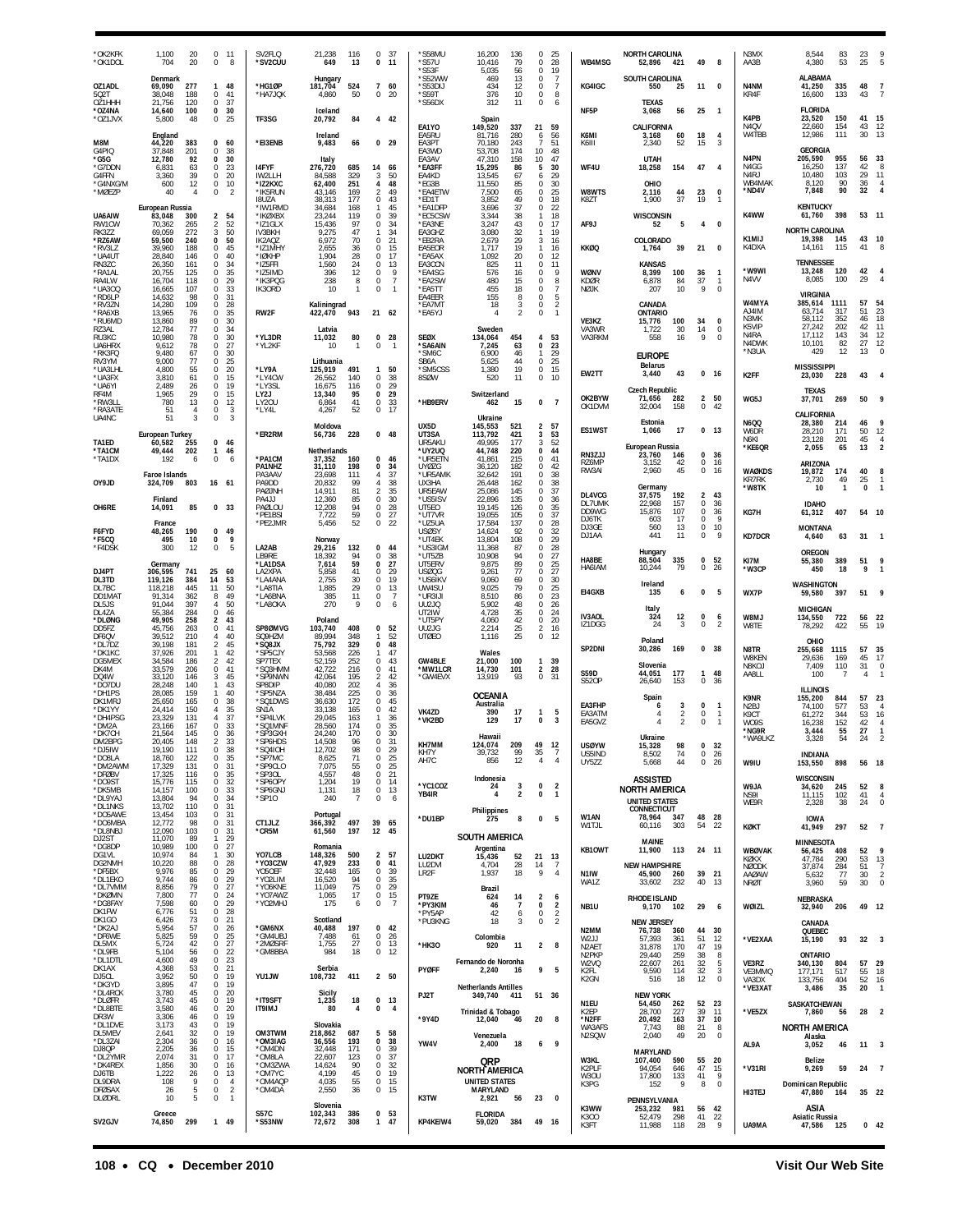| *OK2KFK<br>*OK1DOL                              | 1,100<br>20<br>704<br>20                                         | $\mathbf{0}$<br>-11<br>0<br>8                                                            | SV2FLO<br>*SV2CUU                           | 21.238<br>116<br>649<br>13                                       | 37<br>$\Omega$<br>0<br>11                                    | *S58MU<br>*S57U<br>*S53F             | 16,200<br>136<br>10,416<br>79<br>5,035<br>56                      | $\Omega$<br>25<br>0<br>28<br>19<br>$\Omega$                                  | WB4MSG                                                       | <b>NORTH CAROLINA</b><br>52,896<br>421                             | 49<br>8                                             | N3MX<br>AA3B                      | 8.544<br>83<br>4,380<br>53                                    | 23<br>25              |                                                 |
|-------------------------------------------------|------------------------------------------------------------------|------------------------------------------------------------------------------------------|---------------------------------------------|------------------------------------------------------------------|--------------------------------------------------------------|--------------------------------------|-------------------------------------------------------------------|------------------------------------------------------------------------------|--------------------------------------------------------------|--------------------------------------------------------------------|-----------------------------------------------------|-----------------------------------|---------------------------------------------------------------|-----------------------|-------------------------------------------------|
| OZ1ADL<br>502T                                  | Denmark<br>69,090<br>277<br>38.048<br>188                        | 48<br>1<br>$^{\circ}$<br>41                                                              | *HG1ØP<br>*HA7JQK                           | Hungary<br>181,704<br>524<br>4,860<br>50                         | $\overline{7}$<br>60<br>0<br>20                              | *S52WW<br>*S53DIJ<br>*S59T           | 13<br>469<br>434<br>12<br>376<br>10                               | 0<br>- 7<br>0<br>$\overline{7}$<br>8<br>$^{\circ}$                           | KG4IGC                                                       | SOUTH CAROLINA<br>550<br>25                                        | 11<br>0                                             | N4NM<br>KR4F                      | ALABAMA<br>41,250<br>335<br>16,600<br>133                     | 48<br>43              |                                                 |
| OZ1HHH<br>*OZ4NA<br>*OZ1JVX                     | 21,756<br>120<br>14,640<br>100<br>5,800<br>48                    | 37<br>0<br>$\bf{0}$<br>30<br>25<br>0                                                     | TF3SG                                       | Iceland<br>20,792<br>84                                          | 4<br>42                                                      | *S56DX                               | 312<br>11<br>Spain                                                | 0<br>6                                                                       | NF <sub>5</sub> P                                            | <b>TEXAS</b><br>3,068<br>56                                        | 25<br>- 1                                           | K4PB                              | <b>FLORIDA</b><br>23,520<br>150                               | 41                    | 15                                              |
| M8M<br>G4PIQ                                    | England<br>44,220<br>383<br>37,848<br>201                        | 0<br>60<br>0<br>38                                                                       | *EI3ENB                                     | Ireland<br>9,483<br>66                                           | 0, 29                                                        | EA1YO<br>EA5RU<br>EA3PT<br>EA3WD     | 149,520<br>337<br>81,716<br>280<br>70.180<br>243<br>53,708<br>174 | 21<br>59<br>56<br>6<br>51<br>7<br>10<br>48                                   | K6MI<br>K6III                                                | CALIFORNIA<br>3,168<br>60<br>52<br>2,340                           | 18<br>4<br>$\overline{3}$<br>15                     | N4QV<br>W4TBB                     | 22,660<br>154<br>12,986<br>111<br><b>GEORGIA</b>              | 43<br>30              | 12<br>13                                        |
| *G5G<br>*G7DDN<br>G4FFN                         | 92<br>12,780<br>63<br>6.831<br>39<br>3,360                       | 30<br>$\mathbf{0}$<br>0<br>23<br>$\mathbf{0}$<br>20                                      | 14FYF<br>IW2LLH                             | Italy<br>276,720<br>685<br>84,588<br>329                         | 14<br>-66<br>3<br>50                                         | EA3AV<br>*EA3FF<br>EA4KD             | 47,310<br>158<br>15,295<br>86<br>13,545<br>67                     | 10<br>47<br>30<br>5<br>29<br>6                                               | WF4U                                                         | <b>UTAH</b><br>18,258<br>154                                       | 47<br>4                                             | N4PN<br>N4GG<br>N4RJ              | 205,590<br>955<br>16,250<br>137<br>10,480<br>103              | 56<br>42<br>29        | 33<br>-8<br>11                                  |
| *G4NXG/M<br>*MØEZP                              | 600<br>12<br>40<br>4                                             | $\bf{0}$<br>10<br>2<br>$\Omega$                                                          | *IZ2KXC<br>*IK5RUN<br><b>I8UZA</b>          | 62,400<br>251<br>43,146<br>169<br>38,313<br>177                  | 48<br>4<br>49<br>$\mathcal{P}$<br>0<br>43                    | *EG3B<br>*EA4ETW<br>*ED1T            | 11,550<br>85<br>7,500<br>65<br>3,852<br>49                        | 30<br>$\Omega$<br>25<br>$\Omega$<br>18<br>$\Omega$                           | W8WTS<br>K8ZT                                                | OHIO<br>2,116<br>44<br>1,900<br>37                                 | 23<br>0<br>19<br>$\mathbf{1}$                       | WB4MAK<br>*ND4V                   | 90<br>8.120<br>7,848<br>90                                    | 36<br>32              |                                                 |
| UA6AIW<br>RW1CW                                 | European Russia<br>83,048<br>300<br>70,362<br>265                | $\overline{2}$<br>54<br>52<br>$\overline{2}$                                             | 'IW1RMD<br>*IKØXBX<br>*IZ1GLX               | 34,684<br>168<br>23,244<br>119<br>15,436<br>97                   | 45<br>1<br>$\Omega$<br>39<br>$\Omega$<br>34                  | *EA1DFP<br>*EC5CSW<br>*EA3NE         | 37<br>3,696<br>38<br>3,344<br>3,247<br>43                         | 22<br>$\Omega$<br>18<br>-1.<br>0<br>17                                       | AF9.                                                         | <b>WISCONSIN</b><br>52<br>5                                        | $\overline{4}$<br>$\Omega$                          | K4WW                              | <b>KENTUCKY</b><br>61,760<br>398                              | 53 11                 |                                                 |
| RK3ZZ<br>*RZ6AW<br>*RV3LZ                       | 69.059<br>272<br>59,500<br>240<br>39.960<br>188                  | 50<br>3<br>50<br>$\mathbf{0}$<br>45<br>$\Omega$                                          | IV3BKH<br>IK2AQZ<br>*IZ1MHY                 | 9,275<br>47<br>6,972<br>70<br>2,655<br>36                        | 1<br>34<br>$\Omega$<br>21<br><sup>n</sup><br>-15             | EA3GHZ<br>*EB2RA<br>EA5EOR           | 3,080<br>32<br>29<br>2,679<br>1,717<br>19                         | 19<br>$\mathbf{1}$<br>3<br>16<br>16<br>-1.                                   | <b>KKØQ</b>                                                  | COLORADO<br>39<br>1,764                                            | 21<br>$\Omega$                                      | K1MIJ<br>K4DXA                    | <b>NORTH CAROLINA</b><br>19,398<br>145<br>14.161<br>115       | 43<br>41              | 10                                              |
| *UA4UT<br>RN3ZC<br>'RA1AL                       | 28,840<br>146<br>26,350<br>161<br>20,755<br>125                  | 40<br>0<br>34<br>$^{\circ}$<br>35<br>0                                                   | *IØKHP<br>*IZ5FFI<br>*IZ5IMD                | 1,904<br>28<br>1,560<br>24<br>396<br>12                          | $\Omega$<br>17<br>0<br>13<br>0<br>9<br>$\overline{7}$        | *EA5AX<br>EA3CCN<br>*EA4SG           | 1,092<br>20<br>825<br>11<br>576<br>16                             | $\Omega$<br>12<br>$\Omega$<br>11<br>9<br>0                                   | WØNV                                                         | <b>KANSAS</b><br>8,399<br>100                                      | 36<br>$\mathbf{1}$                                  | *W9WI<br>N4VV                     | <b>TENNESSEE</b><br>13,248<br>120<br>8,085<br>100             | 42<br>29              |                                                 |
| RA4LW<br>*UA300<br>*RD6LP<br>*RV3ZN             | 118<br>16,704<br>107<br>16,665<br>98<br>14,632<br>14,280<br>109  | 29<br>$\Omega$<br>0<br>33<br>31<br>$\Omega$<br>0<br>28                                   | *IK3PQG<br>IK30RD                           | 238<br>8<br>10<br>$\mathbf{1}$<br>Kaliningrad                    | $\mathbf 0$<br>0<br>$\overline{1}$                           | *EA2SW<br>*EA5TT<br>EA4EER<br>*EA7MT | 480<br>15<br>455<br>18<br>155<br>8<br>18<br>3                     | $\Omega$<br>8<br>0<br>$\overline{7}$<br>$\Omega$<br>5<br>0<br>$\overline{2}$ | KDØR<br>NØJK                                                 | 6,878<br>84<br>207<br>10<br>CANADA                                 | 37<br>$\mathbf{1}$<br>9<br>0                        | W4MYA                             | <b>VIRGINIA</b><br>385,614<br>1111                            | 57                    | 54                                              |
| *RA6XB<br>*RU6MD<br>RZ3AL                       | 76<br>13,965<br>13,860<br>89<br>77<br>12,784                     | 35<br>$\Omega$<br>0<br>30<br>34<br>0                                                     | RW2F                                        | 422,470<br>943<br>Latvia                                         | 21 62                                                        | *EA5YJ                               | $\overline{4}$<br>2<br>Sweden                                     | $\mathbf{1}$<br>$\Omega$                                                     | VE3KZ<br>VA3WR                                               | ONTARIO<br>15,776<br>100<br>1,722<br>30                            | 34<br>0<br>$\mathbb O$<br>14                        | A J4IM<br>N3MK<br>K5VIP           | 63.714<br>317<br>58,112<br>352<br>27.242<br>202               | 51<br>46<br>42        | 23<br>18<br>11                                  |
| RU3KC<br>UA6HRX<br>*RK3FQ                       | 78<br>10,980<br>78<br>9,612<br>9,480<br>67                       | 30<br>0<br>27<br>0<br>$\Omega$<br>30                                                     | *YL3DR<br>*YL2KF                            | 80<br>11,032<br>10<br>$\mathbf{1}$                               | 0<br>28<br>0<br>$\overline{1}$                               | <b>SEØX</b><br>*SA6AIN<br>*SM6C      | 454<br>134,064<br>7,245<br>63<br>6,900<br>46                      | 53<br>4<br>0<br>23<br>29<br>1                                                | VA3RKM                                                       | 16<br>558<br><b>EUROPE</b>                                         | 9<br>$\Omega$                                       | N4RA<br>N4DWK<br>*N3UA            | 17,112<br>143<br>10,101<br>82<br>429<br>12                    | 34<br>27<br>13        | $\frac{12}{12}$<br>$\Omega$                     |
| RV3YM<br>*UA3LHL<br>*UA3FX                      | 77<br>9.000<br>55<br>4.800<br>3,810<br>61                        | 25<br>0<br>20<br>0<br>15<br>0                                                            | *LY9A<br>*LY4CW                             | Lithuania<br>491<br>125,919<br>26,562<br>140                     | 50<br>$\mathbf{1}$<br>$\Omega$<br>38                         | SB6A<br>*SM5CSS<br>8SØW              | 5,625<br>44<br>19<br>1,380<br>520<br>11                           | 25<br>$\Omega$<br>$^{\circ}$<br>15<br>0<br>10                                | EW2TT                                                        | <b>Belarus</b><br>3,440<br>43                                      | 0, 16                                               | K2FF                              | <b>MISSISSIPPI</b><br>23,030<br>228                           | 43                    |                                                 |
| *UA6YI<br>RF4M<br>*RW3LL<br>*RA3ATE             | 2.489<br>26<br>1,965<br>29<br>780<br>13<br>51<br>$\overline{4}$  | 0<br>19<br>0<br>15<br>12<br>$\bf 0$<br>0<br>3                                            | *LY3SL<br>LY2J<br>LY20U<br>*LY4L            | 16,675<br>116<br>13,340<br>95<br>6,864<br>41<br>4,267<br>52      | 29<br>0<br>0<br>29<br>$\bf 0$<br>33<br>0<br>17               | *HB9ERV                              | Switzerland<br>462<br>15                                          | $\mathbf 0$<br>$\overline{7}$                                                | OK2BYW<br>OK1DVM                                             | <b>Czech Republic</b><br>71,656<br>282<br>32,004<br>158            | $\overline{2}$<br>50<br>0<br>42                     | WG5J                              | <b>TEXAS</b><br>37,701<br>269                                 | 50                    |                                                 |
| UA4NC                                           | 51<br>3<br>European Turkey                                       | $\overline{3}$<br>$\mathbf 0$                                                            | *ER2RM                                      | Moldova<br>228<br>56,736                                         | $0$ 48                                                       | UX5D<br>UT3SA                        | Ukraine<br>145,553<br>521<br>113.792<br>421                       | $\overline{2}$<br>57<br>53<br>3                                              | ES1WST                                                       | Estonia<br>17<br>1,066                                             | 0<br>13                                             | <b>N6QQ</b><br>W6DR               | CALIFORNIA<br>28,380<br>214<br>28,210<br>171                  | 46<br>50              | 12                                              |
| TA1ED<br><b>'TA1CM</b><br>*TA1DX                | 60,582<br>255<br>49,444<br>202<br>192<br>6                       | 0<br>46<br>$\mathbf{1}$<br>46<br>$\bf{0}$<br>6                                           | *PA1CM                                      | Netherlands<br>37,352<br>160                                     | 0<br>-46                                                     | UR5AKU<br>*UY2UQ<br>*UR5ETN          | 49,995<br>177<br>44,748<br>220<br>215<br>41,861                   | 52<br>3<br>44<br>$\mathbf{0}$<br>41<br>$\Omega$                              | RN3ZJJ<br>RZ6MP                                              | European Russia<br>23,760<br>146<br>3,152<br>42                    | 0<br>36<br>0<br>16                                  | N6KI<br>*KE6QR                    | 201<br>23.128<br>2,055<br>65                                  | 45<br>13              | $\overline{4}$                                  |
| OY9JD                                           | <b>Faroe Islands</b><br>324,709<br>803                           | 16 61                                                                                    | PA1NHZ<br>PA3AAV<br>PA9DD                   | 31,110<br>198<br>23,698<br>111<br>20,832<br>99                   | 0<br>34<br>4<br>-37<br>38                                    | <b>UYØZG</b><br>*UR5AMK<br>UX3HA     | 36,120<br>182<br>32,642<br>191<br>26,448<br>162                   | 42<br>$\Omega$<br>38<br>$\Omega$<br>38<br>$\Omega$                           | RW3AI                                                        | 2,960<br>45<br>Germany                                             | 0<br>16                                             | <b>WAØKDS</b><br>KR7RK<br>*W8TK   | ARIZONA<br>174<br>19,872<br>2,730<br>49<br>10<br>$\mathbf{1}$ | 40<br>25<br>$\pmb{0}$ |                                                 |
| OH6RE                                           | Finland<br>85<br>14,091                                          | 0 <sub>33</sub>                                                                          | <b>PAØJNH</b><br>PA4JJ<br>PAØLOU<br>*PE1BSI | 14.911<br>81<br>12,360<br>85<br>12,208<br>94<br>7,722<br>59      | 35<br>2<br>$\Omega$<br>30<br>28<br>0<br>0<br>27              | UR5EAW<br>*US5ISV<br>UT5EO<br>*UT7VR | 145<br>25,086<br>22,896<br>135<br>19.145<br>126<br>19,055<br>105  | 37<br>$\Omega$<br>$\Omega$<br>36<br>$\frac{35}{37}$<br>$\Omega$<br>0         | DL4VCG<br>DL7UMK<br>DD9WG                                    | 192<br>37,575<br>22,968<br>157<br>15,876<br>107                    | 43<br>$\overline{2}$<br>0<br>36<br>$\bf 0$<br>36    | KG7H                              | <b>IDAHO</b><br>407<br>61,312                                 | 54                    |                                                 |
| F6FYD<br>*F5CO                                  | France<br>48,265<br>190<br>495<br>10                             | 0<br>49<br>$\mathbf{0}$<br>9                                                             | *PE2JMR                                     | 5,456<br>52<br>Norway                                            | $\mathbf 0$<br>22                                            | *UZ5UA<br><b>USØSY</b><br>*UT4EK     | 17.584<br>137<br>14,624<br>92<br>13,804<br>108                    | 28<br>$\Omega$<br>0<br>32<br>29<br>$\Omega$                                  | DJ6TK<br>DJ3GE<br>DJ1AA                                      | 17<br>603<br>560<br>13<br>441<br>11                                | $\mathbf{Q}$<br>0<br>10<br>0<br>9<br>0              | <b>KD7DCR</b>                     | <b>MONTANA</b><br>4,640<br>63                                 | 31                    |                                                 |
| *F4DSK                                          | 300<br>12<br>Germany                                             | $\bf{0}$<br>5                                                                            | LA2AB<br>LB9RE<br>*LA1DSA                   | 29,216<br>132<br>18,392<br>94<br>7,614<br>59                     | 0<br>44<br>$\Omega$<br>38<br>0<br>27                         | *US3IGM<br>*UT5ZB<br>UT5ERV          | 11,368<br>87<br>10,908<br>94<br>9,875<br>89                       | 28<br>$\Omega$<br>27<br>$\Omega$<br>$\frac{25}{27}$<br>$\Omega$              | HA8BE<br>HA6IAM                                              | Hungary<br>88,504<br>335<br>79<br>10.244                           | 52<br>0<br>$\mathbf 0$<br>26                        | KI7M<br>*W3CP                     | OREGON<br>389<br>55,380<br>450<br>18                          | 51<br>$\overline{9}$  |                                                 |
| DJ4PT<br>DL3TD<br>DL7BC                         | 306,595<br>741<br>119,126<br>384<br>118,218<br>445               | 25<br>60<br>14<br>53<br>11<br>50<br>49<br>8                                              | LA2XPA<br>*LA4ANA<br>*LA8TIA                | 5,858<br>41<br>2,755<br>30<br>29<br>1,885<br>385<br>11           | 0<br>29<br>19<br>$\Omega$<br>0<br>13<br>0<br>-7              | USØQG<br>*US6IKV<br>UW4SU<br>*UR3IJI | 77<br>9,261<br>9,060<br>69<br>79<br>9,025<br>86                   | $\Omega$<br>30<br>$\Omega$<br>25<br>$\Omega$<br>23<br>$\Omega$               | E14GXB                                                       | Ireland<br>135<br>6                                                | 0<br>5                                              | WX7P                              | WASHINGTON<br>397<br>59,580                                   | 51                    |                                                 |
| DD1MA1<br>DL5JS<br>DL4ZA<br>*DLØNG              | 91,314<br>362<br>91,044<br>397<br>284<br>55.384<br>49,905<br>258 | 50<br>4<br>$\Omega$<br>46<br>43<br>$\overline{2}$                                        | *LA6BNA<br>*LA8OKA                          | 270<br>9<br>Poland                                               | 0<br>6                                                       | UU2JQ<br>UT2IW<br>*UT5PY             | 8,510<br>48<br>5,902<br>4,728<br>35<br>42<br>4,060                | 26<br>$\Omega$<br>24<br>$\Omega$<br>20<br>0                                  | IV3AOL                                                       | Italy<br>12<br>324                                                 | 0<br>6                                              | W8MJ                              | <b>MICHIGAN</b><br>722<br>134,550                             | 56                    | 22                                              |
| DD5FZ<br>DF6QV<br>*DI 7D7                       | 45,756<br>263<br>39,512<br>210<br>39.198<br>181                  | 41<br>0<br>4<br>40<br>$\overline{2}$<br>45                                               | SP8ØMVG<br>SQ9HZM<br>XL8O2*                 | 103,740<br>408<br>89,994<br>348<br>75,792<br>329                 | 52<br>0<br>52<br>$\bf{0}$<br>48                              | UU2JG<br><b>UTØEO</b>                | $\frac{25}{25}$<br>2,214<br>1,116                                 | 16<br>2<br>0<br>12                                                           | IZ1DGG<br>SP2DNI                                             | 24<br>3<br>Poland<br>30,286<br>169                                 | $\mathbf 0$<br>$\overline{2}$<br>$\Omega$<br>-38    | W8TE<br>N8TR                      | 78,292<br>422<br>OHIO                                         | 55<br>57              | 19                                              |
| *DK1KC<br>DG5MEX<br>DK4M                        | 37,926<br>201<br>34.584<br>186<br>33,579<br>206                  | $\mathbf{1}$<br>42<br>42<br>$\mathcal{P}$<br>0<br>41                                     | *SP5CJY<br>SP7TEX<br>*SQ3HMM                | 53,568<br>226<br>52,159<br>252<br>42,722<br>216                  | 47<br>1<br>43<br>$\Omega$<br>0<br>41                         | <b>GW4BLE</b><br>*MW1LCR             | Wales<br>21,000<br>100<br>14,730<br>101                           | $\mathbf{1}$<br>39<br>2<br>28                                                | <b>S59D</b>                                                  | Slovenia<br>177<br>44,051                                          | 48<br>1                                             | W8KEN<br>N8KOJ<br>AA8LL           | 255,668<br>1115<br>29,636<br>169<br>110<br>7,409<br>100       | 45<br>31<br>4         | 35<br>17<br>0                                   |
| DO <sub>4</sub> W<br>*DO7DU<br>*DH1PS<br>DK1MRJ | 33,120<br>146<br>140<br>28,248<br>28,085<br>159<br>165<br>25,650 | 45<br>3<br>43<br>$\mathbf{1}$<br>40<br>-1<br>38<br>$\bf{0}$                              | *SP9NWN<br>SP8DIP<br>'SP5NZA<br>*SQ1DWS     | 195<br>42.064<br>40,080<br>202<br>225<br>38,484<br>36,630<br>172 | 42<br>$\mathfrak{p}$<br>36<br>4<br>0<br>36<br>45<br>$\Omega$ | *GW4EVX                              | 13,919<br>93<br><b>OCEANIA</b>                                    | $\mathbf 0$<br>31                                                            | <b>S520P</b>                                                 | 26,640<br>153<br>Spain                                             | $\Omega$<br>36                                      | K9NR                              | <b>ILLINOIS</b><br>155,200<br>844                             | 57                    | 23                                              |
| *DK1YY<br>*DH4PSG<br>*DM2A                      | 24,414<br>150<br>23.329<br>131<br>23,166<br>167                  | 35<br>$\overline{4}$<br>37<br>$\Delta$<br>$\Omega$<br>33                                 | SN1A<br>'SP4LVK<br>*SQ1MNF                  | 33,138<br>165<br>29,045<br>163<br>28,560<br>174                  | 0<br>42<br>1<br>36<br>0<br>35                                | VK4ZD<br>*VK2BD                      | Australia<br>390<br>17<br>129<br>17                               | $\mathbf{1}$<br>5<br>0<br>3                                                  | EA3FHP<br>EA3ATM<br>EA5GVZ                                   | 3<br>6<br>$\overline{2}$<br>$\overline{\phantom{a}}$               | $\bf{0}$<br>$\mathbf{1}$<br>$\mathbf 0$<br>$\Omega$ | N <sub>2</sub> BJ<br>K9CT<br>W09S | 74,100<br>577<br>61,272<br>344<br>152<br>16.238               | 53<br>53<br>42        | $\overline{4}$<br>16                            |
| *DK7CH<br>DM2BPG<br>*DJ5IW                      | 21,564<br>145<br>20,405<br>148<br>111<br>19.190                  | $\Omega$<br>-36<br>$\overline{2}$<br>33<br>0<br>38                                       | *SP3GXH<br>*SP6HDS<br>*SQ4IOH               | 170<br>24,240<br>14.508<br>96<br>12,702<br>98                    | 0<br>30<br>0<br>31<br>0<br>29                                | KH7MM<br>KH7Y                        | Hawai<br>124,074<br>209<br>99<br>39,732                           | 49<br>12<br>35<br>-7                                                         | <b>USØYW</b><br>US5IND                                       | <b>Ilkraine</b><br>98<br>15,328<br>8,502<br>74                     | 32<br>0<br>26<br>0                                  | *NG9R<br>WA9LKZ                   | 3,444<br>55<br>54<br>3,328<br><b>INDIANA</b>                  | 27<br>2 <sub>A</sub>  |                                                 |
| *DO8LA<br>*DM2AWM<br>*DFØBV                     | 18,760<br>122<br>131<br>17,329<br>17,325<br>116                  | 0<br>35<br>31<br>$\Omega$<br>0<br>35<br>$\mathbf{0}$                                     | *SP7MC<br>*SP9CLO<br>*SP30L<br>*SP6OPY      | 8,625<br>71<br>7,075<br>55<br>4,557<br>48<br>19                  | 0<br>25<br>$\mathbf 0$<br>25<br>0<br>21<br>$\mathbf 0$<br>14 | AH7C                                 | 856<br>12<br>Indonesia                                            | $\overline{4}$<br>$\overline{4}$                                             | UY5ZZ                                                        | 5,668<br>44<br><b>ASSISTED</b>                                     | 0<br>26                                             | W9IU                              | 153,550<br>898<br>WISCONSIN                                   | 56 18                 |                                                 |
| *DO9ST<br>*DK5MB<br>*DL9YAJ<br>*DL1NKS          | 15,776<br>115<br>14,157<br>100<br>94<br>13,804<br>13,702<br>110  | 32<br>$\bf{0}$<br>33<br>34<br>$\Omega$<br>0<br>31                                        | *SP6GNJ<br>*SP10                            | 1,204<br>1,131<br>18<br>240<br>$\overline{7}$                    | $\bf{0}$<br>13<br>$\mathbf 0$<br>6                           | *YC1COZ<br>YB4IR                     | 24<br>3<br>4<br>2                                                 | 0<br>$\overline{2}$<br>$\overline{1}$<br>0                                   |                                                              | <b>NORTH AMERICA</b><br><b>UNITED STATES</b>                       |                                                     | W9JA<br>NS9I<br>WE9R              | 34,620<br>245<br>102<br>11,115<br>2,328<br>38                 | 52<br>41<br>24        | 8<br>$\overline{4}$<br>$\mathbf 0$              |
| *DO5AWE<br>*DO6MBA<br>*DL8NBJ                   | 13,454<br>103<br>12,772<br>98<br>12,090<br>103                   | $\mathsf 0$<br>31<br>$\mathbf 0$<br>31<br>31<br>0                                        | CT1JLZ<br>*CR5M                             | Portugal<br>497<br>366,392<br>61,560<br>197                      | 39 65<br>12 45                                               | *DU1BP                               | Philippines<br>8<br>275                                           | 0<br>5                                                                       | W1AN<br>W1TJL                                                | CONNECTICUT<br>347<br>78.964<br>303<br>60,116                      | 48 28<br>54<br>22                                   | <b>KØKT</b>                       | <b>IOWA</b><br>297<br>41,949                                  | 52                    | $\overline{7}$                                  |
| DJ2ST<br>*DG8DP<br>DG1VL                        | 11,070<br>89<br>10,989<br>100<br>10,974<br>84                    | 29<br>$\mathbf{1}$<br>27<br>$\bf{0}$<br>30<br>$\mathbf{1}$                               | YO7LCB                                      | Romania<br>148,326<br>500                                        | $\overline{2}$<br>57                                         | LU2DKT                               | <b>SOUTH AMERICA</b><br>Argentina<br>15,436<br>52                 | 21<br>- 13                                                                   | KB10WT                                                       | MAINE<br>11,900<br>113                                             | 24 11                                               | <b>WBØVAK</b><br>KØKX             | <b>MINNESOTA</b><br>408<br>56,425<br>47,784<br>290            | 52<br>53              | -9<br>13                                        |
| DG2NMH<br>*DF5BX<br>*DL1EKO<br>*DL7VMM          | 10,220<br>88<br>85<br>9,976<br>9,744<br>86<br>8,856<br>79        | 28<br>0<br>29<br>$\mathbf 0$<br>29<br>$\mathbf 0$<br>27<br>$\bf{0}$                      | *YO3CZW<br>Y050EF<br>*YO2LIM<br>*YO6KNE     | 47,929<br>233<br>32,448<br>165<br>16,520<br>94<br>11,049<br>75   | 0<br>41<br>$^{\circ}$<br>39<br>0<br>35<br>29<br>$\Omega$     | LU2DVI<br>LR <sub>2F</sub>           | 28<br>4,704<br>1,937<br>18                                        | 14<br>$\overline{7}$<br>9<br>$\overline{4}$                                  | N <sub>1</sub> IW<br>WA1Z                                    | <b>NEW HAMPSHIRE</b><br>45,900<br>260<br>33,602<br>232             | 39 21<br>40 13                                      | <b>NØODK</b><br>AAØAW<br>NRØT     | 37,874<br>284<br>77<br>5,632<br>59<br>3,960                   | 51<br>30<br>30        | $\overline{7}$<br>$\overline{2}$<br>$\mathbf 0$ |
| *DKØMN<br>*DG8FAY<br>DK1FW                      | 7,800<br>77<br>7,598<br>60<br>6,776<br>51                        | 0<br>24<br>$\mathbf{0}$<br>29<br>0<br>28                                                 | *YO7AWZ<br>*YO2MHJ                          | 1,065<br>17<br>175<br>6                                          | $\mathbf 0$<br>15<br>$\bf 0$<br>$\overline{7}$               | PT9ZE<br>*PY3KIM<br>*PY5AP           | Brazil<br>624<br>14<br>46<br>$\overline{7}$<br>42<br>6            | $\overline{2}$<br>6<br>0<br>$\overline{2}$<br>$\mathbf{0}$                   | NB1U                                                         | <b>RHODE ISLAND</b><br>9,170<br>102                                | 29<br>6                                             | WØIZL                             | NEBRASKA<br>32,940<br>206                                     |                       | 49 12                                           |
| DK1GO<br>*DK2AJ<br>*DF6WE                       | 73<br>6,426<br>5,954<br>57<br>5,825<br>59                        | 21<br>$\Omega$<br>0<br>26<br>$\bf 0$<br>25                                               | *GM6NX<br>'GM4UBJ                           | Scotland<br>40,488<br>197<br>7,488<br>61                         | 0<br>42<br>0<br>26                                           | *PU3KNG                              | 18<br>Colombia                                                    | $\frac{2}{2}$<br>0                                                           | N2MM<br>W211                                                 | <b>NEW JERSEY</b><br>76,738<br>360<br>57.393<br>361                | 44<br>30<br>51<br>12                                | *VE2XAA                           | CANADA<br>QUEBEC<br>93<br>15,190                              | 32                    | -3                                              |
| DL5MX<br>*DL9FB<br>*DL1DTL                      | 42<br>5,724<br>5,104<br>56<br>49<br>4,600<br>53                  | 27<br>0<br>22<br>0<br>23<br>$\mathbf 0$<br>21                                            | *2MØSRF<br>*GM8BBA                          | 27<br>1,755<br>984<br>18                                         | $\mathbf 0$<br>13<br>$\mathbb O$<br>12                       | *HK30                                | 920<br>11<br>Fernando de Noronha                                  | $\overline{2}$<br>8                                                          | N <sub>2</sub> AE <sub>1</sub><br>N <sub>2</sub> PKP<br>W2VQ | 31,878<br>170<br>29,440<br>259<br>22,607<br>261                    | 47<br>19<br>$^{\rm 8}$<br>38<br>$\,$ 5<br>32        | VE3RZ                             | <b>ONTARIO</b><br>340,130<br>804                              | 57                    | 29                                              |
| DK1AX<br>DJ5CL<br>*DK3YD<br>*DL4RCK             | 4,368<br>50<br>3,952<br>47<br>3,895<br>45<br>3,780               | $\bf{0}$<br>$\bf{0}$<br>19<br>19<br>0<br>20<br>0                                         | YU1JW                                       | Serbia<br>411<br>108,732<br>Sicily                               | 2 50                                                         | <b>PYØFF</b>                         | 2,240<br>-16<br><b>Netherlands Antilles</b>                       | 9<br>5                                                                       | K2FI.<br>K2GN                                                | 9,590<br>114<br>516<br>18                                          | $\sqrt{3}$<br>32<br>$\bf 0$<br>12                   | VE3MMQ<br>VA3DX<br>*VE3XAT        | 517<br>177,171<br>133,756<br>404<br>3,486<br>35               | 55<br>52<br>20        | 18<br>16<br>$\mathbf{1}$                        |
| *DLØFR<br>*DL8BTE<br>DR3W                       | 3,743<br>45<br>3,580<br>46<br>3,306<br>46                        | 0<br>19<br>20<br>$\bf{0}$<br>0<br>19                                                     | *IT9SFT<br><b>IT9IMJ</b>                    | 1,235<br>18<br>80<br>4                                           | 0<br>13<br>$\pmb{0}$<br>$\overline{4}$                       | PJ2T<br>*9Y4D                        | 349,740 411<br>Trinidad & Tobago<br>12,040<br>46                  | 51 36<br>20<br>8                                                             | N1EU<br>K2EP<br>*N2FF                                        | <b>NEW YORK</b><br>54,450<br>262<br>28,700<br>227<br>20,492<br>163 | 52<br>23<br>39<br>11<br>37<br>10                    | *VE5ZX                            | SASKATCHEWAN<br>7,860<br>56                                   | 28                    | $\overline{2}$                                  |
| *DL1DVE<br>DL5MEV<br>*DL3ZAI                    | 3,173<br>43<br>2,641<br>32<br>36<br>2,304                        | $\mathbf{0}$<br>19<br>$\bf{0}$<br>19<br>$\Omega$<br>16                                   | OM3TWM<br>*OM3IAG                           | Slovakia<br>218,862<br>687<br>193<br>36,556                      | 5<br>58<br>$\mathbf 0$<br>38                                 | YW4V                                 | Venezuela<br>2,400<br>18                                          | 9<br>6                                                                       | WA3AFS<br>N2SQW                                              | 7,743<br>88<br>2,040<br>49                                         | 8<br>21<br>20<br>$\mathbf 0$                        | AL9A                              | NORTH AMERICA<br>Alaska<br>3,052<br>46                        | 11                    | -3                                              |
| DJ8QP<br>*DL2YMR<br>*DK4REX<br>DJ6TB            | 2,205<br>36<br>31<br>2,074<br>30<br>1,856<br>1,222<br>26         | 0<br>15<br>$\bf 0$<br>17<br>$\bf{0}$<br>16<br>13<br>$\bf{0}$                             | *OM4DN<br>*OM8LA<br>*OM3ZWA<br>*OM7YC       | 32,448<br>171<br>22,607<br>123<br>90<br>14,624<br>4,199<br>45    | 0<br>39<br>37<br>0<br>32<br>$^{\circ}$<br>0<br>19            |                                      | <b>ORP</b><br><b>NORTH AMERICA</b>                                |                                                                              | W3KL<br>K2PLF                                                | MARYLAND<br>107.400<br>590<br>94,054<br>646                        | 55<br>- 20<br>47<br>15                              | *V31RI                            | Belize<br>9,269<br>59                                         | 24                    | $\overline{7}$                                  |
| DL9DRA<br><b>DFØSAX</b><br>DLØDRL               | 9<br>108<br>26<br>5<br>10<br>5                                   | $\bf{0}$<br>$\frac{4}{3}$<br>$\overline{2}$<br>$\mathbf 0$<br>$^{\circ}$<br>$\mathbf{1}$ | *OM4AQP<br>*OM4DA                           | 4,035<br>55<br>2,550<br>36                                       | $\mathbf 0$<br>15<br>$\bf 0$<br>15                           | K3TW                                 | <b>UNITED STATES</b><br>MARYLAND<br>2,921<br>56                   | 23<br>$\mathbf 0$                                                            | <b>W30U</b><br>K3PG                                          | 133<br>17,800<br>9<br>152<br>PENNSYLVANIA                          | $\overline{9}$<br>41<br>8<br>0                      | HI3TEJ                            | Dominican Republic<br>47,880<br>164                           |                       | 35 22                                           |
| SV <sub>2</sub> GJV                             | Greece<br>74,850<br>299                                          | 1 49                                                                                     | S57C<br>*S53NW                              | Slovenia<br>102,343<br>386<br>72,672<br>308                      | $\bf{0}$<br>53<br>$\mathbf{1}$<br>47                         | KP4KE/W4                             | <b>FLORIDA</b><br>59,020 384                                      | 49<br>- 16                                                                   | K3WW<br>K300<br>K3FT                                         | 253,232<br>981<br>52,479<br>298<br>11,988<br>118                   | 56<br>42<br>41<br>22<br>28<br>9                     | UA9MA                             | ASIA<br>Asiatic Russia<br>47,586<br>125                       |                       | $0$ 42                                          |
|                                                 |                                                                  |                                                                                          |                                             |                                                                  |                                                              |                                      |                                                                   |                                                                              |                                                              |                                                                    |                                                     |                                   |                                                               |                       |                                                 |